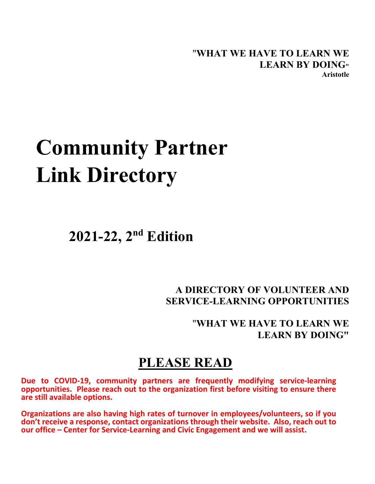"**WHAT WE HAVE TO LEARN WE LEARN BY DOING" Aristotle**

# **Community Partner Link Directory**

**2021-22, 2nd Edition**

## **A DIRECTORY OF VOLUNTEER AND SERVICE-LEARNING OPPORTUNITIES**

"**WHAT WE HAVE TO LEARN WE LEARN BY DOING"**

# **PLEASE READ**

**Due to COVID-19, community partners are frequently modifying service-learning opportunities. Please reach out to the organization first before visiting to ensure there are still available options.** 

**Organizations are also having high rates of turnover in employees/volunteers, so if you don't receive a response, contact organizations through their website. Also, reach out to our office – Center for Service-Learning and Civic Engagement and we will assist.**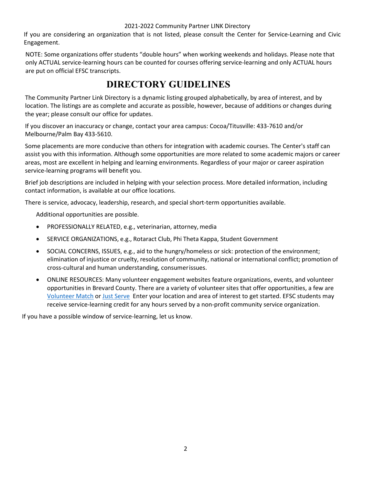#### 2021-2022 Community Partner LINK Directory

If you are considering an organization that is not listed, please consult the Center for Service-Learning and Civic Engagement.

NOTE: Some organizations offer students "double hours" when working weekends and holidays. Please note that only ACTUAL service-learning hours can be counted for courses offering service-learning and only ACTUAL hours are put on official EFSC transcripts.

# **DIRECTORY GUIDELINES**

The Community Partner Link Directory is a dynamic listing grouped alphabetically, by area of interest, and by location. The listings are as complete and accurate as possible, however, because of additions or changes during the year; please consult our office for updates.

If you discover an inaccuracy or change, contact your area campus: Cocoa/Titusville: 433-7610 and/or Melbourne/Palm Bay 433-5610.

Some placements are more conducive than others for integration with academic courses. The Center's staff can assist you with this information. Although some opportunities are more related to some academic majors or career areas, most are excellent in helping and learning environments. Regardless of your major or career aspiration service-learning programs will benefit you.

Brief job descriptions are included in helping with your selection process. More detailed information, including contact information, is available at our office locations.

There is service, advocacy, leadership, research, and special short-term opportunities available.

Additional opportunities are possible.

- PROFESSIONALLY RELATED, e.g., veterinarian, attorney, media
- SERVICE ORGANIZATIONS, e.g., Rotaract Club, Phi Theta Kappa, Student Government
- SOCIAL CONCERNS, ISSUES, e.g., aid to the hungry/homeless or sick: protection of the environment; elimination of injustice or cruelty, resolution of community, national or international conflict; promotion of cross-cultural and human understanding, consumerissues.
- ONLINE RESOURCES: Many volunteer engagement websites feature organizations, events, and volunteer opportunities in Brevard County. There are a variety of volunteer sites that offer opportunities, a few are [Volunteer Match](http://www.volunteermatch.org/) or [Just Serve](http://www.justserve.org/) Enter your location and area of interest to get started. EFSC students may receive service-learning credit for any hours served by a non-profit community service organization.

If you have a possible window of service-learning, let us know.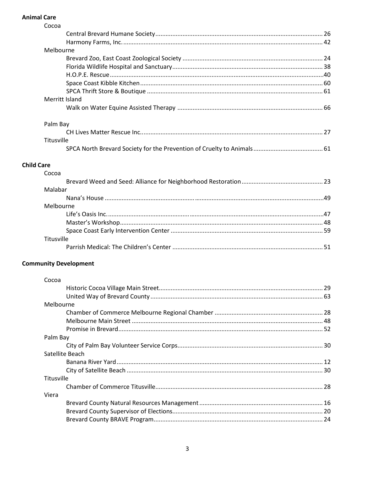#### **Animal Care**

|                   | Cocoa                 |  |
|-------------------|-----------------------|--|
|                   |                       |  |
|                   |                       |  |
|                   | Melbourne             |  |
|                   |                       |  |
|                   |                       |  |
|                   |                       |  |
|                   |                       |  |
|                   |                       |  |
|                   | <b>Merritt Island</b> |  |
|                   |                       |  |
|                   | Palm Bay              |  |
|                   |                       |  |
|                   | Titusville            |  |
|                   |                       |  |
| <b>Child Care</b> |                       |  |
|                   | Cocoa                 |  |
|                   |                       |  |
|                   | Malabar               |  |
|                   |                       |  |
|                   | Melbourne             |  |
|                   |                       |  |
|                   |                       |  |
|                   |                       |  |
|                   | Titusville            |  |
|                   |                       |  |
|                   |                       |  |

### **Community Development**

| Cocoa             |  |
|-------------------|--|
|                   |  |
|                   |  |
| Melbourne         |  |
|                   |  |
|                   |  |
|                   |  |
| Palm Bay          |  |
|                   |  |
| Satellite Beach   |  |
|                   |  |
|                   |  |
| <b>Titusville</b> |  |
|                   |  |
| Viera             |  |
|                   |  |
|                   |  |
|                   |  |
|                   |  |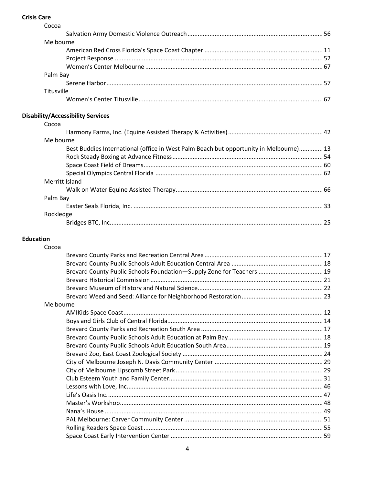| Cocoa                                                                                  |  |
|----------------------------------------------------------------------------------------|--|
|                                                                                        |  |
| Melbourne                                                                              |  |
|                                                                                        |  |
|                                                                                        |  |
|                                                                                        |  |
| Palm Bay                                                                               |  |
|                                                                                        |  |
| Titusville                                                                             |  |
|                                                                                        |  |
| <b>Disability/Accessibility Services</b>                                               |  |
| Cocoa                                                                                  |  |
|                                                                                        |  |
| Melbourne                                                                              |  |
| Best Buddies International (office in West Palm Beach but opportunity in Melbourne) 13 |  |
|                                                                                        |  |
|                                                                                        |  |
|                                                                                        |  |
| Merritt Island                                                                         |  |
|                                                                                        |  |
| Palm Bay                                                                               |  |
|                                                                                        |  |
| Rockledge                                                                              |  |
|                                                                                        |  |

#### Education

| Cocoa                                                                 |  |
|-----------------------------------------------------------------------|--|
|                                                                       |  |
|                                                                       |  |
| Brevard County Public Schools Foundation-Supply Zone for Teachers  19 |  |
|                                                                       |  |
|                                                                       |  |
|                                                                       |  |
| Melbourne                                                             |  |
|                                                                       |  |
|                                                                       |  |
|                                                                       |  |
|                                                                       |  |
|                                                                       |  |
|                                                                       |  |
|                                                                       |  |
|                                                                       |  |
|                                                                       |  |
|                                                                       |  |
|                                                                       |  |
|                                                                       |  |
|                                                                       |  |
|                                                                       |  |
|                                                                       |  |
|                                                                       |  |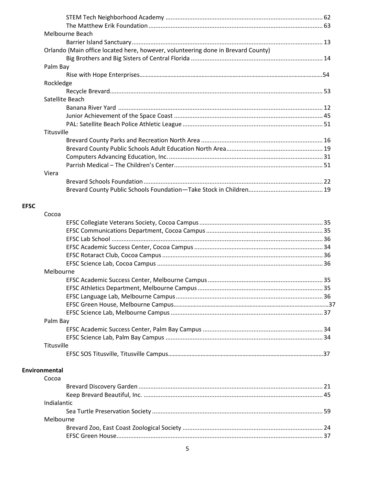|             | Melbourne Beach                                                                  |  |
|-------------|----------------------------------------------------------------------------------|--|
|             |                                                                                  |  |
|             | Orlando (Main office located here, however, volunteering done in Brevard County) |  |
|             |                                                                                  |  |
|             | Palm Bay                                                                         |  |
|             |                                                                                  |  |
|             | Rockledge                                                                        |  |
|             |                                                                                  |  |
|             | Satellite Beach                                                                  |  |
|             |                                                                                  |  |
|             |                                                                                  |  |
|             |                                                                                  |  |
|             | Titusville                                                                       |  |
|             |                                                                                  |  |
|             |                                                                                  |  |
|             |                                                                                  |  |
|             |                                                                                  |  |
|             | Viera                                                                            |  |
|             |                                                                                  |  |
|             |                                                                                  |  |
|             |                                                                                  |  |
| <b>EFSC</b> |                                                                                  |  |
|             | Cocoa                                                                            |  |
|             |                                                                                  |  |
|             |                                                                                  |  |
|             |                                                                                  |  |
|             |                                                                                  |  |
|             |                                                                                  |  |
|             |                                                                                  |  |
|             | Melbourne                                                                        |  |
|             |                                                                                  |  |
|             |                                                                                  |  |
|             |                                                                                  |  |
|             |                                                                                  |  |
|             |                                                                                  |  |
|             | Palm Bay                                                                         |  |
|             |                                                                                  |  |
|             |                                                                                  |  |
|             | Titusville                                                                       |  |
|             |                                                                                  |  |
|             | Environmental                                                                    |  |
|             | Cocoa                                                                            |  |
|             |                                                                                  |  |
|             |                                                                                  |  |
|             | Indialantic                                                                      |  |
|             |                                                                                  |  |
|             | Melbourne                                                                        |  |
|             |                                                                                  |  |
|             |                                                                                  |  |
|             |                                                                                  |  |
|             | 5                                                                                |  |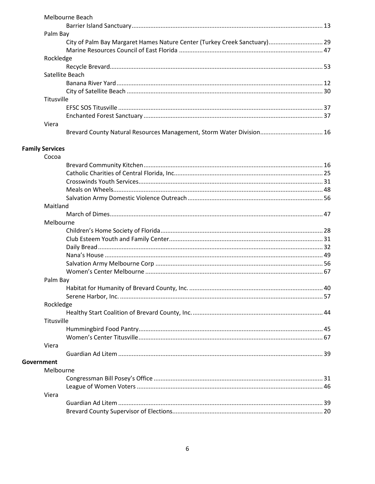|                        | Melbourne Beach                                                                                                                                                                                                                                                                                  |  |
|------------------------|--------------------------------------------------------------------------------------------------------------------------------------------------------------------------------------------------------------------------------------------------------------------------------------------------|--|
|                        |                                                                                                                                                                                                                                                                                                  |  |
|                        | Palm Bay                                                                                                                                                                                                                                                                                         |  |
|                        | City of Palm Bay Margaret Hames Nature Center (Turkey Creek Sanctuary) 29                                                                                                                                                                                                                        |  |
|                        |                                                                                                                                                                                                                                                                                                  |  |
|                        | Rockledge                                                                                                                                                                                                                                                                                        |  |
|                        |                                                                                                                                                                                                                                                                                                  |  |
|                        | Satellite Beach                                                                                                                                                                                                                                                                                  |  |
|                        |                                                                                                                                                                                                                                                                                                  |  |
|                        |                                                                                                                                                                                                                                                                                                  |  |
|                        | <b>Titusville</b>                                                                                                                                                                                                                                                                                |  |
|                        |                                                                                                                                                                                                                                                                                                  |  |
|                        |                                                                                                                                                                                                                                                                                                  |  |
|                        | Viera                                                                                                                                                                                                                                                                                            |  |
|                        | Brevard County Natural Resources Management, Storm Water Division 16                                                                                                                                                                                                                             |  |
| <b>Family Services</b> |                                                                                                                                                                                                                                                                                                  |  |
|                        | Cocoa                                                                                                                                                                                                                                                                                            |  |
|                        |                                                                                                                                                                                                                                                                                                  |  |
|                        |                                                                                                                                                                                                                                                                                                  |  |
|                        |                                                                                                                                                                                                                                                                                                  |  |
|                        |                                                                                                                                                                                                                                                                                                  |  |
|                        |                                                                                                                                                                                                                                                                                                  |  |
|                        | Maitland                                                                                                                                                                                                                                                                                         |  |
|                        | $\mathbf{a}$ and $\mathbf{a}$ and $\mathbf{a}$ and $\mathbf{a}$ and $\mathbf{a}$ and $\mathbf{a}$ and $\mathbf{a}$ and $\mathbf{a}$ and $\mathbf{a}$ and $\mathbf{a}$ and $\mathbf{a}$ and $\mathbf{a}$ and $\mathbf{a}$ and $\mathbf{a}$ and $\mathbf{a}$ and $\mathbf{a}$ and $\mathbf{a}$ and |  |

| Maitland   |  |
|------------|--|
|            |  |
| Melbourne  |  |
|            |  |
|            |  |
|            |  |
|            |  |
|            |  |
|            |  |
| Palm Bay   |  |
|            |  |
|            |  |
| Rockledge  |  |
|            |  |
| Titusville |  |
|            |  |
|            |  |
| Viera      |  |
|            |  |
| Government |  |
| Melbourne  |  |
|            |  |
|            |  |
| Viera      |  |
|            |  |
|            |  |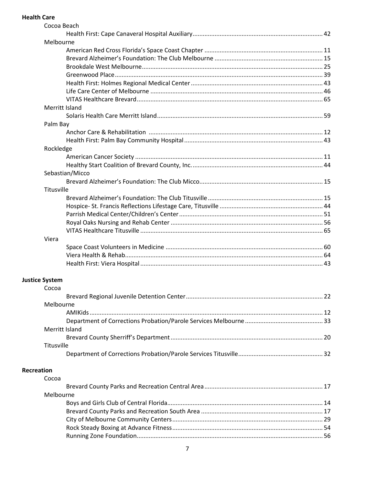#### **Health Care**

|                       | Cocoa Beach                                 |    |
|-----------------------|---------------------------------------------|----|
|                       |                                             |    |
|                       | Melbourne                                   |    |
|                       |                                             |    |
|                       |                                             |    |
|                       |                                             |    |
|                       |                                             |    |
|                       |                                             |    |
|                       |                                             |    |
|                       |                                             |    |
|                       | Merritt Island                              |    |
|                       |                                             |    |
|                       | Palm Bay                                    |    |
|                       |                                             |    |
|                       |                                             |    |
|                       | Rockledge                                   |    |
|                       |                                             |    |
|                       |                                             |    |
|                       |                                             |    |
|                       | Sebastian/Micco                             |    |
|                       |                                             |    |
|                       | Titusville                                  |    |
|                       |                                             |    |
|                       |                                             |    |
|                       |                                             |    |
|                       |                                             |    |
|                       |                                             |    |
|                       | Viera                                       |    |
|                       |                                             |    |
|                       |                                             |    |
|                       |                                             |    |
| <b>Justice System</b> |                                             |    |
|                       | Cocoa                                       |    |
|                       | Brevard Regional Juvenile Detention Center. | 22 |
|                       | Melbourne                                   |    |
|                       |                                             |    |
|                       |                                             |    |
|                       | <b>Merritt Island</b>                       |    |
|                       |                                             |    |
|                       | Titusville                                  |    |
|                       |                                             |    |
| <b>Recreation</b>     |                                             |    |
|                       | Cocoa                                       |    |
|                       |                                             |    |
|                       | Melbourne                                   |    |
|                       |                                             |    |
|                       |                                             |    |
|                       |                                             |    |
|                       |                                             |    |
|                       |                                             |    |
|                       |                                             |    |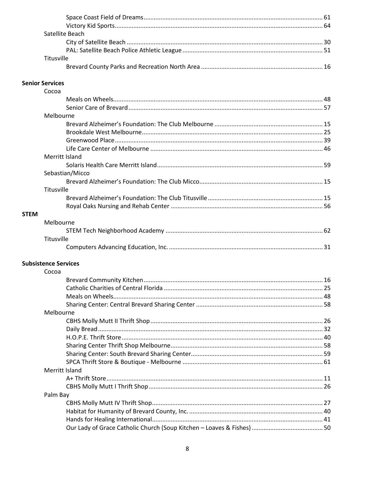|            | Satellite Beach |  |
|------------|-----------------|--|
|            |                 |  |
|            |                 |  |
| Titusville |                 |  |
|            |                 |  |

#### **Senior Services**

|             | Cocoa                       |  |
|-------------|-----------------------------|--|
|             |                             |  |
|             |                             |  |
|             | Melbourne                   |  |
|             |                             |  |
|             |                             |  |
|             |                             |  |
|             |                             |  |
|             | <b>Merritt Island</b>       |  |
|             |                             |  |
|             | Sebastian/Micco             |  |
|             |                             |  |
|             | Titusville                  |  |
|             |                             |  |
|             |                             |  |
| <b>STEM</b> |                             |  |
|             | Melbourne                   |  |
|             |                             |  |
|             | Titusville                  |  |
|             |                             |  |
|             | <b>Subsistence Services</b> |  |
|             | Cocoa                       |  |
|             |                             |  |
|             |                             |  |
|             |                             |  |
|             |                             |  |
|             | Melbourne                   |  |
|             |                             |  |
|             |                             |  |
|             |                             |  |

| Merritt Island |  |
|----------------|--|
|                |  |
|                |  |
| Palm Bay       |  |
|                |  |
|                |  |
|                |  |
|                |  |
|                |  |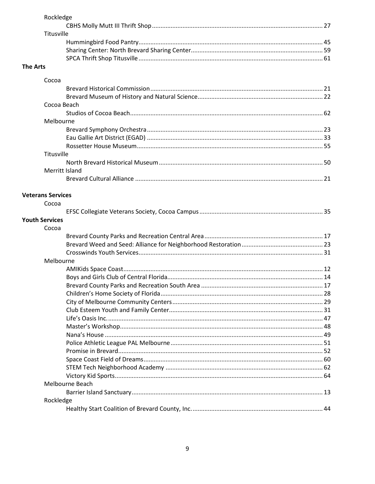| Rockledge                |                 |  |
|--------------------------|-----------------|--|
|                          |                 |  |
| Titusville               |                 |  |
|                          |                 |  |
|                          |                 |  |
|                          |                 |  |
| <b>The Arts</b>          |                 |  |
|                          |                 |  |
| Cocoa                    |                 |  |
|                          |                 |  |
|                          |                 |  |
| Cocoa Beach              |                 |  |
|                          |                 |  |
| Melbourne                |                 |  |
|                          |                 |  |
|                          |                 |  |
|                          |                 |  |
| Titusville               |                 |  |
|                          |                 |  |
|                          | Merritt Island  |  |
|                          |                 |  |
|                          |                 |  |
| <b>Veterans Services</b> |                 |  |
| Cocoa                    |                 |  |
|                          |                 |  |
| <b>Youth Services</b>    |                 |  |
| Cocoa                    |                 |  |
|                          |                 |  |
|                          |                 |  |
|                          |                 |  |
| Melbourne                |                 |  |
|                          |                 |  |
|                          |                 |  |
|                          |                 |  |
|                          |                 |  |
|                          |                 |  |
|                          |                 |  |
|                          |                 |  |
|                          |                 |  |
|                          |                 |  |
|                          |                 |  |
|                          |                 |  |
|                          |                 |  |
|                          |                 |  |
|                          |                 |  |
|                          | Melbourne Beach |  |
|                          |                 |  |
| Rockledge                |                 |  |
|                          |                 |  |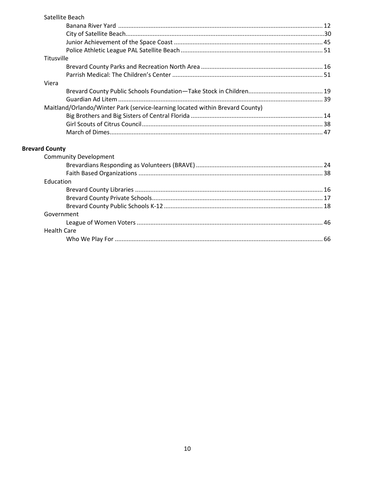| Satellite Beach                                                               |  |
|-------------------------------------------------------------------------------|--|
|                                                                               |  |
|                                                                               |  |
|                                                                               |  |
|                                                                               |  |
| Titusville                                                                    |  |
|                                                                               |  |
|                                                                               |  |
| Viera                                                                         |  |
|                                                                               |  |
|                                                                               |  |
| Maitland/Orlando/Winter Park (service-learning located within Brevard County) |  |
|                                                                               |  |
|                                                                               |  |
|                                                                               |  |
|                                                                               |  |

#### **Brevard County**

| <b>Community Development</b> |  |
|------------------------------|--|
|                              |  |
|                              |  |
| Education                    |  |
|                              |  |
|                              |  |
|                              |  |
| Government                   |  |
|                              |  |
| <b>Health Care</b>           |  |
|                              |  |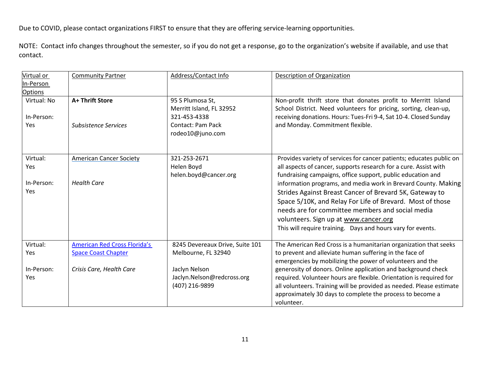| Virtual or     | <b>Community Partner</b>            | Address/Contact Info            | <b>Description of Organization</b>                                   |
|----------------|-------------------------------------|---------------------------------|----------------------------------------------------------------------|
| In-Person      |                                     |                                 |                                                                      |
| <b>Options</b> |                                     |                                 |                                                                      |
| Virtual: No    | A+ Thrift Store                     | 95 S Plumosa St,                | Non-profit thrift store that donates profit to Merritt Island        |
|                |                                     | Merritt Island, FL 32952        | School District. Need volunteers for pricing, sorting, clean-up,     |
| In-Person:     |                                     | 321-453-4338                    | receiving donations. Hours: Tues-Fri 9-4, Sat 10-4. Closed Sunday    |
| Yes            | <b>Subsistence Services</b>         | <b>Contact: Pam Pack</b>        | and Monday. Commitment flexible.                                     |
|                |                                     | rodeo10@juno.com                |                                                                      |
|                |                                     |                                 |                                                                      |
|                |                                     |                                 |                                                                      |
| Virtual:       | <b>American Cancer Society</b>      | 321-253-2671                    | Provides variety of services for cancer patients; educates public on |
| Yes            |                                     | Helen Boyd                      | all aspects of cancer, supports research for a cure. Assist with     |
|                |                                     | helen.boyd@cancer.org           | fundraising campaigns, office support, public education and          |
| In-Person:     | <b>Health Care</b>                  |                                 | information programs, and media work in Brevard County. Making       |
| Yes            |                                     |                                 | Strides Against Breast Cancer of Brevard 5K, Gateway to              |
|                |                                     |                                 | Space 5/10K, and Relay For Life of Brevard. Most of those            |
|                |                                     |                                 | needs are for committee members and social media                     |
|                |                                     |                                 | volunteers. Sign up at www.cancer.org                                |
|                |                                     |                                 | This will require training. Days and hours vary for events.          |
|                |                                     |                                 |                                                                      |
| Virtual:       | <b>American Red Cross Florida's</b> | 8245 Devereaux Drive, Suite 101 | The American Red Cross is a humanitarian organization that seeks     |
| Yes            | <b>Space Coast Chapter</b>          | Melbourne, FL 32940             | to prevent and alleviate human suffering in the face of              |
|                |                                     |                                 | emergencies by mobilizing the power of volunteers and the            |
| In-Person:     | Crisis Care, Health Care            | Jaclyn Nelson                   | generosity of donors. Online application and background check        |
| Yes            |                                     | Jaclyn.Nelson@redcross.org      | required. Volunteer hours are flexible. Orientation is required for  |
|                |                                     | (407) 216-9899                  | all volunteers. Training will be provided as needed. Please estimate |
|                |                                     |                                 | approximately 30 days to complete the process to become a            |
|                |                                     |                                 | volunteer.                                                           |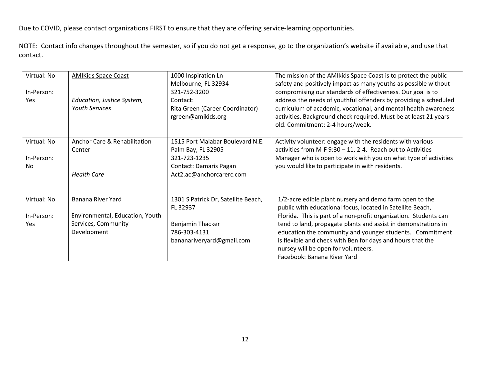| Virtual: No | <b>AMIKids Space Coast</b>      | 1000 Inspiration Ln<br>Melbourne, FL 32934 | The mission of the AMIkids Space Coast is to protect the public<br>safety and positively impact as many youths as possible without |
|-------------|---------------------------------|--------------------------------------------|------------------------------------------------------------------------------------------------------------------------------------|
| In-Person:  |                                 | 321-752-3200                               | compromising our standards of effectiveness. Our goal is to                                                                        |
| Yes         | Education, Justice System,      | Contact:                                   | address the needs of youthful offenders by providing a scheduled                                                                   |
|             | <b>Youth Services</b>           | Rita Green (Career Coordinator)            | curriculum of academic, vocational, and mental health awareness                                                                    |
|             |                                 | rgreen@amikids.org                         | activities. Background check required. Must be at least 21 years                                                                   |
|             |                                 |                                            | old. Commitment: 2-4 hours/week.                                                                                                   |
|             |                                 |                                            |                                                                                                                                    |
| Virtual: No | Anchor Care & Rehabilitation    | 1515 Port Malabar Boulevard N.E.           | Activity volunteer: engage with the residents with various                                                                         |
|             | Center                          | Palm Bay, FL 32905                         | activities from M-F 9:30 - 11, 2-4. Reach out to Activities                                                                        |
| In-Person:  |                                 | 321-723-1235                               | Manager who is open to work with you on what type of activities                                                                    |
| No.         |                                 | <b>Contact: Damaris Pagan</b>              | you would like to participate in with residents.                                                                                   |
|             | <b>Health Care</b>              | Act2.ac@anchorcarerc.com                   |                                                                                                                                    |
|             |                                 |                                            |                                                                                                                                    |
|             |                                 |                                            |                                                                                                                                    |
| Virtual: No | Banana River Yard               | 1301 S Patrick Dr, Satellite Beach,        | 1/2-acre edible plant nursery and demo farm open to the                                                                            |
|             |                                 | FL 32937                                   | public with educational focus, located in Satellite Beach,                                                                         |
| In-Person:  | Environmental, Education, Youth |                                            | Florida. This is part of a non-profit organization. Students can                                                                   |
| Yes         | Services, Community             | Benjamin Thacker                           | tend to land, propagate plants and assist in demonstrations in                                                                     |
|             | Development                     | 786-303-4131                               | education the community and younger students. Commitment                                                                           |
|             |                                 | bananariveryard@gmail.com                  | is flexible and check with Ben for days and hours that the<br>nursey will be open for volunteers.                                  |
|             |                                 |                                            | Facebook: Banana River Yard                                                                                                        |
|             |                                 |                                            |                                                                                                                                    |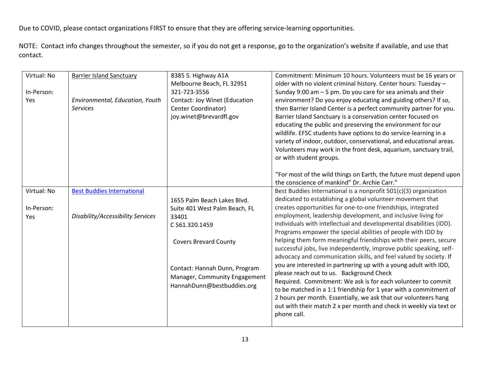| Virtual: No | <b>Barrier Island Sanctuary</b>   | 8385 S. Highway A1A           | Commitment: Minimum 10 hours. Volunteers must be 16 years or        |
|-------------|-----------------------------------|-------------------------------|---------------------------------------------------------------------|
|             |                                   | Melbourne Beach, FL 32951     | older with no violent criminal history. Center hours: Tuesday -     |
| In-Person:  |                                   | 321-723-3556                  | Sunday 9:00 am $-5$ pm. Do you care for sea animals and their       |
| Yes         | Environmental, Education, Youth   | Contact: Joy Winet (Education | environment? Do you enjoy educating and guiding others? If so,      |
|             | <b>Services</b>                   | Center Coordinator)           | then Barrier Island Center is a perfect community partner for you.  |
|             |                                   | joy.winet@brevardfl.gov       | Barrier Island Sanctuary is a conservation center focused on        |
|             |                                   |                               | educating the public and preserving the environment for our         |
|             |                                   |                               | wildlife. EFSC students have options to do service-learning in a    |
|             |                                   |                               | variety of indoor, outdoor, conservational, and educational areas.  |
|             |                                   |                               | Volunteers may work in the front desk, aquarium, sanctuary trail,   |
|             |                                   |                               | or with student groups.                                             |
|             |                                   |                               | "For most of the wild things on Earth, the future must depend upon  |
|             |                                   |                               | the conscience of mankind" Dr. Archie Carr."                        |
| Virtual: No | <b>Best Buddies International</b> |                               | Best Buddies International is a nonprofit 501(c)(3) organization    |
|             |                                   | 1655 Palm Beach Lakes Blvd.   | dedicated to establishing a global volunteer movement that          |
| In-Person:  |                                   | Suite 401 West Palm Beach, FL | creates opportunities for one-to-one friendships, integrated        |
| Yes         | Disability/Accessibility Services | 33401                         | employment, leadership development, and inclusive living for        |
|             |                                   | C 561.320.1459                | individuals with intellectual and developmental disabilities (IDD). |
|             |                                   |                               | Programs empower the special abilities of people with IDD by        |
|             |                                   | <b>Covers Brevard County</b>  | helping them form meaningful friendships with their peers, secure   |
|             |                                   |                               | successful jobs, live independently, improve public speaking, self- |
|             |                                   |                               | advocacy and communication skills, and feel valued by society. If   |
|             |                                   | Contact: Hannah Dunn, Program | you are interested in partnering up with a young adult with IDD,    |
|             |                                   | Manager, Community Engagement | please reach out to us. Background Check                            |
|             |                                   | HannahDunn@bestbuddies.org    | Required. Commitment: We ask is for each volunteer to commit        |
|             |                                   |                               | to be matched in a 1:1 friendship for 1 year with a commitment of   |
|             |                                   |                               | 2 hours per month. Essentially, we ask that our volunteers hang     |
|             |                                   |                               | out with their match 2 x per month and check in weekly via text or  |
|             |                                   |                               | phone call.                                                         |
|             |                                   |                               |                                                                     |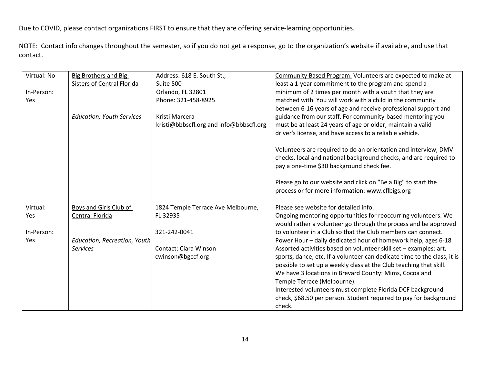| Virtual: No | <b>Big Brothers and Big</b>      | Address: 618 E. South St.,              | Community Based Program: Volunteers are expected to make at              |
|-------------|----------------------------------|-----------------------------------------|--------------------------------------------------------------------------|
|             | Sisters of Central Florida       | Suite 500                               | least a 1-year commitment to the program and spend a                     |
| In-Person:  |                                  | Orlando, FL 32801                       | minimum of 2 times per month with a youth that they are                  |
| Yes         |                                  | Phone: 321-458-8925                     | matched with. You will work with a child in the community                |
|             |                                  |                                         | between 6-16 years of age and receive professional support and           |
|             | <b>Education, Youth Services</b> | Kristi Marcera                          | guidance from our staff. For community-based mentoring you               |
|             |                                  | kristi@bbbscfl.org and info@bbbscfl.org | must be at least 24 years of age or older, maintain a valid              |
|             |                                  |                                         | driver's license, and have access to a reliable vehicle.                 |
|             |                                  |                                         |                                                                          |
|             |                                  |                                         | Volunteers are required to do an orientation and interview, DMV          |
|             |                                  |                                         | checks, local and national background checks, and are required to        |
|             |                                  |                                         | pay a one-time \$30 background check fee.                                |
|             |                                  |                                         |                                                                          |
|             |                                  |                                         | Please go to our website and click on "Be a Big" to start the            |
|             |                                  |                                         | process or for more information: www.cflbigs.org                         |
|             |                                  |                                         |                                                                          |
| Virtual:    | Boys and Girls Club of           | 1824 Temple Terrace Ave Melbourne,      | Please see website for detailed info.                                    |
| Yes         | Central Florida                  | FL 32935                                | Ongoing mentoring opportunities for reoccurring volunteers. We           |
|             |                                  |                                         | would rather a volunteer go through the process and be approved          |
| In-Person:  |                                  | 321-242-0041                            | to volunteer in a Club so that the Club members can connect.             |
| Yes         | Education, Recreation, Youth     |                                         | Power Hour - daily dedicated hour of homework help, ages 6-18            |
|             | <b>Services</b>                  | Contact: Ciara Winson                   | Assorted activities based on volunteer skill set - examples: art,        |
|             |                                  | cwinson@bgccf.org                       | sports, dance, etc. If a volunteer can dedicate time to the class, it is |
|             |                                  |                                         | possible to set up a weekly class at the Club teaching that skill.       |
|             |                                  |                                         | We have 3 locations in Brevard County: Mims, Cocoa and                   |
|             |                                  |                                         | Temple Terrace (Melbourne).                                              |
|             |                                  |                                         | Interested volunteers must complete Florida DCF background               |
|             |                                  |                                         | check, \$68.50 per person. Student required to pay for background        |
|             |                                  |                                         |                                                                          |
|             |                                  |                                         | check.                                                                   |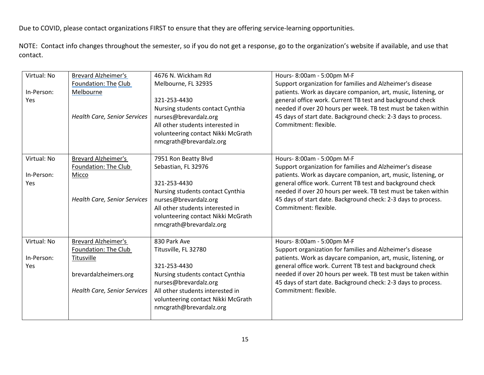| Virtual: No | <b>Brevard Alzheimer's</b>          | 4676 N. Wickham Rd                 | Hours-8:00am - 5:00pm M-F                                      |
|-------------|-------------------------------------|------------------------------------|----------------------------------------------------------------|
|             | Foundation: The Club                | Melbourne, FL 32935                | Support organization for families and Alzheimer's disease      |
| In-Person:  | Melbourne                           |                                    | patients. Work as daycare companion, art, music, listening, or |
| <b>Yes</b>  |                                     | 321-253-4430                       | general office work. Current TB test and background check      |
|             |                                     | Nursing students contact Cynthia   | needed if over 20 hours per week. TB test must be taken within |
|             | <b>Health Care, Senior Services</b> | nurses@brevardalz.org              | 45 days of start date. Background check: 2-3 days to process.  |
|             |                                     | All other students interested in   | Commitment: flexible.                                          |
|             |                                     | volunteering contact Nikki McGrath |                                                                |
|             |                                     | nmcgrath@brevardalz.org            |                                                                |
|             |                                     |                                    |                                                                |
| Virtual: No | <b>Brevard Alzheimer's</b>          | 7951 Ron Beatty Blvd               | Hours-8:00am - 5:00pm M-F                                      |
|             | Foundation: The Club                | Sebastian, FL 32976                | Support organization for families and Alzheimer's disease      |
| In-Person:  | Micco                               |                                    | patients. Work as daycare companion, art, music, listening, or |
| Yes         |                                     | 321-253-4430                       | general office work. Current TB test and background check      |
|             |                                     | Nursing students contact Cynthia   | needed if over 20 hours per week. TB test must be taken within |
|             | <b>Health Care, Senior Services</b> | nurses@brevardalz.org              | 45 days of start date. Background check: 2-3 days to process.  |
|             |                                     | All other students interested in   | Commitment: flexible.                                          |
|             |                                     | volunteering contact Nikki McGrath |                                                                |
|             |                                     | nmcgrath@brevardalz.org            |                                                                |
| Virtual: No | <b>Brevard Alzheimer's</b>          | 830 Park Ave                       | Hours-8:00am - 5:00pm M-F                                      |
|             | Foundation: The Club                | Titusville, FL 32780               | Support organization for families and Alzheimer's disease      |
| In-Person:  | Titusville                          |                                    | patients. Work as daycare companion, art, music, listening, or |
| Yes         |                                     | 321-253-4430                       | general office work. Current TB test and background check      |
|             | brevardalzheimers.org               | Nursing students contact Cynthia   | needed if over 20 hours per week. TB test must be taken within |
|             |                                     | nurses@brevardalz.org              | 45 days of start date. Background check: 2-3 days to process.  |
|             | <b>Health Care, Senior Services</b> | All other students interested in   | Commitment: flexible.                                          |
|             |                                     | volunteering contact Nikki McGrath |                                                                |
|             |                                     | nmcgrath@brevardalz.org            |                                                                |
|             |                                     |                                    |                                                                |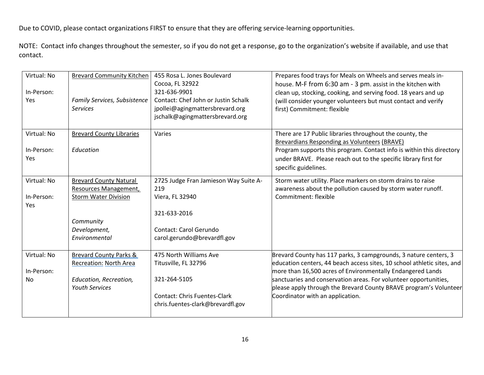| Virtual: No | <b>Brevard Community Kitchen</b>  | 455 Rosa L. Jones Boulevard           | Prepares food trays for Meals on Wheels and serves meals in-            |
|-------------|-----------------------------------|---------------------------------------|-------------------------------------------------------------------------|
|             |                                   | Cocoa, FL 32922                       | house. M-F from 6:30 am - 3 pm. assist in the kitchen with              |
| In-Person:  |                                   | 321-636-9901                          | clean up, stocking, cooking, and serving food. 18 years and up          |
| <b>Yes</b>  | Family Services, Subsistence      | Contact: Chef John or Justin Schalk   | (will consider younger volunteers but must contact and verify           |
|             | <b>Services</b>                   | jpollei@agingmattersbrevard.org       | first) Commitment: flexible                                             |
|             |                                   | jschalk@agingmattersbrevard.org       |                                                                         |
|             |                                   |                                       |                                                                         |
| Virtual: No | <b>Brevard County Libraries</b>   | Varies                                | There are 17 Public libraries throughout the county, the                |
|             |                                   |                                       | Brevardians Responding as Volunteers (BRAVE)                            |
| In-Person:  | Education                         |                                       | Program supports this program. Contact info is within this directory    |
| Yes         |                                   |                                       | under BRAVE. Please reach out to the specific library first for         |
|             |                                   |                                       | specific guidelines.                                                    |
| Virtual: No | <b>Brevard County Natural</b>     | 2725 Judge Fran Jamieson Way Suite A- | Storm water utility. Place markers on storm drains to raise             |
|             | <b>Resources Management,</b>      | 219                                   | awareness about the pollution caused by storm water runoff.             |
| In-Person:  | <b>Storm Water Division</b>       | Viera, FL 32940                       | Commitment: flexible                                                    |
| Yes         |                                   |                                       |                                                                         |
|             |                                   | 321-633-2016                          |                                                                         |
|             | Community                         |                                       |                                                                         |
|             | Development,                      | Contact: Carol Gerundo                |                                                                         |
|             | Environmental                     | carol.gerundo@brevardfl.gov           |                                                                         |
|             |                                   |                                       |                                                                         |
| Virtual: No | <b>Brevard County Parks &amp;</b> | 475 North Williams Ave                | Brevard County has 117 parks, 3 campgrounds, 3 nature centers, 3        |
|             | Recreation: North Area            | Titusville, FL 32796                  | education centers, 44 beach access sites, 10 school athletic sites, and |
| In-Person:  |                                   |                                       | more than 16,500 acres of Environmentally Endangered Lands              |
| No.         | Education, Recreation,            | 321-264-5105                          | sanctuaries and conservation areas. For volunteer opportunities,        |
|             | <b>Youth Services</b>             |                                       | please apply through the Brevard County BRAVE program's Volunteer       |
|             |                                   | <b>Contact: Chris Fuentes-Clark</b>   | Coordinator with an application.                                        |
|             |                                   | chris.fuentes-clark@brevardfl.gov     |                                                                         |
|             |                                   |                                       |                                                                         |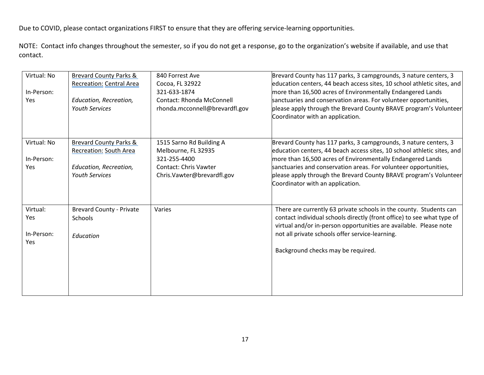| Virtual: No<br>In-Person:<br>Yes            | <b>Brevard County Parks &amp;</b><br>Recreation: Central Area<br>Education, Recreation,<br><b>Youth Services</b>      | 840 Forrest Ave<br>Cocoa, FL 32922<br>321-633-1874<br>Contact: Rhonda McConnell<br>rhonda.mcconnell@brevardfl.gov             | Brevard County has 117 parks, 3 campgrounds, 3 nature centers, 3<br>education centers, 44 beach access sites, 10 school athletic sites, and<br>more than 16,500 acres of Environmentally Endangered Lands<br>sanctuaries and conservation areas. For volunteer opportunities,<br>please apply through the Brevard County BRAVE program's Volunteer<br>Coordinator with an application. |
|---------------------------------------------|-----------------------------------------------------------------------------------------------------------------------|-------------------------------------------------------------------------------------------------------------------------------|----------------------------------------------------------------------------------------------------------------------------------------------------------------------------------------------------------------------------------------------------------------------------------------------------------------------------------------------------------------------------------------|
| Virtual: No<br>In-Person:<br>Yes            | <b>Brevard County Parks &amp;</b><br><b>Recreation: South Area</b><br>Education, Recreation,<br><b>Youth Services</b> | 1515 Sarno Rd Building A<br>Melbourne, FL 32935<br>321-255-4400<br><b>Contact: Chris Vawter</b><br>Chris.Vawter@brevardfl.gov | Brevard County has 117 parks, 3 campgrounds, 3 nature centers, 3<br>education centers, 44 beach access sites, 10 school athletic sites, and<br>more than 16,500 acres of Environmentally Endangered Lands<br>sanctuaries and conservation areas. For volunteer opportunities,<br>please apply through the Brevard County BRAVE program's Volunteer<br>Coordinator with an application. |
| Virtual:<br><b>Yes</b><br>In-Person:<br>Yes | <b>Brevard County - Private</b><br>Schools<br>Education                                                               | Varies                                                                                                                        | There are currently 63 private schools in the county. Students can<br>contact individual schools directly (front office) to see what type of<br>virtual and/or in-person opportunities are available. Please note<br>not all private schools offer service-learning.<br>Background checks may be required.                                                                             |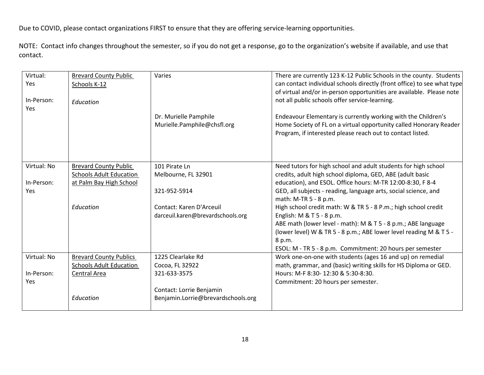| Virtual:<br>Yes<br>In-Person: | <b>Brevard County Public</b><br>Schools K-12              | Varies                             | There are currently 123 K-12 Public Schools in the county. Students<br>can contact individual schools directly (front office) to see what type<br>of virtual and/or in-person opportunities are available. Please note<br>not all public schools offer service-learning. |
|-------------------------------|-----------------------------------------------------------|------------------------------------|--------------------------------------------------------------------------------------------------------------------------------------------------------------------------------------------------------------------------------------------------------------------------|
| Yes                           | Education                                                 |                                    |                                                                                                                                                                                                                                                                          |
|                               |                                                           | Dr. Murielle Pamphile              | Endeavour Elementary is currently working with the Children's                                                                                                                                                                                                            |
|                               |                                                           | Murielle.Pamphile@chsfl.org        | Home Society of FL on a virtual opportunity called Honorary Reader<br>Program, if interested please reach out to contact listed.                                                                                                                                         |
|                               |                                                           |                                    |                                                                                                                                                                                                                                                                          |
| Virtual: No                   | <b>Brevard County Public</b>                              | 101 Pirate Ln                      | Need tutors for high school and adult students for high school                                                                                                                                                                                                           |
| In-Person:                    | <b>Schools Adult Education</b><br>at Palm Bay High School | Melbourne, FL 32901                | credits, adult high school diploma, GED, ABE (adult basic<br>education), and ESOL. Office hours: M-TR 12:00-8:30, F 8-4                                                                                                                                                  |
| Yes                           |                                                           | 321-952-5914                       | GED, all subjects - reading, language arts, social science, and<br>math: M-TR 5 - 8 p.m.                                                                                                                                                                                 |
|                               | Education                                                 | <b>Contact: Karen D'Arceuil</b>    | High school credit math: W & TR 5 - 8 P.m.; high school credit                                                                                                                                                                                                           |
|                               |                                                           | darceuil.karen@brevardschools.org  | English: $M & T$ 5 - 8 p.m.<br>ABE math (lower level - math): M & T 5 - 8 p.m.; ABE language                                                                                                                                                                             |
|                               |                                                           |                                    | (lower level) W & TR 5 - 8 p.m.; ABE lower level reading M & T 5 -                                                                                                                                                                                                       |
|                               |                                                           |                                    | 8 p.m.                                                                                                                                                                                                                                                                   |
|                               |                                                           |                                    | ESOL: M - TR 5 - 8 p.m. Commitment: 20 hours per semester                                                                                                                                                                                                                |
| Virtual: No                   | <b>Brevard County Publics</b>                             | 1225 Clearlake Rd                  | Work one-on-one with students (ages 16 and up) on remedial                                                                                                                                                                                                               |
|                               | <b>Schools Adult Education</b>                            | Cocoa, FL 32922                    | math, grammar, and (basic) writing skills for HS Diploma or GED.                                                                                                                                                                                                         |
| In-Person:<br>Yes             | Central Area                                              | 321-633-3575                       | Hours: M-F 8:30-12:30 & 5:30-8:30.                                                                                                                                                                                                                                       |
|                               |                                                           | Contact: Lorrie Benjamin           | Commitment: 20 hours per semester.                                                                                                                                                                                                                                       |
|                               | Education                                                 | Benjamin.Lorrie@brevardschools.org |                                                                                                                                                                                                                                                                          |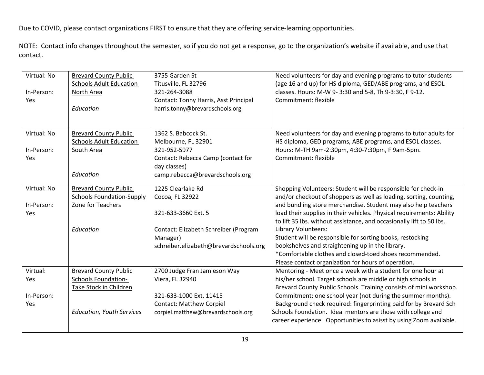| Virtual: No | <b>Brevard County Public</b><br><b>Schools Adult Education</b> | 3755 Garden St<br>Titusville, FL 32796 | Need volunteers for day and evening programs to tutor students<br>(age 16 and up) for HS diploma, GED/ABE programs, and ESOL |
|-------------|----------------------------------------------------------------|----------------------------------------|------------------------------------------------------------------------------------------------------------------------------|
| In-Person:  | North Area                                                     | 321-264-3088                           | classes. Hours: M-W 9-3:30 and 5-8, Th 9-3:30, F 9-12.                                                                       |
| Yes         |                                                                | Contact: Tonny Harris, Asst Principal  | Commitment: flexible                                                                                                         |
|             | Education                                                      | harris.tonny@brevardschools.org        |                                                                                                                              |
|             |                                                                |                                        |                                                                                                                              |
|             |                                                                |                                        |                                                                                                                              |
| Virtual: No | <b>Brevard County Public</b>                                   | 1362 S. Babcock St.                    | Need volunteers for day and evening programs to tutor adults for                                                             |
|             | <b>Schools Adult Education</b>                                 | Melbourne, FL 32901                    | HS diploma, GED programs, ABE programs, and ESOL classes.                                                                    |
| In-Person:  | South Area                                                     | 321-952-5977                           | Hours: M-TH 9am-2:30pm, 4:30-7:30pm, F 9am-5pm.                                                                              |
| Yes         |                                                                | Contact: Rebecca Camp (contact for     | Commitment: flexible                                                                                                         |
|             |                                                                | day classes)                           |                                                                                                                              |
|             | Education                                                      | camp.rebecca@brevardschools.org        |                                                                                                                              |
| Virtual: No | <b>Brevard County Public</b>                                   | 1225 Clearlake Rd                      | Shopping Volunteers: Student will be responsible for check-in                                                                |
|             | <b>Schools Foundation-Supply</b>                               | Cocoa, FL 32922                        | and/or checkout of shoppers as well as loading, sorting, counting,                                                           |
| In-Person:  | Zone for Teachers                                              |                                        | and bundling store merchandise. Student may also help teachers                                                               |
| Yes         |                                                                | 321-633-3660 Ext. 5                    | load their supplies in their vehicles. Physical requirements: Ability                                                        |
|             |                                                                |                                        | to lift 35 lbs. without assistance, and occasionally lift to 50 lbs.                                                         |
|             | Education                                                      | Contact: Elizabeth Schreiber (Program  | Library Volunteers:                                                                                                          |
|             |                                                                | Manager)                               | Student will be responsible for sorting books, restocking                                                                    |
|             |                                                                | schreiber.elizabeth@brevardschools.org | bookshelves and straightening up in the library.                                                                             |
|             |                                                                |                                        | *Comfortable clothes and closed-toed shoes recommended.                                                                      |
|             |                                                                |                                        | Please contact organization for hours of operation.                                                                          |
| Virtual:    | <b>Brevard County Public</b>                                   | 2700 Judge Fran Jamieson Way           | Mentoring - Meet once a week with a student for one hour at                                                                  |
| Yes         | <b>Schools Foundation-</b>                                     | Viera, FL 32940                        | his/her school. Target schools are middle or high schools in                                                                 |
|             | Take Stock in Children                                         |                                        | Brevard County Public Schools. Training consists of mini workshop.                                                           |
| In-Person:  |                                                                | 321-633-1000 Ext. 11415                | Commitment: one school year (not during the summer months).                                                                  |
| Yes         |                                                                | <b>Contact: Matthew Corpiel</b>        | Background check required: fingerprinting paid for by Brevard Sch                                                            |
|             | <b>Education, Youth Services</b>                               | corpiel.matthew@brevardschools.org     | Schools Foundation. Ideal mentors are those with college and                                                                 |
|             |                                                                |                                        | career experience. Opportunities to asisst by using Zoom available.                                                          |
|             |                                                                |                                        |                                                                                                                              |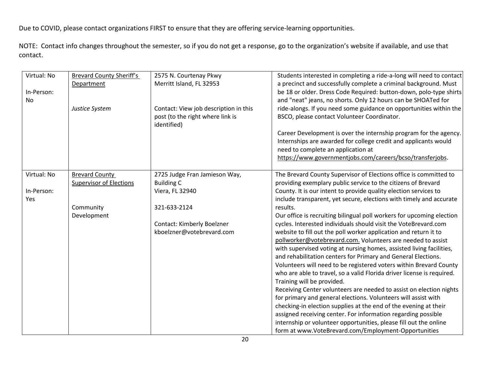| Virtual: No<br>In-Person:<br><b>No</b> | <b>Brevard County Sheriff's</b><br>Department           | 2575 N. Courtenay Pkwy<br>Merritt Island, FL 32953                                       | Students interested in completing a ride-a-long will need to contact<br>a precinct and successfully complete a criminal background. Must<br>be 18 or older. Dress Code Required: button-down, polo-type shirts<br>and "neat" jeans, no shorts. Only 12 hours can be SHOATed for |
|----------------------------------------|---------------------------------------------------------|------------------------------------------------------------------------------------------|---------------------------------------------------------------------------------------------------------------------------------------------------------------------------------------------------------------------------------------------------------------------------------|
|                                        | Justice System                                          | Contact: View job description in this<br>post (to the right where link is<br>identified) | ride-alongs. If you need some guidance on opportunities within the<br>BSCO, please contact Volunteer Coordinator.                                                                                                                                                               |
|                                        |                                                         |                                                                                          | Career Development is over the internship program for the agency.<br>Internships are awarded for college credit and applicants would<br>need to complete an application at                                                                                                      |
|                                        |                                                         |                                                                                          | https://www.governmentjobs.com/careers/bcso/transferjobs.                                                                                                                                                                                                                       |
| Virtual: No                            | <b>Brevard County</b><br><b>Supervisor of Elections</b> | 2725 Judge Fran Jamieson Way,<br><b>Building C</b>                                       | The Brevard County Supervisor of Elections office is committed to<br>providing exemplary public service to the citizens of Brevard                                                                                                                                              |
| In-Person:                             |                                                         | Viera, FL 32940                                                                          | County. It is our intent to provide quality election services to                                                                                                                                                                                                                |
| Yes                                    |                                                         |                                                                                          | include transparent, yet secure, elections with timely and accurate                                                                                                                                                                                                             |
|                                        | Community                                               | 321-633-2124                                                                             | results.                                                                                                                                                                                                                                                                        |
|                                        | Development                                             |                                                                                          | Our office is recruiting bilingual poll workers for upcoming election                                                                                                                                                                                                           |
|                                        |                                                         | <b>Contact: Kimberly Boelzner</b>                                                        | cycles. Interested individuals should visit the VoteBrevard.com                                                                                                                                                                                                                 |
|                                        |                                                         | kboelzner@votebrevard.com                                                                | website to fill out the poll worker application and return it to                                                                                                                                                                                                                |
|                                        |                                                         |                                                                                          | pollworker@votebrevard.com. Volunteers are needed to assist                                                                                                                                                                                                                     |
|                                        |                                                         |                                                                                          | with supervised voting at nursing homes, assisted living facilities,<br>and rehabilitation centers for Primary and General Elections.                                                                                                                                           |
|                                        |                                                         |                                                                                          | Volunteers will need to be registered voters within Brevard County                                                                                                                                                                                                              |
|                                        |                                                         |                                                                                          | who are able to travel, so a valid Florida driver license is required.                                                                                                                                                                                                          |
|                                        |                                                         |                                                                                          | Training will be provided.                                                                                                                                                                                                                                                      |
|                                        |                                                         |                                                                                          | Receiving Center volunteers are needed to assist on election nights                                                                                                                                                                                                             |
|                                        |                                                         |                                                                                          | for primary and general elections. Volunteers will assist with                                                                                                                                                                                                                  |
|                                        |                                                         |                                                                                          | checking-in election supplies at the end of the evening at their                                                                                                                                                                                                                |
|                                        |                                                         |                                                                                          | assigned receiving center. For information regarding possible                                                                                                                                                                                                                   |
|                                        |                                                         |                                                                                          | internship or volunteer opportunities, please fill out the online                                                                                                                                                                                                               |
|                                        |                                                         |                                                                                          | form at www.VoteBrevard.com/Employment-Opportunities                                                                                                                                                                                                                            |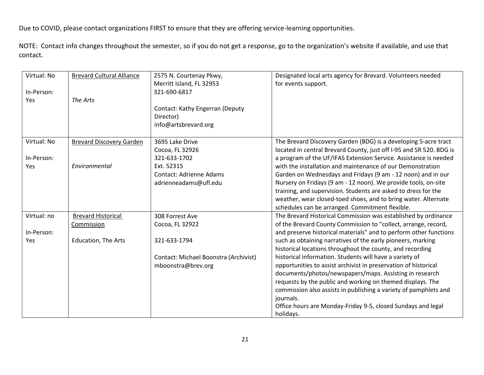| Virtual: No<br>In-Person: | <b>Brevard Cultural Alliance</b> | 2575 N. Courtenay Pkwy,<br>Merritt Island, FL 32953<br>321-690-6817 | Designated local arts agency for Brevard. Volunteers needed<br>for events support.                                |
|---------------------------|----------------------------------|---------------------------------------------------------------------|-------------------------------------------------------------------------------------------------------------------|
| Yes                       | The Arts                         |                                                                     |                                                                                                                   |
|                           |                                  | Contact: Kathy Engerran (Deputy<br>Director)                        |                                                                                                                   |
|                           |                                  | info@artsbrevard.org                                                |                                                                                                                   |
|                           |                                  |                                                                     |                                                                                                                   |
| Virtual: No               | <b>Brevard Discovery Garden</b>  | 3695 Lake Drive                                                     | The Brevard Discovery Garden (BDG) is a developing 5-acre tract                                                   |
|                           |                                  | Cocoa, FL 32926                                                     | located in central Brevard County, just off I-95 and SR 520. BDG is                                               |
| In-Person:                |                                  | 321-633-1702                                                        | a program of the UF/IFAS Extension Service. Assistance is needed                                                  |
| <b>Yes</b>                | Environmental                    | Ext. 52315                                                          | with the installation and maintenance of our Demonstration                                                        |
|                           |                                  | <b>Contact: Adrienne Adams</b>                                      | Garden on Wednesdays and Fridays (9 am - 12 noon) and in our                                                      |
|                           |                                  | adrienneadams@ufl.edu                                               | Nursery on Fridays (9 am - 12 noon). We provide tools, on-site                                                    |
|                           |                                  |                                                                     | training, and supervision. Students are asked to dress for the                                                    |
|                           |                                  |                                                                     | weather, wear closed-toed shoes, and to bring water. Alternate<br>schedules can be arranged. Commitment flexible. |
| Virtual: no               | <b>Brevard Historical</b>        | 308 Forrest Ave                                                     | The Brevard Historical Commission was established by ordinance                                                    |
|                           | Commission                       | Cocoa, FL 32922                                                     | of the Brevard County Commission to "collect, arrange, record,                                                    |
| In-Person:                |                                  |                                                                     | and preserve historical materials" and to perform other functions                                                 |
| Yes                       | Education, The Arts              | 321-633-1794                                                        | such as obtaining narratives of the early pioneers, marking                                                       |
|                           |                                  |                                                                     | historical locations throughout the county, and recording                                                         |
|                           |                                  | Contact: Michael Boonstra (Archivist)                               | historical information. Students will have a variety of                                                           |
|                           |                                  | mboonstra@brev.org                                                  | opportunities to assist archivist in preservation of historical                                                   |
|                           |                                  |                                                                     | documents/photos/newspapers/maps. Assisting in research                                                           |
|                           |                                  |                                                                     | requests by the public and working on themed displays. The                                                        |
|                           |                                  |                                                                     | commission also assists in publishing a variety of pamphlets and                                                  |
|                           |                                  |                                                                     | journals.                                                                                                         |
|                           |                                  |                                                                     | Office hours are Monday-Friday 9-5, closed Sundays and legal                                                      |
|                           |                                  |                                                                     | holidays.                                                                                                         |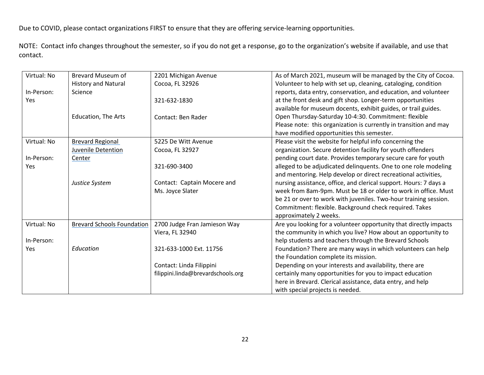| Virtual: No | <b>Brevard Museum of</b>          | 2201 Michigan Avenue               | As of March 2021, museum will be managed by the City of Cocoa.    |
|-------------|-----------------------------------|------------------------------------|-------------------------------------------------------------------|
|             | History and Natural               | Cocoa, FL 32926                    | Volunteer to help with set up, cleaning, cataloging, condition    |
| In-Person:  | Science                           |                                    | reports, data entry, conservation, and education, and volunteer   |
| Yes         |                                   | 321-632-1830                       | at the front desk and gift shop. Longer-term opportunities        |
|             |                                   |                                    | available for museum docents, exhibit guides, or trail guides.    |
|             | Education, The Arts               | <b>Contact: Ben Rader</b>          | Open Thursday-Saturday 10-4:30. Commitment: flexible              |
|             |                                   |                                    | Please note: this organization is currently in transition and may |
|             |                                   |                                    | have modified opportunities this semester.                        |
| Virtual: No | <b>Brevard Regional</b>           | 5225 De Witt Avenue                | Please visit the website for helpful info concerning the          |
|             | Juvenile Detention                | Cocoa, FL 32927                    | organization. Secure detention facility for youth offenders       |
| In-Person:  | Center                            |                                    | pending court date. Provides temporary secure care for youth      |
| Yes         |                                   | 321-690-3400                       | alleged to be adjudicated delinquents. One to one role modeling   |
|             |                                   |                                    | and mentoring. Help develop or direct recreational activities,    |
|             | Justice System                    | Contact: Captain Mocere and        | nursing assistance, office, and clerical support. Hours: 7 days a |
|             |                                   | Ms. Joyce Slater                   | week from 8am-9pm. Must be 18 or older to work in office. Must    |
|             |                                   |                                    | be 21 or over to work with juveniles. Two-hour training session.  |
|             |                                   |                                    | Commitment: flexible. Background check required. Takes            |
|             |                                   |                                    | approximately 2 weeks.                                            |
| Virtual: No | <b>Brevard Schools Foundation</b> | 2700 Judge Fran Jamieson Way       | Are you looking for a volunteer opportunity that directly impacts |
|             |                                   | Viera, FL 32940                    | the community in which you live? How about an opportunity to      |
| In-Person:  |                                   |                                    | help students and teachers through the Brevard Schools            |
| Yes         | Education                         | 321-633-1000 Ext. 11756            | Foundation? There are many ways in which volunteers can help      |
|             |                                   |                                    | the Foundation complete its mission.                              |
|             |                                   | Contact: Linda Filippini           | Depending on your interests and availability, there are           |
|             |                                   | filippini.linda@brevardschools.org | certainly many opportunities for you to impact education          |
|             |                                   |                                    | here in Brevard. Clerical assistance, data entry, and help        |
|             |                                   |                                    | with special projects is needed.                                  |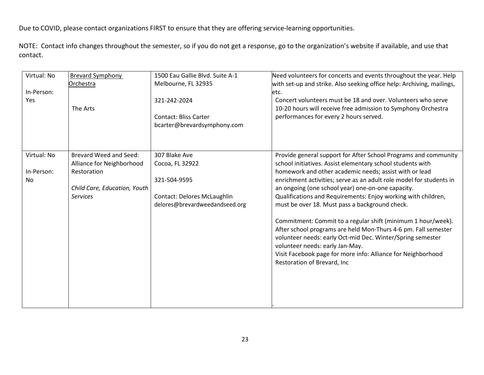| Virtual: No       | <b>Brevard Symphony</b>       | 1500 Eau Gallie Blvd. Suite A-1                                             | Need volunteers for concerts and events throughout the year. Help                                                                                                               |
|-------------------|-------------------------------|-----------------------------------------------------------------------------|---------------------------------------------------------------------------------------------------------------------------------------------------------------------------------|
|                   | Orchestra                     | Melbourne, FL 32935                                                         | with set-up and strike. Also seeking office help: Archiving, mailings,                                                                                                          |
| In-Person:<br>Yes | The Arts                      | 321-242-2024<br><b>Contact: Bliss Carter</b><br>bcarter@brevardsymphony.com | etc.<br>Concert volunteers must be 18 and over. Volunteers who serve<br>10-20 hours will receive free admission to Symphony Orchestra<br>performances for every 2 hours served. |
| Virtual: No       | <b>Brevard Weed and Seed:</b> | 307 Blake Ave                                                               | Provide general support for After School Programs and community                                                                                                                 |
|                   | Alliance for Neighborhood     | Cocoa, FL 32922                                                             | school initiatives. Assist elementary school students with                                                                                                                      |
| In-Person:        | Restoration                   |                                                                             | homework and other academic needs; assist with or lead                                                                                                                          |
| No                |                               | 321-504-9595                                                                | enrichment activities; serve as an adult role model for students in                                                                                                             |
|                   | Child Care, Education, Youth  |                                                                             | an ongoing (one school year) one-on-one capacity.                                                                                                                               |
|                   | <b>Services</b>               | <b>Contact: Delores McLaughlin</b>                                          | Qualifications and Requirements: Enjoy working with children,                                                                                                                   |
|                   |                               | delores@brevardweedandseed.org                                              | must be over 18. Must pass a background check.                                                                                                                                  |
|                   |                               |                                                                             | Commitment: Commit to a regular shift (minimum 1 hour/week).                                                                                                                    |
|                   |                               |                                                                             | After school programs are held Mon-Thurs 4-6 pm. Fall semester<br>volunteer needs: early Oct-mid Dec. Winter/Spring semester                                                    |
|                   |                               |                                                                             | volunteer needs: early Jan-May.                                                                                                                                                 |
|                   |                               |                                                                             | Visit Facebook page for more info: Alliance for Neighborhood<br>Restoration of Brevard, Inc                                                                                     |
|                   |                               |                                                                             |                                                                                                                                                                                 |
|                   |                               |                                                                             |                                                                                                                                                                                 |
|                   |                               |                                                                             |                                                                                                                                                                                 |
|                   |                               |                                                                             |                                                                                                                                                                                 |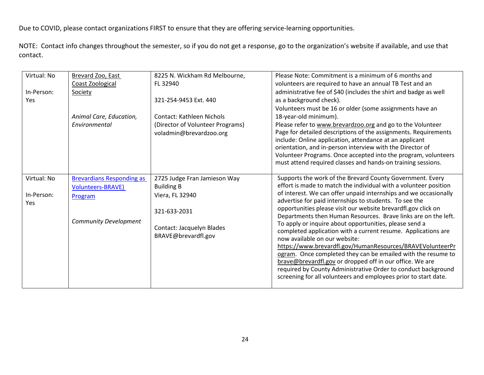| Virtual: No<br>In-Person:<br>Yes        | Brevard Zoo, East<br>Coast Zoological<br>Society                                                        | 8225 N. Wickham Rd Melbourne,<br>FL 32940<br>321-254-9453 Ext. 440                                                                       | Please Note: Commitment is a minimum of 6 months and<br>volunteers are required to have an annual TB Test and an<br>administrative fee of \$40 (includes the shirt and badge as well<br>as a background check).<br>Volunteers must be 16 or older (some assignments have an                                                                                                                                                                                                                                                                                                                                                                                                                                                                                                                                                                                                             |
|-----------------------------------------|---------------------------------------------------------------------------------------------------------|------------------------------------------------------------------------------------------------------------------------------------------|-----------------------------------------------------------------------------------------------------------------------------------------------------------------------------------------------------------------------------------------------------------------------------------------------------------------------------------------------------------------------------------------------------------------------------------------------------------------------------------------------------------------------------------------------------------------------------------------------------------------------------------------------------------------------------------------------------------------------------------------------------------------------------------------------------------------------------------------------------------------------------------------|
|                                         | Animal Care, Education,<br>Environmental                                                                | Contact: Kathleen Nichols<br>(Director of Volunteer Programs)<br>voladmin@brevardzoo.org                                                 | 18-year-old minimum).<br>Please refer to www.brevardzoo.org and go to the Volunteer<br>Page for detailed descriptions of the assignments. Requirements<br>include: Online application, attendance at an applicant<br>orientation, and in-person interview with the Director of<br>Volunteer Programs. Once accepted into the program, volunteers<br>must attend required classes and hands-on training sessions.                                                                                                                                                                                                                                                                                                                                                                                                                                                                        |
| Virtual: No<br>In-Person:<br><b>Yes</b> | <b>Brevardians Responding as</b><br><b>Volunteers-BRAVE)</b><br>Program<br><b>Community Development</b> | 2725 Judge Fran Jamieson Way<br><b>Building B</b><br>Viera, FL 32940<br>321-633-2031<br>Contact: Jacquelyn Blades<br>BRAVE@brevardfl.gov | Supports the work of the Brevard County Government. Every<br>effort is made to match the individual with a volunteer position<br>of interest. We can offer unpaid internships and we occasionally<br>advertise for paid internships to students. To see the<br>opportunities please visit our website brevardfl.gov click on<br>Departments then Human Resources. Brave links are on the left.<br>To apply or inquire about opportunities, please send a<br>completed application with a current resume. Applications are<br>now available on our website:<br>https://www.brevardfl.gov/HumanResources/BRAVEVolunteerPr<br>ogram. Once completed they can be emailed with the resume to<br>brave@brevardfl.gov or dropped off in our office. We are<br>required by County Administrative Order to conduct background<br>screening for all volunteers and employees prior to start date. |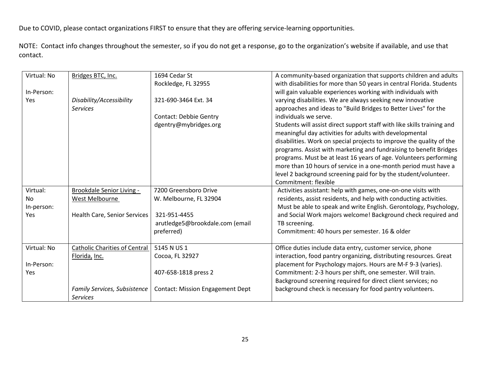|    | Virtual: No | Bridges BTC, Inc.                    | 1694 Cedar St                           | A community-based organization that supports children and adults        |
|----|-------------|--------------------------------------|-----------------------------------------|-------------------------------------------------------------------------|
|    |             |                                      | Rockledge, FL 32955                     | with disabilities for more than 50 years in central Florida. Students   |
|    | In-Person:  |                                      |                                         | will gain valuable experiences working with individuals with            |
|    | Yes         | Disability/Accessibility             | 321-690-3464 Ext. 34                    | varying disabilities. We are always seeking new innovative              |
|    |             | <b>Services</b>                      |                                         | approaches and ideas to "Build Bridges to Better Lives" for the         |
|    |             |                                      | <b>Contact: Debbie Gentry</b>           | individuals we serve.                                                   |
|    |             |                                      | dgentry@mybridges.org                   | Students will assist direct support staff with like skills training and |
|    |             |                                      |                                         | meaningful day activities for adults with developmental                 |
|    |             |                                      |                                         | disabilities. Work on special projects to improve the quality of the    |
|    |             |                                      |                                         | programs. Assist with marketing and fundraising to benefit Bridges      |
|    |             |                                      |                                         | programs. Must be at least 16 years of age. Volunteers performing       |
|    |             |                                      |                                         | more than 10 hours of service in a one-month period must have a         |
|    |             |                                      |                                         | level 2 background screening paid for by the student/volunteer.         |
|    |             |                                      |                                         | Commitment: flexible                                                    |
|    | Virtual:    | Brookdale Senior Living -            | 7200 Greensboro Drive                   | Activities assistant: help with games, one-on-one visits with           |
| No |             | West Melbourne                       | W. Melbourne, FL 32904                  | residents, assist residents, and help with conducting activities.       |
|    | In-person:  |                                      |                                         | Must be able to speak and write English. Gerontology, Psychology,       |
|    | Yes         | Health Care, Senior Services         | 321-951-4455                            | and Social Work majors welcome! Background check required and           |
|    |             |                                      | arutledge5@brookdale.com (email         | TB screening.                                                           |
|    |             |                                      | preferred)                              | Commitment: 40 hours per semester. 16 & older                           |
|    |             |                                      |                                         |                                                                         |
|    | Virtual: No | <b>Catholic Charities of Central</b> | 5145 N US 1                             | Office duties include data entry, customer service, phone               |
|    |             | Florida, Inc.                        | Cocoa, FL 32927                         | interaction, food pantry organizing, distributing resources. Great      |
|    | In-Person:  |                                      |                                         | placement for Psychology majors. Hours are M-F 9-3 (varies).            |
|    | Yes         |                                      | 407-658-1818 press 2                    | Commitment: 2-3 hours per shift, one semester. Will train.              |
|    |             |                                      |                                         | Background screening required for direct client services; no            |
|    |             | <b>Family Services, Subsistence</b>  | <b>Contact: Mission Engagement Dept</b> | background check is necessary for food pantry volunteers.               |
|    |             | <b>Services</b>                      |                                         |                                                                         |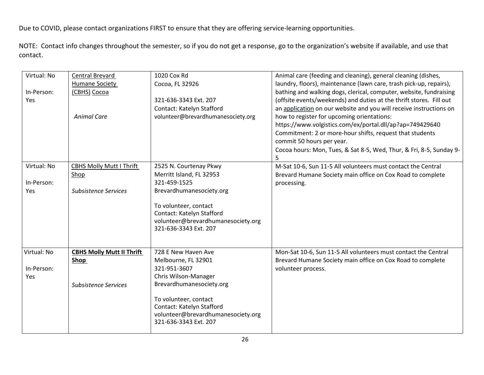| Virtual: No | Central Brevard                  | 1020 Cox Rd                                                     | Animal care (feeding and cleaning), general cleaning (dishes,       |
|-------------|----------------------------------|-----------------------------------------------------------------|---------------------------------------------------------------------|
|             | Humane Society                   | Cocoa, FL 32926                                                 | laundry, floors), maintenance (lawn care, trash pick-up, repairs),  |
| In-Person:  | (CBHS) Cocoa                     |                                                                 | bathing and walking dogs, clerical, computer, website, fundraising  |
| Yes         |                                  | 321-636-3343 Ext. 207                                           | (offsite events/weekends) and duties at the thrift stores. Fill out |
|             |                                  | Contact: Katelyn Stafford                                       | an application on our website and you will receive instructions on  |
|             | <b>Animal Care</b>               | volunteer@brevardhumanesociety.org                              | how to register for upcoming orientations:                          |
|             |                                  |                                                                 | https://www.volgistics.com/ex/portal.dll/ap?ap=749429640            |
|             |                                  |                                                                 | Commitment: 2 or more-hour shifts, request that students            |
|             |                                  |                                                                 | commit 50 hours per year.                                           |
|             |                                  |                                                                 | Cocoa hours: Mon, Tues, & Sat 8-5, Wed, Thur, & Fri, 8-5, Sunday 9- |
|             |                                  |                                                                 |                                                                     |
| Virtual: No | <b>CBHS Molly Mutt I Thrift</b>  | 2525 N. Courtenay Pkwy                                          | M-Sat 10-6, Sun 11-5 All volunteers must contact the Central        |
|             | Shop                             | Merritt Island, FL 32953                                        | Brevard Humane Society main office on Cox Road to complete          |
| In-Person:  |                                  | 321-459-1525                                                    | processing.                                                         |
| Yes         | <b>Subsistence Services</b>      | Brevardhumanesociety.org                                        |                                                                     |
|             |                                  |                                                                 |                                                                     |
|             |                                  | To volunteer, contact<br>Contact: Katelyn Stafford              |                                                                     |
|             |                                  | volunteer@brevardhumanesociety.org                              |                                                                     |
|             |                                  | 321-636-3343 Ext. 207                                           |                                                                     |
|             |                                  |                                                                 |                                                                     |
|             |                                  |                                                                 |                                                                     |
| Virtual: No | <b>CBHS Molly Mutt II Thrift</b> | 728 E New Haven Ave                                             | Mon-Sat 10-6, Sun 11-5 All volunteers must contact the Central      |
|             | Shop                             | Melbourne, FL 32901                                             | Brevard Humane Society main office on Cox Road to complete          |
| In-Person:  |                                  | 321-951-3607                                                    | volunteer process.                                                  |
| Yes         |                                  | Chris Wilson-Manager                                            |                                                                     |
|             | Subsistence Services             | Brevardhumanesociety.org                                        |                                                                     |
|             |                                  |                                                                 |                                                                     |
|             |                                  | To volunteer, contact                                           |                                                                     |
|             |                                  | Contact: Katelyn Stafford<br>volunteer@brevardhumanesociety.org |                                                                     |
|             |                                  | 321-636-3343 Ext. 207                                           |                                                                     |
|             |                                  |                                                                 |                                                                     |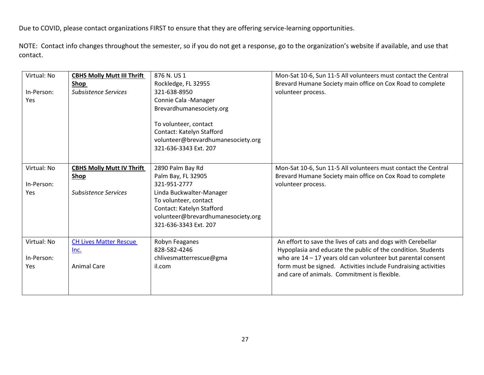| Virtual: No | <b>CBHS Molly Mutt III Thrift</b> | 876 N. US 1                        | Mon-Sat 10-6, Sun 11-5 All volunteers must contact the Central |
|-------------|-----------------------------------|------------------------------------|----------------------------------------------------------------|
|             | <b>Shop</b>                       | Rockledge, FL 32955                | Brevard Humane Society main office on Cox Road to complete     |
| In-Person:  | <b>Subsistence Services</b>       | 321-638-8950                       | volunteer process.                                             |
| Yes         |                                   | Connie Cala - Manager              |                                                                |
|             |                                   | Brevardhumanesociety.org           |                                                                |
|             |                                   |                                    |                                                                |
|             |                                   | To volunteer, contact              |                                                                |
|             |                                   | Contact: Katelyn Stafford          |                                                                |
|             |                                   | volunteer@brevardhumanesociety.org |                                                                |
|             |                                   | 321-636-3343 Ext. 207              |                                                                |
|             |                                   |                                    |                                                                |
| Virtual: No | <b>CBHS Molly Mutt IV Thrift</b>  | 2890 Palm Bay Rd                   | Mon-Sat 10-6, Sun 11-5 All volunteers must contact the Central |
|             | Shop                              | Palm Bay, FL 32905                 | Brevard Humane Society main office on Cox Road to complete     |
| In-Person:  |                                   | 321-951-2777                       | volunteer process.                                             |
| Yes         | Subsistence Services              | Linda Buckwalter-Manager           |                                                                |
|             |                                   | To volunteer, contact              |                                                                |
|             |                                   | Contact: Katelyn Stafford          |                                                                |
|             |                                   | volunteer@brevardhumanesociety.org |                                                                |
|             |                                   | 321-636-3343 Ext. 207              |                                                                |
|             |                                   |                                    |                                                                |
| Virtual: No | <b>CH Lives Matter Rescue</b>     | Robyn Feaganes                     | An effort to save the lives of cats and dogs with Cerebellar   |
|             | Inc.                              | 828-582-4246                       | Hypoplasia and educate the public of the condition. Students   |
| In-Person:  |                                   | chlivesmatterrescue@gma            | who are $14 - 17$ years old can volunteer but parental consent |
| Yes         | <b>Animal Care</b>                | il.com                             | form must be signed. Activities include Fundraising activities |
|             |                                   |                                    | and care of animals. Commitment is flexible.                   |
|             |                                   |                                    |                                                                |
|             |                                   |                                    |                                                                |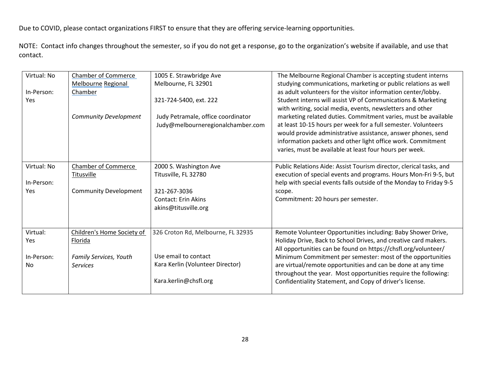| Virtual: No<br>In-Person:<br>Yes        | <b>Chamber of Commerce</b><br>Melbourne Regional<br>Chamber       | 1005 E. Strawbridge Ave<br>Melbourne, FL 32901<br>321-724-5400, ext. 222                                             | The Melbourne Regional Chamber is accepting student interns<br>studying communications, marketing or public relations as well<br>as adult volunteers for the visitor information center/lobby.<br>Student interns will assist VP of Communications & Marketing<br>with writing, social media, events, newsletters and other |
|-----------------------------------------|-------------------------------------------------------------------|----------------------------------------------------------------------------------------------------------------------|-----------------------------------------------------------------------------------------------------------------------------------------------------------------------------------------------------------------------------------------------------------------------------------------------------------------------------|
|                                         | <b>Community Development</b>                                      | Judy Petramale, office coordinator<br>Judy@melbourneregionalchamber.com                                              | marketing related duties. Commitment varies, must be available<br>at least 10-15 hours per week for a full semester. Volunteers<br>would provide administrative assistance, answer phones, send<br>information packets and other light office work. Commitment<br>varies, must be available at least four hours per week.   |
| Virtual: No<br>In-Person:<br><b>Yes</b> | Chamber of Commerce<br>Titusville<br><b>Community Development</b> | 2000 S. Washington Ave<br>Titusville, FL 32780<br>321-267-3036<br><b>Contact: Erin Akins</b><br>akins@titusville.org | Public Relations Aide: Assist Tourism director, clerical tasks, and<br>execution of special events and programs. Hours Mon-Fri 9-5, but<br>help with special events falls outside of the Monday to Friday 9-5<br>scope.<br>Commitment: 20 hours per semester.                                                               |
| Virtual:<br><b>Yes</b>                  | Children's Home Society of<br>Florida                             | 326 Croton Rd, Melbourne, FL 32935                                                                                   | Remote Volunteer Opportunities including: Baby Shower Drive,<br>Holiday Drive, Back to School Drives, and creative card makers.<br>All opportunities can be found on https://chsfl.org/volunteer/                                                                                                                           |
| In-Person:<br>No.                       | Family Services, Youth<br><b>Services</b>                         | Use email to contact<br>Kara Kerlin (Volunteer Director)<br>Kara.kerlin@chsfl.org                                    | Minimum Commitment per semester: most of the opportunities<br>are virtual/remote opportunities and can be done at any time<br>throughout the year. Most opportunities require the following:<br>Confidentiality Statement, and Copy of driver's license.                                                                    |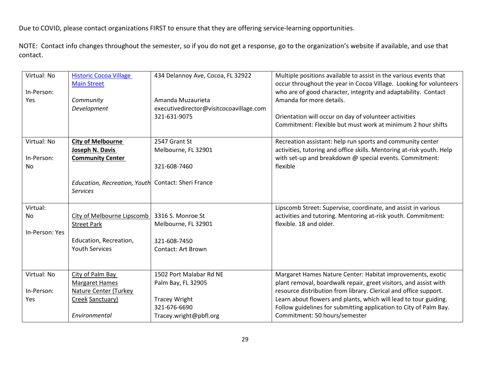| Virtual: No<br>In-Person: | <b>Historic Cocoa Village</b><br><b>Main Street</b>                   | 434 Delannoy Ave, Cocoa, FL 32922       | Multiple positions available to assist in the various events that<br>occur throughout the year in Cocoa Village. Looking for volunteers<br>who are of good character, integrity and adaptability. Contact |
|---------------------------|-----------------------------------------------------------------------|-----------------------------------------|-----------------------------------------------------------------------------------------------------------------------------------------------------------------------------------------------------------|
| <b>Yes</b>                | Community                                                             | Amanda Muzaurieta                       | Amanda for more details.                                                                                                                                                                                  |
|                           | Development                                                           | executivedirector@visitcocoavillage.com |                                                                                                                                                                                                           |
|                           |                                                                       | 321-631-9075                            | Orientation will occur on day of volunteer activities                                                                                                                                                     |
|                           |                                                                       |                                         | Commitment: Flexible but must work at minimum 2 hour shifts                                                                                                                                               |
| Virtual: No               | <b>City of Melbourne</b>                                              | 2547 Grant St                           | Recreation assistant: help run sports and community center                                                                                                                                                |
|                           | Joseph N. Davis                                                       | Melbourne, FL 32901                     | activities, tutoring and office skills. Mentoring at-risk youth. Help                                                                                                                                     |
| In-Person:                | <b>Community Center</b>                                               |                                         | with set-up and breakdown @ special events. Commitment:                                                                                                                                                   |
| <b>No</b>                 |                                                                       | 321-608-7460                            | flexible                                                                                                                                                                                                  |
|                           | Education, Recreation, Youth Contact: Sheri France<br><b>Services</b> |                                         |                                                                                                                                                                                                           |
| Virtual:                  |                                                                       |                                         | Lipscomb Street: Supervise, coordinate, and assist in various                                                                                                                                             |
| No                        | City of Melbourne Lipscomb                                            | 3316 S. Monroe St                       | activities and tutoring. Mentoring at-risk youth. Commitment:                                                                                                                                             |
|                           | <b>Street Park</b>                                                    | Melbourne, FL 32901                     | flexible. 18 and older.                                                                                                                                                                                   |
| In-Person: Yes            |                                                                       |                                         |                                                                                                                                                                                                           |
|                           | Education, Recreation,<br><b>Youth Services</b>                       | 321-608-7450                            |                                                                                                                                                                                                           |
|                           |                                                                       | <b>Contact: Art Brown</b>               |                                                                                                                                                                                                           |
|                           |                                                                       |                                         |                                                                                                                                                                                                           |
| Virtual: No               | City of Palm Bay                                                      | 1502 Port Malabar Rd NE                 | Margaret Hames Nature Center: Habitat improvements, exotic                                                                                                                                                |
|                           | Margaret Hames                                                        | Palm Bay, FL 32905                      | plant removal, boardwalk repair, greet visitors, and assist with                                                                                                                                          |
| In-Person:                | <b>Nature Center (Turkey</b>                                          |                                         | resource distribution from library. Clerical and office support.                                                                                                                                          |
| Yes                       | Creek Sanctuary)                                                      | <b>Tracey Wright</b>                    | Learn about flowers and plants, which will lead to tour guiding.                                                                                                                                          |
|                           |                                                                       | 321-676-6690                            | Follow guidelines for submitting application to City of Palm Bay.                                                                                                                                         |
|                           | Environmental                                                         | Tracey.wright@pbfl.org                  | Commitment: 50 hours/semester                                                                                                                                                                             |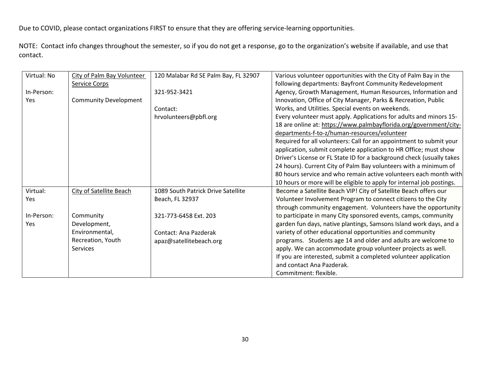| Virtual: No | City of Palm Bay Volunteer     | 120 Malabar Rd SE Palm Bay, FL 32907 | Various volunteer opportunities with the City of Palm Bay in the      |
|-------------|--------------------------------|--------------------------------------|-----------------------------------------------------------------------|
|             | Service Corps                  |                                      | following departments: Bayfront Community Redevelopment               |
| In-Person:  |                                | 321-952-3421                         | Agency, Growth Management, Human Resources, Information and           |
| Yes.        | <b>Community Development</b>   |                                      | Innovation, Office of City Manager, Parks & Recreation, Public        |
|             |                                | Contact:                             | Works, and Utilities. Special events on weekends.                     |
|             |                                | hrvolunteers@pbfl.org                | Every volunteer must apply. Applications for adults and minors 15-    |
|             |                                |                                      | 18 are online at: https://www.palmbayflorida.org/government/city-     |
|             |                                |                                      | departments-f-to-z/human-resources/volunteer                          |
|             |                                |                                      | Required for all volunteers: Call for an appointment to submit your   |
|             |                                |                                      | application, submit complete application to HR Office; must show      |
|             |                                |                                      | Driver's License or FL State ID for a background check (usually takes |
|             |                                |                                      | 24 hours). Current City of Palm Bay volunteers with a minimum of      |
|             |                                |                                      | 80 hours service and who remain active volunteers each month with     |
|             |                                |                                      | 10 hours or more will be eligible to apply for internal job postings. |
| Virtual:    | <b>City of Satellite Beach</b> | 1089 South Patrick Drive Satellite   | Become a Satellite Beach VIP! City of Satellite Beach offers our      |
| <b>Yes</b>  |                                | Beach, FL 32937                      | Volunteer Involvement Program to connect citizens to the City         |
|             |                                |                                      | through community engagement. Volunteers have the opportunity         |
| In-Person:  | Community                      | 321-773-6458 Ext. 203                | to participate in many City sponsored events, camps, community        |
| <b>Yes</b>  | Development,                   |                                      | garden fun days, native plantings, Samsons Island work days, and a    |
|             | Environmental,                 | Contact: Ana Pazderak                | variety of other educational opportunities and community              |
|             | Recreation, Youth              | apaz@satellitebeach.org              | programs. Students age 14 and older and adults are welcome to         |
|             | Services                       |                                      | apply. We can accommodate group volunteer projects as well.           |
|             |                                |                                      | If you are interested, submit a completed volunteer application       |
|             |                                |                                      | and contact Ana Pazderak.                                             |
|             |                                |                                      | Commitment: flexible.                                                 |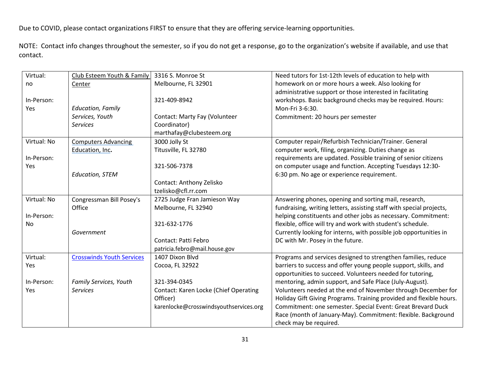| Virtual:    | Club Esteem Youth & Family       | 3316 S. Monroe St                      | Need tutors for 1st-12th levels of education to help with            |
|-------------|----------------------------------|----------------------------------------|----------------------------------------------------------------------|
| no          | Center                           | Melbourne, FL 32901                    | homework on or more hours a week. Also looking for                   |
|             |                                  |                                        | administrative support or those interested in facilitating           |
| In-Person:  |                                  | 321-409-8942                           | workshops. Basic background checks may be required. Hours:           |
| Yes         | <b>Education, Family</b>         |                                        | Mon-Fri 3-6:30.                                                      |
|             | Services, Youth                  | Contact: Marty Fay (Volunteer          | Commitment: 20 hours per semester                                    |
|             | <b>Services</b>                  | Coordinator)                           |                                                                      |
|             |                                  | marthafay@clubesteem.org               |                                                                      |
| Virtual: No | <b>Computers Advancing</b>       | 3000 Jolly St                          | Computer repair/Refurbish Technician/Trainer. General                |
|             | Education, Inc.                  | Titusville, FL 32780                   | computer work, filing, organizing. Duties change as                  |
| In-Person:  |                                  |                                        | requirements are updated. Possible training of senior citizens       |
| Yes         |                                  | 321-506-7378                           | on computer usage and function. Accepting Tuesdays 12:30-            |
|             | <b>Education, STEM</b>           |                                        | 6:30 pm. No age or experience requirement.                           |
|             |                                  | Contact: Anthony Zelisko               |                                                                      |
|             |                                  | tzelisko@cfl.rr.com                    |                                                                      |
| Virtual: No | Congressman Bill Posey's         | 2725 Judge Fran Jamieson Way           | Answering phones, opening and sorting mail, research,                |
|             | Office                           | Melbourne, FL 32940                    | fundraising, writing letters, assisting staff with special projects, |
| In-Person:  |                                  |                                        | helping constituents and other jobs as necessary. Commitment:        |
| No          |                                  | 321-632-1776                           | flexible, office will try and work with student's schedule.          |
|             | Government                       |                                        | Currently looking for interns, with possible job opportunities in    |
|             |                                  | Contact: Patti Febro                   | DC with Mr. Posey in the future.                                     |
|             |                                  | patricia.febro@mail.house.gov          |                                                                      |
| Virtual:    | <b>Crosswinds Youth Services</b> | 1407 Dixon Blvd                        | Programs and services designed to strengthen families, reduce        |
| Yes         |                                  | Cocoa, FL 32922                        | barriers to success and offer young people support, skills, and      |
|             |                                  |                                        | opportunities to succeed. Volunteers needed for tutoring,            |
| In-Person:  | Family Services, Youth           | 321-394-0345                           | mentoring, admin support, and Safe Place (July-August).              |
| Yes         | <b>Services</b>                  | Contact: Karen Locke (Chief Operating  | Volunteers needed at the end of November through December for        |
|             |                                  | Officer)                               | Holiday Gift Giving Programs. Training provided and flexible hours.  |
|             |                                  | karenlocke@crosswindsyouthservices.org | Commitment: one semester. Special Event: Great Brevard Duck          |
|             |                                  |                                        | Race (month of January-May). Commitment: flexible. Background        |
|             |                                  |                                        | check may be required.                                               |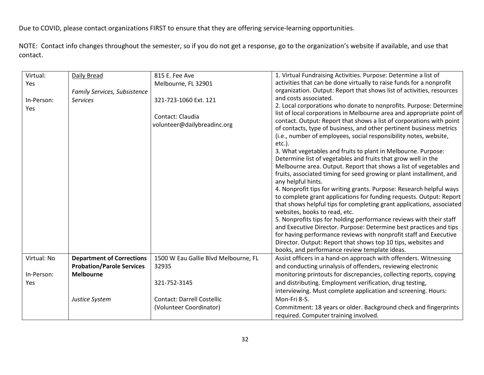| Virtual:    | Daily Bread                      | 815 E. Fee Ave                                  | 1. Virtual Fundraising Activities. Purpose: Determine a list of                                                                                                                                                                                                                                                                                                                                                                                                                                                                                                                                                                                                                                                                                                                                                                                                                                                                                                                                                                                                                                                                                       |
|-------------|----------------------------------|-------------------------------------------------|-------------------------------------------------------------------------------------------------------------------------------------------------------------------------------------------------------------------------------------------------------------------------------------------------------------------------------------------------------------------------------------------------------------------------------------------------------------------------------------------------------------------------------------------------------------------------------------------------------------------------------------------------------------------------------------------------------------------------------------------------------------------------------------------------------------------------------------------------------------------------------------------------------------------------------------------------------------------------------------------------------------------------------------------------------------------------------------------------------------------------------------------------------|
| Yes         |                                  | Melbourne, FL 32901                             | activities that can be done virtually to raise funds for a nonprofit                                                                                                                                                                                                                                                                                                                                                                                                                                                                                                                                                                                                                                                                                                                                                                                                                                                                                                                                                                                                                                                                                  |
|             | Family Services, Subsistence     |                                                 | organization. Output: Report that shows list of activities, resources                                                                                                                                                                                                                                                                                                                                                                                                                                                                                                                                                                                                                                                                                                                                                                                                                                                                                                                                                                                                                                                                                 |
| In-Person:  | <b>Services</b>                  | 321-723-1060 Ext. 121                           | and costs associated.                                                                                                                                                                                                                                                                                                                                                                                                                                                                                                                                                                                                                                                                                                                                                                                                                                                                                                                                                                                                                                                                                                                                 |
|             |                                  |                                                 | 2. Local corporations who donate to nonprofits. Purpose: Determine                                                                                                                                                                                                                                                                                                                                                                                                                                                                                                                                                                                                                                                                                                                                                                                                                                                                                                                                                                                                                                                                                    |
| Yes         |                                  | Contact: Claudia<br>volunteer@dailybreadinc.org | list of local corporations in Melbourne area and appropriate point of<br>contact. Output: Report that shows a list of corporations with point<br>of contacts, type of business, and other pertinent business metrics<br>(i.e., number of employees, social responsibility notes, website,<br>etc.).<br>3. What vegetables and fruits to plant in Melbourne. Purpose:<br>Determine list of vegetables and fruits that grow well in the<br>Melbourne area. Output. Report that shows a list of vegetables and<br>fruits, associated timing for seed growing or plant installment, and<br>any helpful hints.<br>4. Nonprofit tips for writing grants. Purpose: Research helpful ways<br>to complete grant applications for funding requests. Output: Report<br>that shows helpful tips for completing grant applications, associated<br>websites, books to read, etc.<br>5. Nonprofits tips for holding performance reviews with their staff<br>and Executive Director. Purpose: Determine best practices and tips<br>for having performance reviews with nonprofit staff and Executive<br>Director. Output: Report that shows top 10 tips, websites and |
|             |                                  |                                                 | books, and performance review template ideas.                                                                                                                                                                                                                                                                                                                                                                                                                                                                                                                                                                                                                                                                                                                                                                                                                                                                                                                                                                                                                                                                                                         |
| Virtual: No | <b>Department of Corrections</b> | 1500 W Eau Gallie Blvd Melbourne, FL            | Assist officers in a hand-on approach with offenders. Witnessing                                                                                                                                                                                                                                                                                                                                                                                                                                                                                                                                                                                                                                                                                                                                                                                                                                                                                                                                                                                                                                                                                      |
|             | <b>Probation/Parole Services</b> | 32935                                           | and conducting urinalysis of offenders, reviewing electronic                                                                                                                                                                                                                                                                                                                                                                                                                                                                                                                                                                                                                                                                                                                                                                                                                                                                                                                                                                                                                                                                                          |
| In-Person:  | <b>Melbourne</b>                 |                                                 | monitoring printouts for discrepancies, collecting reports, copying                                                                                                                                                                                                                                                                                                                                                                                                                                                                                                                                                                                                                                                                                                                                                                                                                                                                                                                                                                                                                                                                                   |
| Yes         |                                  | 321-752-3145                                    | and distributing. Employment verification, drug testing,                                                                                                                                                                                                                                                                                                                                                                                                                                                                                                                                                                                                                                                                                                                                                                                                                                                                                                                                                                                                                                                                                              |
|             |                                  |                                                 | interviewing. Must complete application and screening. Hours:                                                                                                                                                                                                                                                                                                                                                                                                                                                                                                                                                                                                                                                                                                                                                                                                                                                                                                                                                                                                                                                                                         |
|             | Justice System                   | <b>Contact: Darrell Costellic</b>               | Mon-Fri 8-5.                                                                                                                                                                                                                                                                                                                                                                                                                                                                                                                                                                                                                                                                                                                                                                                                                                                                                                                                                                                                                                                                                                                                          |
|             |                                  | (Volunteer Coordinator)                         | Commitment: 18 years or older. Background check and fingerprints                                                                                                                                                                                                                                                                                                                                                                                                                                                                                                                                                                                                                                                                                                                                                                                                                                                                                                                                                                                                                                                                                      |
|             |                                  |                                                 | required. Computer training involved.                                                                                                                                                                                                                                                                                                                                                                                                                                                                                                                                                                                                                                                                                                                                                                                                                                                                                                                                                                                                                                                                                                                 |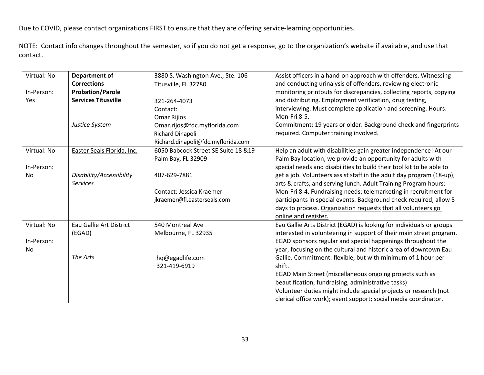| Virtual: No | <b>Department of</b>       | 3880 S. Washington Ave., Ste. 106    | Assist officers in a hand-on approach with offenders. Witnessing     |
|-------------|----------------------------|--------------------------------------|----------------------------------------------------------------------|
|             | <b>Corrections</b>         | Titusville, FL 32780                 | and conducting urinalysis of offenders, reviewing electronic         |
| In-Person:  | <b>Probation/Parole</b>    |                                      | monitoring printouts for discrepancies, collecting reports, copying  |
| Yes         | <b>Services Titusville</b> | 321-264-4073                         | and distributing. Employment verification, drug testing,             |
|             |                            | Contact:                             | interviewing. Must complete application and screening. Hours:        |
|             |                            | <b>Omar Rijios</b>                   | Mon-Fri 8-5.                                                         |
|             | Justice System             | Omar.rijos@fdc.myflorida.com         | Commitment: 19 years or older. Background check and fingerprints     |
|             |                            | Richard Dinapoli                     | required. Computer training involved.                                |
|             |                            | Richard.dinapoli@fdc.myflorida.com   |                                                                      |
| Virtual: No | Easter Seals Florida, Inc. | 6050 Babcock Street SE Suite 18 & 19 | Help an adult with disabilities gain greater independence! At our    |
|             |                            | Palm Bay, FL 32909                   | Palm Bay location, we provide an opportunity for adults with         |
| In-Person:  |                            |                                      | special needs and disabilities to build their tool kit to be able to |
| No          | Disability/Accessibility   | 407-629-7881                         | get a job. Volunteers assist staff in the adult day program (18-up), |
|             | <b>Services</b>            |                                      | arts & crafts, and serving lunch. Adult Training Program hours:      |
|             |                            | Contact: Jessica Kraemer             | Mon-Fri 8-4. Fundraising needs: telemarketing in recruitment for     |
|             |                            | jkraemer@fl.easterseals.com          | participants in special events. Background check required, allow 5   |
|             |                            |                                      | days to process. Organization requests that all volunteers go        |
|             |                            |                                      | online and register.                                                 |
| Virtual: No | Eau Gallie Art District    | 540 Montreal Ave                     | Eau Gallie Arts District (EGAD) is looking for individuals or groups |
|             | (EGAD)                     | Melbourne, FL 32935                  | interested in volunteering in support of their main street program.  |
| In-Person:  |                            |                                      | EGAD sponsors regular and special happenings throughout the          |
| No          |                            |                                      | year, focusing on the cultural and historic area of downtown Eau     |
|             | The Arts                   | hq@egadlife.com                      | Gallie. Commitment: flexible, but with minimum of 1 hour per         |
|             |                            | 321-419-6919                         | shift.                                                               |
|             |                            |                                      | EGAD Main Street (miscellaneous ongoing projects such as             |
|             |                            |                                      | beautification, fundraising, administrative tasks)                   |
|             |                            |                                      | Volunteer duties might include special projects or research (not     |
|             |                            |                                      | clerical office work); event support; social media coordinator.      |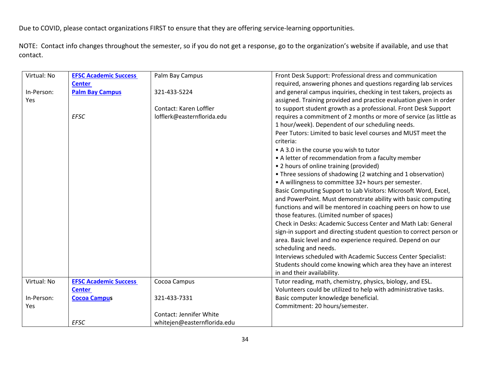| Virtual: No | <b>EFSC Academic Success</b> | Palm Bay Campus             | Front Desk Support: Professional dress and communication            |
|-------------|------------------------------|-----------------------------|---------------------------------------------------------------------|
|             | <b>Center</b>                |                             | required, answering phones and questions regarding lab services     |
| In-Person:  | <b>Palm Bay Campus</b>       | 321-433-5224                | and general campus inquiries, checking in test takers, projects as  |
| <b>Yes</b>  |                              |                             | assigned. Training provided and practice evaluation given in order  |
|             |                              | Contact: Karen Loffler      | to support student growth as a professional. Front Desk Support     |
|             | <b>EFSC</b>                  | lofflerk@easternflorida.edu | requires a commitment of 2 months or more of service (as little as  |
|             |                              |                             | 1 hour/week). Dependent of our scheduling needs.                    |
|             |                              |                             | Peer Tutors: Limited to basic level courses and MUST meet the       |
|             |                              |                             | criteria:                                                           |
|             |                              |                             | • A 3.0 in the course you wish to tutor                             |
|             |                              |                             | • A letter of recommendation from a faculty member                  |
|             |                              |                             | • 2 hours of online training (provided)                             |
|             |                              |                             | • Three sessions of shadowing (2 watching and 1 observation)        |
|             |                              |                             | • A willingness to committee 32+ hours per semester.                |
|             |                              |                             | Basic Computing Support to Lab Visitors: Microsoft Word, Excel,     |
|             |                              |                             | and PowerPoint. Must demonstrate ability with basic computing       |
|             |                              |                             | functions and will be mentored in coaching peers on how to use      |
|             |                              |                             | those features. (Limited number of spaces)                          |
|             |                              |                             | Check in Desks: Academic Success Center and Math Lab: General       |
|             |                              |                             | sign-in support and directing student question to correct person or |
|             |                              |                             | area. Basic level and no experience required. Depend on our         |
|             |                              |                             | scheduling and needs.                                               |
|             |                              |                             | Interviews scheduled with Academic Success Center Specialist:       |
|             |                              |                             | Students should come knowing which area they have an interest       |
|             |                              |                             | in and their availability.                                          |
| Virtual: No | <b>EFSC Academic Success</b> | Cocoa Campus                | Tutor reading, math, chemistry, physics, biology, and ESL.          |
|             | <b>Center</b>                |                             | Volunteers could be utilized to help with administrative tasks.     |
| In-Person:  | <b>Cocoa Campus</b>          | 321-433-7331                | Basic computer knowledge beneficial.                                |
| Yes         |                              |                             | Commitment: 20 hours/semester.                                      |
|             |                              | Contact: Jennifer White     |                                                                     |
|             | <b>EFSC</b>                  | whitejen@easternflorida.edu |                                                                     |
|             |                              |                             |                                                                     |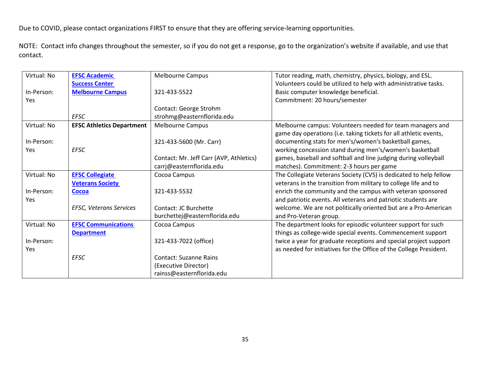| Virtual: No | <b>EFSC Academic</b>             | <b>Melbourne Campus</b>                 | Tutor reading, math, chemistry, physics, biology, and ESL.         |
|-------------|----------------------------------|-----------------------------------------|--------------------------------------------------------------------|
|             | <b>Success Center</b>            |                                         | Volunteers could be utilized to help with administrative tasks.    |
| In-Person:  | <b>Melbourne Campus</b>          | 321-433-5522                            | Basic computer knowledge beneficial.                               |
| Yes         |                                  |                                         | Commitment: 20 hours/semester                                      |
|             |                                  | Contact: George Strohm                  |                                                                    |
|             | <b>FFSC</b>                      | strohmg@easternflorida.edu              |                                                                    |
| Virtual: No | <b>EFSC Athletics Department</b> | <b>Melbourne Campus</b>                 | Melbourne campus: Volunteers needed for team managers and          |
|             |                                  |                                         | game day operations (i.e. taking tickets for all athletic events,  |
| In-Person:  |                                  | 321-433-5600 (Mr. Carr)                 | documenting stats for men's/women's basketball games,              |
| <b>Yes</b>  | <b>EFSC</b>                      |                                         | working concession stand during men's/women's basketball           |
|             |                                  | Contact: Mr. Jeff Carr (AVP, Athletics) | games, baseball and softball and line judging during volleyball    |
|             |                                  | carrj@easternflorida.edu                | matches). Commitment: 2-3 hours per game                           |
| Virtual: No | <b>EFSC Collegiate</b>           | Cocoa Campus                            | The Collegiate Veterans Society (CVS) is dedicated to help fellow  |
|             | <b>Veterans Society</b>          |                                         | veterans in the transition from military to college life and to    |
| In-Person:  | Cocoa                            | 321-433-5532                            | enrich the community and the campus with veteran sponsored         |
| Yes         |                                  |                                         | and patriotic events. All veterans and patriotic students are      |
|             | <b>EFSC, Veterans Services</b>   | Contact: JC Burchette                   | welcome. We are not politically oriented but are a Pro-American    |
|             |                                  | burchettej@easternflorida.edu           | and Pro-Veteran group.                                             |
| Virtual: No | <b>EFSC Communications</b>       | Cocoa Campus                            | The department looks for episodic volunteer support for such       |
|             | <b>Department</b>                |                                         | things as college-wide special events. Commencement support        |
| In-Person:  |                                  | 321-433-7022 (office)                   | twice a year for graduate receptions and special project support   |
| <b>Yes</b>  |                                  |                                         | as needed for initiatives for the Office of the College President. |
|             | <b>EFSC</b>                      | <b>Contact: Suzanne Rains</b>           |                                                                    |
|             |                                  | (Executive Director)                    |                                                                    |
|             |                                  | rainss@easternflorida.edu               |                                                                    |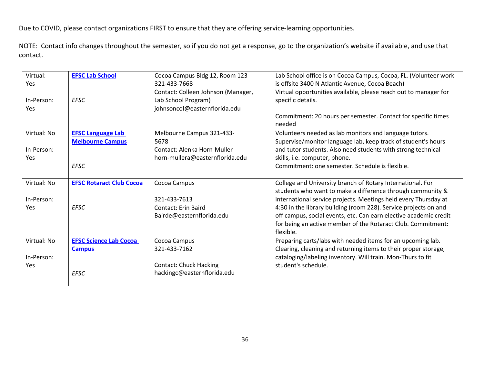| Virtual:    | <b>EFSC Lab School</b>          | Cocoa Campus Bldg 12, Room 123     | Lab School office is on Cocoa Campus, Cocoa, FL. (Volunteer work        |
|-------------|---------------------------------|------------------------------------|-------------------------------------------------------------------------|
| Yes         |                                 | 321-433-7668                       | is offsite 3400 N Atlantic Avenue, Cocoa Beach)                         |
|             |                                 | Contact: Colleen Johnson (Manager, | Virtual opportunities available, please reach out to manager for        |
| In-Person:  | EFSC                            | Lab School Program)                | specific details.                                                       |
| Yes         |                                 | johnsoncol@easternflorida.edu      |                                                                         |
|             |                                 |                                    | Commitment: 20 hours per semester. Contact for specific times<br>needed |
| Virtual: No | <b>EFSC Language Lab</b>        | Melbourne Campus 321-433-          | Volunteers needed as lab monitors and language tutors.                  |
|             | <b>Melbourne Campus</b>         | 5678                               | Supervise/monitor language lab, keep track of student's hours           |
| In-Person:  |                                 | Contact: Alenka Horn-Muller        | and tutor students. Also need students with strong technical            |
| Yes         |                                 | horn-mullera@easternflorida.edu    | skills, i.e. computer, phone.                                           |
|             | <b>EFSC</b>                     |                                    | Commitment: one semester. Schedule is flexible.                         |
|             |                                 |                                    |                                                                         |
| Virtual: No | <b>EFSC Rotaract Club Cocoa</b> | Cocoa Campus                       | College and University branch of Rotary International. For              |
|             |                                 |                                    | students who want to make a difference through community &              |
| In-Person:  |                                 | 321-433-7613                       | international service projects. Meetings held every Thursday at         |
| Yes         | <b>EFSC</b>                     | <b>Contact: Erin Baird</b>         | 4:30 in the library building (room 228). Service projects on and        |
|             |                                 | Bairde@easternflorida.edu          | off campus, social events, etc. Can earn elective academic credit       |
|             |                                 |                                    | for being an active member of the Rotaract Club. Commitment:            |
|             |                                 |                                    | flexible.                                                               |
| Virtual: No | <b>EFSC Science Lab Cocoa</b>   | Cocoa Campus                       | Preparing carts/labs with needed items for an upcoming lab.             |
|             | <b>Campus</b>                   | 321-433-7162                       | Clearing, cleaning and returning items to their proper storage,         |
| In-Person:  |                                 |                                    | cataloging/labeling inventory. Will train. Mon-Thurs to fit             |
| Yes         |                                 | <b>Contact: Chuck Hacking</b>      | student's schedule.                                                     |
|             | <b>EFSC</b>                     | hackingc@easternflorida.edu        |                                                                         |
|             |                                 |                                    |                                                                         |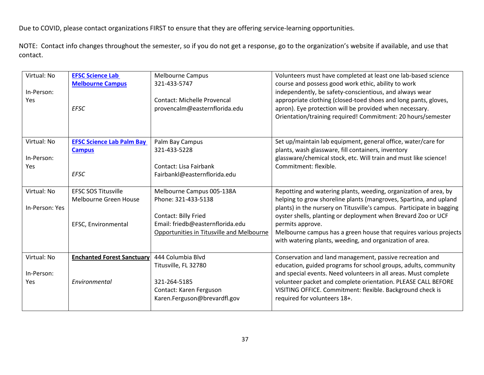| Virtual: No<br>In-Person:<br><b>Yes</b> | <b>EFSC Science Lab</b><br><b>Melbourne Campus</b><br><b>EFSC</b>          | <b>Melbourne Campus</b><br>321-433-5747<br><b>Contact: Michelle Provencal</b><br>provencalm@easternflorida.edu                                            | Volunteers must have completed at least one lab-based science<br>course and possess good work ethic, ability to work<br>independently, be safety-conscientious, and always wear<br>appropriate clothing (closed-toed shoes and long pants, gloves,<br>apron). Eye protection will be provided when necessary.<br>Orientation/training required! Commitment: 20 hours/semester                                                        |
|-----------------------------------------|----------------------------------------------------------------------------|-----------------------------------------------------------------------------------------------------------------------------------------------------------|--------------------------------------------------------------------------------------------------------------------------------------------------------------------------------------------------------------------------------------------------------------------------------------------------------------------------------------------------------------------------------------------------------------------------------------|
| Virtual: No<br>In-Person:<br>Yes        | <b>EFSC Science Lab Palm Bay</b><br><b>Campus</b><br><b>EFSC</b>           | Palm Bay Campus<br>321-433-5228<br><b>Contact: Lisa Fairbank</b><br>Fairbankl@easternflorida.edu                                                          | Set up/maintain lab equipment, general office, water/care for<br>plants, wash glassware, fill containers, inventory<br>glassware/chemical stock, etc. Will train and must like science!<br>Commitment: flexible.                                                                                                                                                                                                                     |
| Virtual: No<br>In-Person: Yes           | <b>EFSC SOS Titusville</b><br>Melbourne Green House<br>EFSC, Environmental | Melbourne Campus 005-138A<br>Phone: 321-433-5138<br>Contact: Billy Fried<br>Email: friedb@easternflorida.edu<br>Opportunities in Titusville and Melbourne | Repotting and watering plants, weeding, organization of area, by<br>helping to grow shoreline plants (mangroves, Spartina, and upland<br>plants) in the nursery on Titusville's campus. Participate in bagging<br>oyster shells, planting or deployment when Brevard Zoo or UCF<br>permits approve.<br>Melbourne campus has a green house that requires various projects<br>with watering plants, weeding, and organization of area. |
| Virtual: No<br>In-Person:<br><b>Yes</b> | <b>Enchanted Forest Sanctuary</b><br>Environmental                         | 444 Columbia Blvd<br>Titusville, FL 32780<br>321-264-5185<br>Contact: Karen Ferguson<br>Karen.Ferguson@brevardfl.gov                                      | Conservation and land management, passive recreation and<br>education, guided programs for school groups, adults, community<br>and special events. Need volunteers in all areas. Must complete<br>volunteer packet and complete orientation. PLEASE CALL BEFORE<br>VISITING OFFICE. Commitment: flexible. Background check is<br>required for volunteers 18+.                                                                        |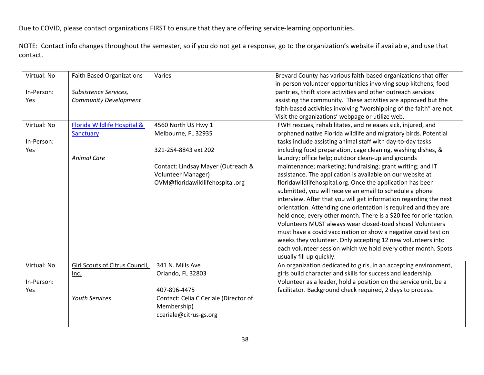| Virtual: No | <b>Faith Based Organizations</b> | Varies                                | Brevard County has various faith-based organizations that offer      |
|-------------|----------------------------------|---------------------------------------|----------------------------------------------------------------------|
|             |                                  |                                       | in-person volunteer opportunities involving soup kitchens, food      |
| In-Person:  | Subsistence Services,            |                                       | pantries, thrift store activities and other outreach services        |
| Yes         | <b>Community Development</b>     |                                       | assisting the community. These activities are approved but the       |
|             |                                  |                                       | faith-based activities involving "worshipping of the faith" are not. |
|             |                                  |                                       | Visit the organizations' webpage or utilize web.                     |
| Virtual: No | Florida Wildlife Hospital &      | 4560 North US Hwy 1                   | FWH rescues, rehabilitates, and releases sick, injured, and          |
|             | <b>Sanctuary</b>                 | Melbourne, FL 32935                   | orphaned native Florida wildlife and migratory birds. Potential      |
| In-Person:  |                                  |                                       | tasks include assisting animal staff with day-to-day tasks           |
| Yes         |                                  | 321-254-8843 ext 202                  | including food preparation, cage cleaning, washing dishes, &         |
|             | <b>Animal Care</b>               |                                       | laundry; office help; outdoor clean-up and grounds                   |
|             |                                  | Contact: Lindsay Mayer (Outreach &    | maintenance; marketing; fundraising; grant writing; and IT           |
|             |                                  | Volunteer Manager)                    | assistance. The application is available on our website at           |
|             |                                  | OVM@floridawildlifehospital.org       | floridawildlifehospital.org. Once the application has been           |
|             |                                  |                                       | submitted, you will receive an email to schedule a phone             |
|             |                                  |                                       | interview. After that you will get information regarding the next    |
|             |                                  |                                       | orientation. Attending one orientation is required and they are      |
|             |                                  |                                       | held once, every other month. There is a \$20 fee for orientation.   |
|             |                                  |                                       | Volunteers MUST always wear closed-toed shoes! Volunteers            |
|             |                                  |                                       | must have a covid vaccination or show a negative covid test on       |
|             |                                  |                                       | weeks they volunteer. Only accepting 12 new volunteers into          |
|             |                                  |                                       | each volunteer session which we hold every other month. Spots        |
|             |                                  |                                       | usually fill up quickly.                                             |
| Virtual: No | Girl Scouts of Citrus Council,   | 341 N. Mills Ave                      | An organization dedicated to girls, in an accepting environment,     |
|             | Inc.                             | Orlando, FL 32803                     | girls build character and skills for success and leadership.         |
| In-Person:  |                                  |                                       | Volunteer as a leader, hold a position on the service unit, be a     |
| <b>Yes</b>  |                                  | 407-896-4475                          | facilitator. Background check required, 2 days to process.           |
|             | <b>Youth Services</b>            | Contact: Celia C Ceriale (Director of |                                                                      |
|             |                                  | Membership)                           |                                                                      |
|             |                                  | cceriale@citrus-gs.org                |                                                                      |
|             |                                  |                                       |                                                                      |
|             |                                  |                                       |                                                                      |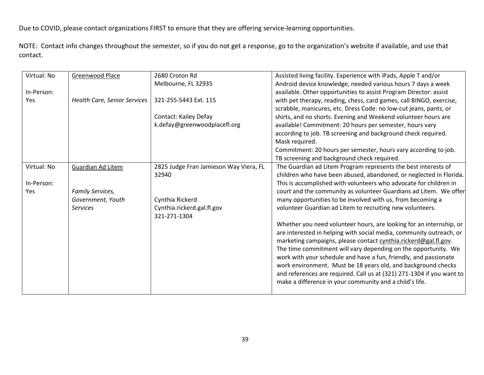| Virtual: No | Greenwood Place                     | 2680 Croton Rd                         | Assisted living facility. Experience with iPads, Apple T and/or       |
|-------------|-------------------------------------|----------------------------------------|-----------------------------------------------------------------------|
|             |                                     | Melbourne, FL 32935                    | Android device knowledge, needed various hours 7 days a week          |
| In-Person:  |                                     |                                        | available. Other opportunities to assist Program Director: assist     |
| Yes         | <b>Health Care, Senior Services</b> | 321-255-5443 Ext. 115                  | with pet therapy, reading, chess, card games, call BINGO, exercise,   |
|             |                                     |                                        | scrabble, manicures, etc. Dress Code: no low-cut jeans, pants, or     |
|             |                                     | <b>Contact: Kailey Defay</b>           | shirts, and no shorts. Evening and Weekend volunteer hours are        |
|             |                                     | k.defay@greenwoodplacefl.org           | available! Commitment: 20 hours per semester, hours vary              |
|             |                                     |                                        | according to job. TB screening and background check required.         |
|             |                                     |                                        | Mask required.                                                        |
|             |                                     |                                        | Commitment: 20 hours per semester, hours vary according to job.       |
|             |                                     |                                        | TB screening and background check required.                           |
| Virtual: No | Guardian Ad Litem                   | 2825 Judge Fran Jamieson Way Viera, FL | The Guardian ad Litem Program represents the best interests of        |
|             |                                     | 32940                                  | children who have been abused, abandoned, or neglected in Florida.    |
| In-Person:  |                                     |                                        | This is accomplished with volunteers who advocate for children in     |
| Yes         | Family Services,                    |                                        | court and the community as volunteer Guardians ad Litem. We offer     |
|             | Government, Youth                   | Cynthia Rickerd                        | many opportunities to be involved with us, from becoming a            |
|             | <b>Services</b>                     | Cynthia.rickerd.gal.fl.gov             | volunteer Guardian ad Litem to recruiting new volunteers.             |
|             |                                     | 321-271-1304                           |                                                                       |
|             |                                     |                                        | Whether you need volunteer hours, are looking for an internship, or   |
|             |                                     |                                        | are interested in helping with social media, community outreach, or   |
|             |                                     |                                        | marketing campaigns, please contact cynthia.rickerd@gal.fl.gov.       |
|             |                                     |                                        | The time commitment will vary depending on the opportunity. We        |
|             |                                     |                                        | work with your schedule and have a fun, friendly, and passionate      |
|             |                                     |                                        | work environment. Must be 18 years old, and background checks         |
|             |                                     |                                        | and references are required. Call us at (321) 271-1304 if you want to |
|             |                                     |                                        | make a difference in your community and a child's life.               |
|             |                                     |                                        |                                                                       |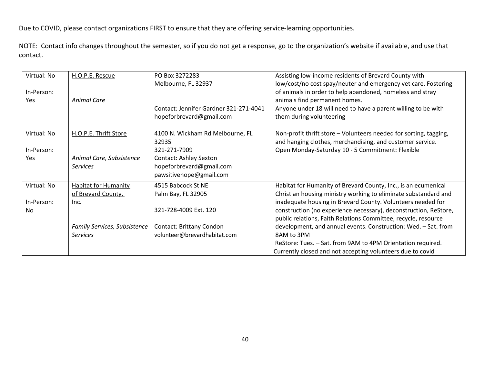| Virtual: No | H.O.P.E. Rescue              | PO Box 3272283                         | Assisting low-income residents of Brevard County with             |
|-------------|------------------------------|----------------------------------------|-------------------------------------------------------------------|
|             |                              | Melbourne, FL 32937                    | low/cost/no cost spay/neuter and emergency vet care. Fostering    |
| In-Person:  |                              |                                        | of animals in order to help abandoned, homeless and stray         |
| Yes         | <b>Animal Care</b>           |                                        | animals find permanent homes.                                     |
|             |                              | Contact: Jennifer Gardner 321-271-4041 | Anyone under 18 will need to have a parent willing to be with     |
|             |                              | hopeforbrevard@gmail.com               | them during volunteering                                          |
| Virtual: No | H.O.P.E. Thrift Store        | 4100 N. Wickham Rd Melbourne, FL       | Non-profit thrift store - Volunteers needed for sorting, tagging, |
|             |                              | 32935                                  | and hanging clothes, merchandising, and customer service.         |
| In-Person:  |                              | 321-271-7909                           | Open Monday-Saturday 10 - 5 Commitment: Flexible                  |
| Yes         | Animal Care, Subsistence     | Contact: Ashley Sexton                 |                                                                   |
|             | <b>Services</b>              | hopeforbrevard@gmail.com               |                                                                   |
|             |                              | pawsitivehope@gmail.com                |                                                                   |
| Virtual: No | <b>Habitat for Humanity</b>  | 4515 Babcock St NE                     | Habitat for Humanity of Brevard County, Inc., is an ecumenical    |
|             | of Brevard County,           | Palm Bay, FL 32905                     | Christian housing ministry working to eliminate substandard and   |
| In-Person:  | <u>Inc.</u>                  |                                        | inadequate housing in Brevard County. Volunteers needed for       |
| <b>No</b>   |                              | 321-728-4009 Ext. 120                  | construction (no experience necessary), deconstruction, ReStore,  |
|             |                              |                                        | public relations, Faith Relations Committee, recycle, resource    |
|             | Family Services, Subsistence | Contact: Brittany Condon               | development, and annual events. Construction: Wed. - Sat. from    |
|             | <b>Services</b>              | volunteer@brevardhabitat.com           | 8AM to 3PM                                                        |
|             |                              |                                        | ReStore: Tues. - Sat. from 9AM to 4PM Orientation required.       |
|             |                              |                                        | Currently closed and not accepting volunteers due to covid        |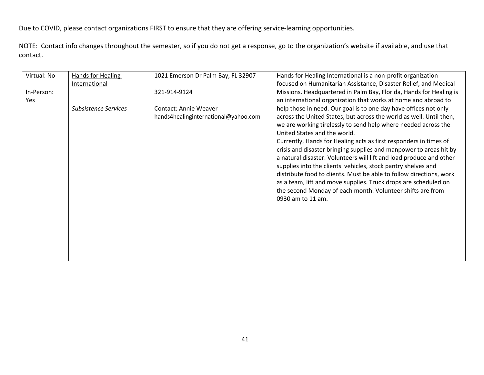| Virtual: No | Hands for Healing<br>International | 1021 Emerson Dr Palm Bay, FL 32907                                   | Hands for Healing International is a non-profit organization<br>focused on Humanitarian Assistance, Disaster Relief, and Medical                                                                                                                                                                                                                                                                                                                                                                                                                                                                                                                                                                                                                          |
|-------------|------------------------------------|----------------------------------------------------------------------|-----------------------------------------------------------------------------------------------------------------------------------------------------------------------------------------------------------------------------------------------------------------------------------------------------------------------------------------------------------------------------------------------------------------------------------------------------------------------------------------------------------------------------------------------------------------------------------------------------------------------------------------------------------------------------------------------------------------------------------------------------------|
| In-Person:  |                                    | 321-914-9124                                                         | Missions. Headquartered in Palm Bay, Florida, Hands for Healing is                                                                                                                                                                                                                                                                                                                                                                                                                                                                                                                                                                                                                                                                                        |
| Yes         |                                    |                                                                      | an international organization that works at home and abroad to                                                                                                                                                                                                                                                                                                                                                                                                                                                                                                                                                                                                                                                                                            |
|             | <b>Subsistence Services</b>        | <b>Contact: Annie Weaver</b><br>hands4healinginternational@yahoo.com | help those in need. Our goal is to one day have offices not only<br>across the United States, but across the world as well. Until then,<br>we are working tirelessly to send help where needed across the<br>United States and the world.<br>Currently, Hands for Healing acts as first responders in times of<br>crisis and disaster bringing supplies and manpower to areas hit by<br>a natural disaster. Volunteers will lift and load produce and other<br>supplies into the clients' vehicles, stock pantry shelves and<br>distribute food to clients. Must be able to follow directions, work<br>as a team, lift and move supplies. Truck drops are scheduled on<br>the second Monday of each month. Volunteer shifts are from<br>0930 am to 11 am. |
|             |                                    |                                                                      |                                                                                                                                                                                                                                                                                                                                                                                                                                                                                                                                                                                                                                                                                                                                                           |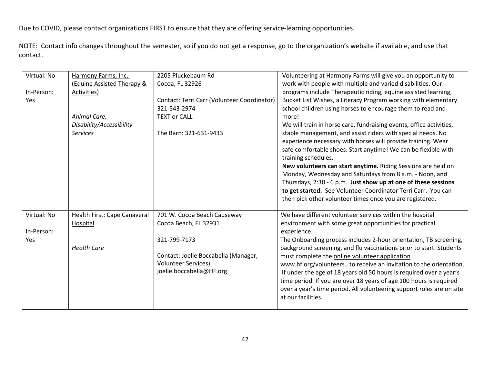| Virtual: No | Harmony Farms, Inc.          | 2205 Pluckebaum Rd                          | Volunteering at Harmony Farms will give you an opportunity to                         |
|-------------|------------------------------|---------------------------------------------|---------------------------------------------------------------------------------------|
|             | (Equine Assisted Therapy &   | Cocoa, FL 32926                             | work with people with multiple and varied disabilities. Our                           |
| In-Person:  | Activities)                  |                                             | programs include Therapeutic riding, equine assisted learning,                        |
| Yes         |                              | Contact: Terri Carr (Volunteer Coordinator) | Bucket List Wishes, a Literacy Program working with elementary                        |
|             |                              | 321-543-2974                                | school children using horses to encourage them to read and                            |
|             | Animal Care,                 | <b>TEXT or CALL</b>                         | more!                                                                                 |
|             | Disability/Accessibility     |                                             | We will train in horse care, fundraising events, office activities,                   |
|             | <b>Services</b>              | The Barn: 321-631-9433                      | stable management, and assist riders with special needs. No                           |
|             |                              |                                             | experience necessary with horses will provide training. Wear                          |
|             |                              |                                             | safe comfortable shoes. Start anytime! We can be flexible with<br>training schedules. |
|             |                              |                                             | New volunteers can start anytime. Riding Sessions are held on                         |
|             |                              |                                             | Monday, Wednesday and Saturdays from 8 a.m. - Noon, and                               |
|             |                              |                                             | Thursdays, 2:30 - 6 p.m. Just show up at one of these sessions                        |
|             |                              |                                             | to get started. See Volunteer Coordinator Terri Carr. You can                         |
|             |                              |                                             | then pick other volunteer times once you are registered.                              |
|             |                              |                                             |                                                                                       |
| Virtual: No | Health First: Cape Canaveral | 701 W. Cocoa Beach Causeway                 | We have different volunteer services within the hospital                              |
|             | Hospital                     | Cocoa Beach, FL 32931                       | environment with some great opportunities for practical                               |
| In-Person:  |                              |                                             | experience.                                                                           |
| Yes         |                              | 321-799-7173                                | The Onboarding process includes 2-hour orientation, TB screening,                     |
|             | <b>Health Care</b>           |                                             | background screening, and flu vaccinations prior to start. Students                   |
|             |                              | Contact: Joelle Boccabella (Manager,        | must complete the online volunteer application:                                       |
|             |                              | <b>Volunteer Services)</b>                  | www.hf.org/volunteers., to receive an invitation to the orientation.                  |
|             |                              | joelle.boccabella@HF.org                    | If under the age of 18 years old 50 hours is required over a year's                   |
|             |                              |                                             | time period. If you are over 18 years of age 100 hours is required                    |
|             |                              |                                             | over a year's time period. All volunteering support roles are on site                 |
|             |                              |                                             | at our facilities.                                                                    |
|             |                              |                                             |                                                                                       |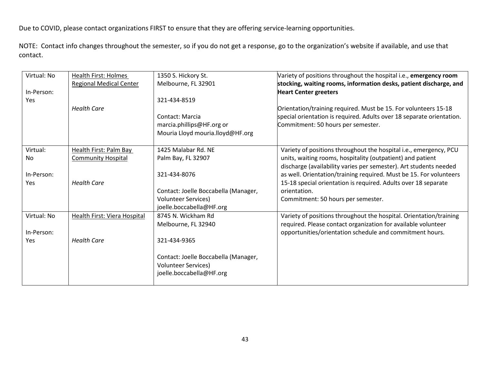| Virtual: No | Health First: Holmes           | 1350 S. Hickory St.                  | Variety of positions throughout the hospital i.e., emergency room     |
|-------------|--------------------------------|--------------------------------------|-----------------------------------------------------------------------|
|             | <b>Regional Medical Center</b> | Melbourne, FL 32901                  | stocking, waiting rooms, information desks, patient discharge, and    |
| In-Person:  |                                |                                      | <b>Heart Center greeters</b>                                          |
| Yes         |                                | 321-434-8519                         |                                                                       |
|             | <b>Health Care</b>             |                                      | Orientation/training required. Must be 15. For volunteers 15-18       |
|             |                                | Contact: Marcia                      | special orientation is required. Adults over 18 separate orientation. |
|             |                                | marcia.phillips@HF.org or            | Commitment: 50 hours per semester.                                    |
|             |                                | Mouria Lloyd mouria.lloyd@HF.org     |                                                                       |
|             |                                |                                      |                                                                       |
| Virtual:    | Health First: Palm Bay         | 1425 Malabar Rd. NE                  | Variety of positions throughout the hospital i.e., emergency, PCU     |
| No.         | <b>Community Hospital</b>      | Palm Bay, FL 32907                   | units, waiting rooms, hospitality (outpatient) and patient            |
|             |                                |                                      | discharge (availability varies per semester). Art students needed     |
| In-Person:  |                                | 321-434-8076                         | as well. Orientation/training required. Must be 15. For volunteers    |
| Yes         | <b>Health Care</b>             |                                      | 15-18 special orientation is required. Adults over 18 separate        |
|             |                                | Contact: Joelle Boccabella (Manager, | orientation.                                                          |
|             |                                | <b>Volunteer Services)</b>           | Commitment: 50 hours per semester.                                    |
|             |                                | joelle.boccabella@HF.org             |                                                                       |
| Virtual: No | Health First: Viera Hospital   | 8745 N. Wickham Rd                   | Variety of positions throughout the hospital. Orientation/training    |
|             |                                | Melbourne, FL 32940                  | required. Please contact organization for available volunteer         |
| In-Person:  |                                |                                      | opportunities/orientation schedule and commitment hours.              |
| Yes         | <b>Health Care</b>             | 321-434-9365                         |                                                                       |
|             |                                |                                      |                                                                       |
|             |                                | Contact: Joelle Boccabella (Manager, |                                                                       |
|             |                                | <b>Volunteer Services)</b>           |                                                                       |
|             |                                | joelle.boccabella@HF.org             |                                                                       |
|             |                                |                                      |                                                                       |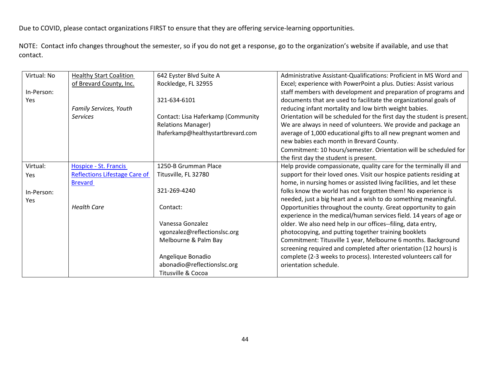| Virtual: No | <b>Healthy Start Coalition</b>       | 642 Eyster Blvd Suite A            | Administrative Assistant-Qualifications: Proficient in MS Word and                                                                   |
|-------------|--------------------------------------|------------------------------------|--------------------------------------------------------------------------------------------------------------------------------------|
|             | of Brevard County, Inc.              | Rockledge, FL 32955                | Excel; experience with PowerPoint a plus. Duties: Assist various                                                                     |
| In-Person:  |                                      |                                    | staff members with development and preparation of programs and                                                                       |
| Yes         |                                      | 321-634-6101                       | documents that are used to facilitate the organizational goals of                                                                    |
|             | Family Services, Youth               |                                    | reducing infant mortality and low birth weight babies.                                                                               |
|             | <b>Services</b>                      | Contact: Lisa Haferkamp (Community | Orientation will be scheduled for the first day the student is present.                                                              |
|             |                                      | <b>Relations Manager)</b>          | We are always in need of volunteers. We provide and package an                                                                       |
|             |                                      | Ihaferkamp@healthystartbrevard.com | average of 1,000 educational gifts to all new pregnant women and                                                                     |
|             |                                      |                                    | new babies each month in Brevard County.                                                                                             |
|             |                                      |                                    | Commitment: 10 hours/semester. Orientation will be scheduled for                                                                     |
|             |                                      |                                    | the first day the student is present.                                                                                                |
| Virtual:    | Hospice - St. Francis                | 1250-B Grumman Place               | Help provide compassionate, quality care for the terminally ill and                                                                  |
| Yes         | <b>Reflections Lifestage Care of</b> | Titusville, FL 32780               | support for their loved ones. Visit our hospice patients residing at                                                                 |
|             | <b>Brevard</b>                       |                                    | home, in nursing homes or assisted living facilities, and let these                                                                  |
| In-Person:  |                                      | 321-269-4240                       | folks know the world has not forgotten them! No experience is                                                                        |
| <b>Yes</b>  |                                      |                                    | needed, just a big heart and a wish to do something meaningful.                                                                      |
|             | <b>Health Care</b>                   | Contact:                           | Opportunities throughout the county. Great opportunity to gain<br>experience in the medical/human services field. 14 years of age or |
|             |                                      | Vanessa Gonzalez                   | older. We also need help in our offices--filing, data entry,                                                                         |
|             |                                      | vgonzalez@reflectionslsc.org       | photocopying, and putting together training booklets                                                                                 |
|             |                                      | Melbourne & Palm Bay               | Commitment: Titusville 1 year, Melbourne 6 months. Background                                                                        |
|             |                                      |                                    | screening required and completed after orientation (12 hours) is                                                                     |
|             |                                      | Angelique Bonadio                  | complete (2-3 weeks to process). Interested volunteers call for                                                                      |
|             |                                      | abonadio@reflectionslsc.org        | orientation schedule.                                                                                                                |
|             |                                      | Titusville & Cocoa                 |                                                                                                                                      |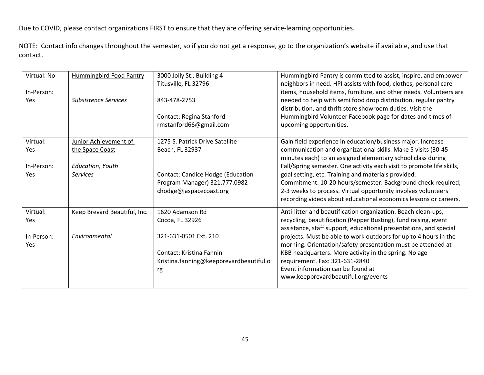| Virtual: No<br>In-Person:<br>Yes | <b>Hummingbird Food Pantry</b><br><b>Subsistence Services</b> | 3000 Jolly St., Building 4<br>Titusville, FL 32796<br>843-478-2753<br>Contact: Regina Stanford<br>rmstanford66@gmail.com | Hummingbird Pantry is committed to assist, inspire, and empower<br>neighbors in need. HPI assists with food, clothes, personal care<br>items, household items, furniture, and other needs. Volunteers are<br>needed to help with semi food drop distribution, regular pantry<br>distribution, and thrift store showroom duties. Visit the<br>Hummingbird Volunteer Facebook page for dates and times of<br>upcoming opportunities. |
|----------------------------------|---------------------------------------------------------------|--------------------------------------------------------------------------------------------------------------------------|------------------------------------------------------------------------------------------------------------------------------------------------------------------------------------------------------------------------------------------------------------------------------------------------------------------------------------------------------------------------------------------------------------------------------------|
| Virtual:<br>Yes                  | Junior Achievement of<br>the Space Coast                      | 1275 S. Patrick Drive Satellite<br>Beach, FL 32937                                                                       | Gain field experience in education/business major. Increase<br>communication and organizational skills. Make 5 visits (30-45<br>minutes each) to an assigned elementary school class during                                                                                                                                                                                                                                        |
| In-Person:                       | Education, Youth                                              |                                                                                                                          | Fall/Spring semester. One activity each visit to promote life skills,                                                                                                                                                                                                                                                                                                                                                              |
| <b>Yes</b>                       | <b>Services</b>                                               | <b>Contact: Candice Hodge (Education</b><br>Program Manager) 321.777.0982<br>chodge@jaspacecoast.org                     | goal setting, etc. Training and materials provided.<br>Commitment: 10-20 hours/semester. Background check required;<br>2-3 weeks to process. Virtual opportunity involves volunteers<br>recording videos about educational economics lessons or careers.                                                                                                                                                                           |
| Virtual:<br>Yes                  | Keep Brevard Beautiful, Inc.                                  | 1620 Adamson Rd<br>Cocoa, FL 32926                                                                                       | Anti-litter and beautification organization. Beach clean-ups,<br>recycling, beautification (Pepper Busting), fund raising, event<br>assistance, staff support, educational presentations, and special                                                                                                                                                                                                                              |
| In-Person:<br>Yes                | Environmental                                                 | 321-631-0501 Ext. 210<br>Contact: Kristina Fannin<br>Kristina.fanning@keepbrevardbeautiful.o                             | projects. Must be able to work outdoors for up to 4 hours in the<br>morning. Orientation/safety presentation must be attended at<br>KBB headquarters. More activity in the spring. No age<br>requirement. Fax: 321-631-2840<br>Event information can be found at                                                                                                                                                                   |
|                                  |                                                               | rg                                                                                                                       | www.keepbrevardbeautiful.org/events                                                                                                                                                                                                                                                                                                                                                                                                |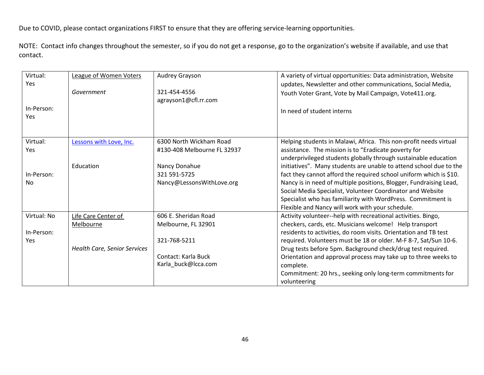| Virtual:          | League of Women Voters              | Audrey Grayson                                         | A variety of virtual opportunities: Data administration, Website                                                                                                                             |
|-------------------|-------------------------------------|--------------------------------------------------------|----------------------------------------------------------------------------------------------------------------------------------------------------------------------------------------------|
| Yes               | Government                          | 321-454-4556<br>agrayson1@cfl.rr.com                   | updates, Newsletter and other communications, Social Media,<br>Youth Voter Grant, Vote by Mail Campaign, Vote411.org.                                                                        |
| In-Person:<br>Yes |                                     |                                                        | In need of student interns                                                                                                                                                                   |
| Virtual:<br>Yes   | Lessons with Love, Inc.             | 6300 North Wickham Road<br>#130-408 Melbourne FL 32937 | Helping students in Malawi, Africa. This non-profit needs virtual<br>assistance. The mission is to "Eradicate poverty for<br>underprivileged students globally through sustainable education |
|                   | Education                           | Nancy Donahue                                          | initiatives". Many students are unable to attend school due to the                                                                                                                           |
| In-Person:        |                                     | 321 591-5725                                           | fact they cannot afford the required school uniform which is \$10.                                                                                                                           |
| <b>No</b>         |                                     | Nancy@LessonsWithLove.org                              | Nancy is in need of multiple positions, Blogger, Fundraising Lead,                                                                                                                           |
|                   |                                     |                                                        | Social Media Specialist, Volunteer Coordinator and Website                                                                                                                                   |
|                   |                                     |                                                        | Specialist who has familiarity with WordPress. Commitment is                                                                                                                                 |
|                   |                                     |                                                        | Flexible and Nancy will work with your schedule.                                                                                                                                             |
| Virtual: No       | Life Care Center of                 | 606 E. Sheridan Road                                   | Activity volunteer--help with recreational activities. Bingo,                                                                                                                                |
|                   | Melbourne                           | Melbourne, FL 32901                                    | checkers, cards, etc. Musicians welcome! Help transport                                                                                                                                      |
| In-Person:        |                                     |                                                        | residents to activities, do room visits. Orientation and TB test                                                                                                                             |
| Yes               |                                     | 321-768-5211                                           | required. Volunteers must be 18 or older. M-F 8-7, Sat/Sun 10-6.                                                                                                                             |
|                   | <b>Health Care, Senior Services</b> |                                                        | Drug tests before 5pm. Background check/drug test required.                                                                                                                                  |
|                   |                                     | Contact: Karla Buck                                    | Orientation and approval process may take up to three weeks to                                                                                                                               |
|                   |                                     | Karla_buck@lcca.com                                    | complete.                                                                                                                                                                                    |
|                   |                                     |                                                        | Commitment: 20 hrs., seeking only long-term commitments for                                                                                                                                  |
|                   |                                     |                                                        | volunteering                                                                                                                                                                                 |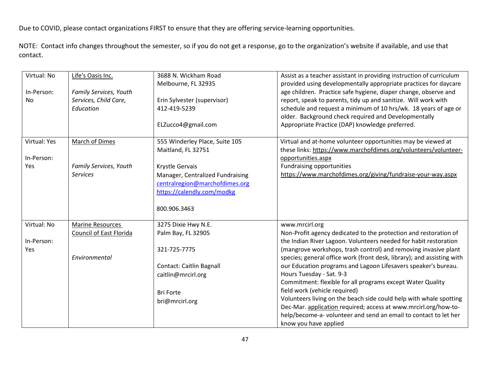| Virtual: No<br>In-Person: | Life's Oasis Inc.<br>Family Services, Youth | 3688 N. Wickham Road<br>Melbourne, FL 32935 | Assist as a teacher assistant in providing instruction of curriculum<br>provided using developmentally appropriate practices for daycare<br>age children. Practice safe hygiene, diaper change, observe and |
|---------------------------|---------------------------------------------|---------------------------------------------|-------------------------------------------------------------------------------------------------------------------------------------------------------------------------------------------------------------|
| No                        | Services, Child Care,                       | Erin Sylvester (supervisor)                 | report, speak to parents, tidy up and sanitize. Will work with                                                                                                                                              |
|                           | Education                                   | 412-419-5239                                | schedule and request a minimum of 10 hrs/wk. 18 years of age or                                                                                                                                             |
|                           |                                             | ELZucco4@gmail.com                          | older. Background check required and Developmentally<br>Appropriate Practice (DAP) knowledge preferred.                                                                                                     |
|                           |                                             |                                             |                                                                                                                                                                                                             |
| Virtual: Yes              | March of Dimes                              | 555 Winderley Place, Suite 105              | Virtual and at-home volunteer opportunities may be viewed at                                                                                                                                                |
|                           |                                             | Maitland, FL 32751                          | these links: https://www.marchofdimes.org/volunteers/volunteer-                                                                                                                                             |
| In-Person:                |                                             |                                             | opportunities.aspx                                                                                                                                                                                          |
| Yes                       | Family Services, Youth                      | Krystle Gervais                             | Fundraising opportunities                                                                                                                                                                                   |
|                           | <b>Services</b>                             | Manager, Centralized Fundraising            | https://www.marchofdimes.org/giving/fundraise-your-way.aspx                                                                                                                                                 |
|                           |                                             | centralregion@marchofdimes.org              |                                                                                                                                                                                                             |
|                           |                                             | https://calendly.com/modkg                  |                                                                                                                                                                                                             |
|                           |                                             | 800.906.3463                                |                                                                                                                                                                                                             |
| Virtual: No               | <b>Marine Resources</b>                     | 3275 Dixie Hwy N.E.                         | www.mrcirl.org                                                                                                                                                                                              |
|                           | <b>Council of East Florida</b>              | Palm Bay, FL 32905                          | Non-Profit agency dedicated to the protection and restoration of                                                                                                                                            |
| In-Person:                |                                             |                                             | the Indian River Lagoon. Volunteers needed for habit restoration                                                                                                                                            |
| Yes                       | Environmental                               | 321-725-7775                                | (mangrove workshops, trash control) and removing invasive plant<br>species; general office work (front desk, library); and assisting with                                                                   |
|                           |                                             | <b>Contact: Caitlin Bagnall</b>             | our Education programs and Lagoon Lifesavers speaker's bureau.                                                                                                                                              |
|                           |                                             | caitlin@mrcirl.org                          | Hours Tuesday - Sat. 9-3                                                                                                                                                                                    |
|                           |                                             |                                             | Commitment: flexible for all programs except Water Quality                                                                                                                                                  |
|                           |                                             | <b>Bri Forte</b>                            | field work (vehicle required)                                                                                                                                                                               |
|                           |                                             | bri@mrcirl.org                              | Volunteers living on the beach side could help with whale spotting                                                                                                                                          |
|                           |                                             |                                             | Dec-Mar. application required; access at www.mrcirl.org/how-to-                                                                                                                                             |
|                           |                                             |                                             | help/become-a-volunteer and send an email to contact to let her                                                                                                                                             |
|                           |                                             |                                             | know you have applied                                                                                                                                                                                       |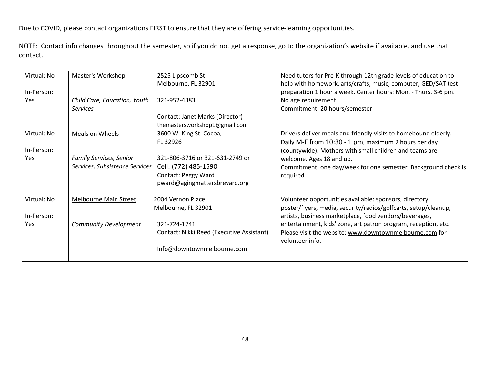| Virtual: No | Master's Workshop              | 2525 Lipscomb St<br>Melbourne, FL 32901   | Need tutors for Pre-K through 12th grade levels of education to<br>help with homework, arts/crafts, music, computer, GED/SAT test |
|-------------|--------------------------------|-------------------------------------------|-----------------------------------------------------------------------------------------------------------------------------------|
| In-Person:  |                                |                                           | preparation 1 hour a week. Center hours: Mon. - Thurs. 3-6 pm.                                                                    |
| Yes         | Child Care, Education, Youth   | 321-952-4383                              | No age requirement.                                                                                                               |
|             | <b>Services</b>                |                                           | Commitment: 20 hours/semester                                                                                                     |
|             |                                | Contact: Janet Marks (Director)           |                                                                                                                                   |
|             |                                | themastersworkshop1@gmail.com             |                                                                                                                                   |
| Virtual: No | Meals on Wheels                | 3600 W. King St. Cocoa,                   | Drivers deliver meals and friendly visits to homebound elderly.                                                                   |
|             |                                | FL 32926                                  | Daily M-F from 10:30 - 1 pm, maximum 2 hours per day                                                                              |
| In-Person:  |                                |                                           | (countywide). Mothers with small children and teams are                                                                           |
| <b>Yes</b>  | <b>Family Services, Senior</b> | 321-806-3716 or 321-631-2749 or           | welcome. Ages 18 and up.                                                                                                          |
|             | Services, Subsistence Services | Cell: (772) 485-1590                      | Commitment: one day/week for one semester. Background check is                                                                    |
|             |                                | <b>Contact: Peggy Ward</b>                | required                                                                                                                          |
|             |                                | pward@agingmattersbrevard.org             |                                                                                                                                   |
| Virtual: No | Melbourne Main Street          | 2004 Vernon Place                         | Volunteer opportunities available: sponsors, directory,                                                                           |
|             |                                | Melbourne, FL 32901                       | poster/flyers, media, security/radios/golfcarts, setup/cleanup,                                                                   |
| In-Person:  |                                |                                           | artists, business marketplace, food vendors/beverages,                                                                            |
| <b>Yes</b>  | <b>Community Development</b>   | 321-724-1741                              | entertainment, kids' zone, art patron program, reception, etc.                                                                    |
|             |                                | Contact: Nikki Reed (Executive Assistant) | Please visit the website: www.downtownmelbourne.com for<br>volunteer info.                                                        |
|             |                                | Info@downtownmelbourne.com                |                                                                                                                                   |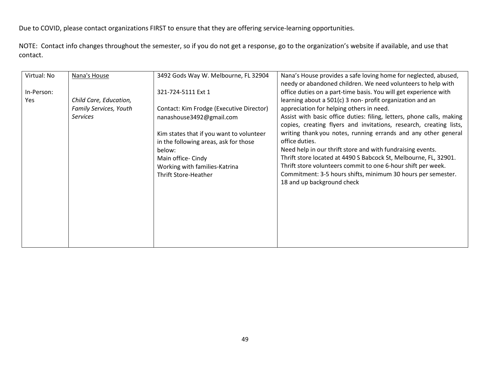| Virtual: No | Nana's House           | 3492 Gods Way W. Melbourne, FL 32904                                        | Nana's House provides a safe loving home for neglected, abused,<br>needy or abandoned children. We need volunteers to help with                                                                                                |
|-------------|------------------------|-----------------------------------------------------------------------------|--------------------------------------------------------------------------------------------------------------------------------------------------------------------------------------------------------------------------------|
| In-Person:  |                        | 321-724-5111 Ext 1                                                          | office duties on a part-time basis. You will get experience with                                                                                                                                                               |
| Yes         | Child Care, Education, |                                                                             | learning about a 501(c) 3 non- profit organization and an                                                                                                                                                                      |
|             | Family Services, Youth | Contact: Kim Frodge (Executive Director)                                    | appreciation for helping others in need.                                                                                                                                                                                       |
|             | Services               | nanashouse3492@gmail.com                                                    | Assist with basic office duties: filing, letters, phone calls, making                                                                                                                                                          |
|             |                        |                                                                             | copies, creating flyers and invitations, research, creating lists,                                                                                                                                                             |
|             |                        | Kim states that if you want to volunteer                                    | writing thank you notes, running errands and any other general                                                                                                                                                                 |
|             |                        | in the following areas, ask for those                                       | office duties.                                                                                                                                                                                                                 |
|             |                        | below:                                                                      | Need help in our thrift store and with fundraising events.                                                                                                                                                                     |
|             |                        |                                                                             |                                                                                                                                                                                                                                |
|             |                        |                                                                             |                                                                                                                                                                                                                                |
|             |                        |                                                                             |                                                                                                                                                                                                                                |
|             |                        |                                                                             |                                                                                                                                                                                                                                |
|             |                        |                                                                             |                                                                                                                                                                                                                                |
|             |                        |                                                                             |                                                                                                                                                                                                                                |
|             |                        |                                                                             |                                                                                                                                                                                                                                |
|             |                        |                                                                             |                                                                                                                                                                                                                                |
|             |                        |                                                                             |                                                                                                                                                                                                                                |
|             |                        |                                                                             |                                                                                                                                                                                                                                |
|             |                        | Main office- Cindy<br>Working with families-Katrina<br>Thrift Store-Heather | Thrift store located at 4490 S Babcock St, Melbourne, FL, 32901.<br>Thrift store volunteers commit to one 6-hour shift per week.<br>Commitment: 3-5 hours shifts, minimum 30 hours per semester.<br>18 and up background check |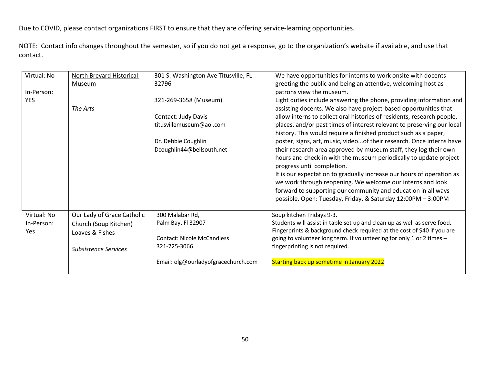| Virtual: No | North Brevard Historical    | 301 S. Washington Ave Titusville, FL | We have opportunities for interns to work onsite with docents            |
|-------------|-----------------------------|--------------------------------------|--------------------------------------------------------------------------|
|             | Museum                      | 32796                                | greeting the public and being an attentive, welcoming host as            |
| In-Person:  |                             |                                      | patrons view the museum.                                                 |
| <b>YES</b>  |                             | 321-269-3658 (Museum)                | Light duties include answering the phone, providing information and      |
|             | The Arts                    |                                      | assisting docents. We also have project-based opportunities that         |
|             |                             | Contact: Judy Davis                  | allow interns to collect oral histories of residents, research people,   |
|             |                             | titusvillemuseum@aol.com             | places, and/or past times of interest relevant to preserving our local   |
|             |                             |                                      | history. This would require a finished product such as a paper,          |
|             |                             | Dr. Debbie Coughlin                  | poster, signs, art, music, video of their research. Once interns have    |
|             |                             | Dcoughlin44@bellsouth.net            | their research area approved by museum staff, they log their own         |
|             |                             |                                      | hours and check-in with the museum periodically to update project        |
|             |                             |                                      | progress until completion.                                               |
|             |                             |                                      | It is our expectation to gradually increase our hours of operation as    |
|             |                             |                                      | we work through reopening. We welcome our interns and look               |
|             |                             |                                      | forward to supporting our community and education in all ways            |
|             |                             |                                      | possible. Open: Tuesday, Friday, & Saturday 12:00PM - 3:00PM             |
| Virtual: No |                             | 300 Malabar Rd,                      | Soup kitchen Fridays 9-3.                                                |
| In-Person:  | Our Lady of Grace Catholic  | Palm Bay, Fl 32907                   | Students will assist in table set up and clean up as well as serve food. |
| <b>Yes</b>  | Church (Soup Kitchen)       |                                      | Fingerprints & background check required at the cost of \$40 if you are  |
|             | Loaves & Fishes             | <b>Contact: Nicole McCandless</b>    | going to volunteer long term. If volunteering for only 1 or 2 times -    |
|             |                             | 321-725-3066                         | fingerprinting is not required.                                          |
|             | <b>Subsistence Services</b> |                                      |                                                                          |
|             |                             | Email: olg@ourladyofgracechurch.com  | <b>Starting back up sometime in January 2022</b>                         |
|             |                             |                                      |                                                                          |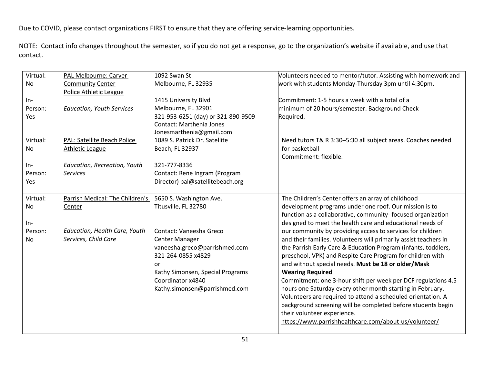| Virtual: | PAL Melbourne: Carver            | 1092 Swan St                       | Volunteers needed to mentor/tutor. Assisting with homework and   |
|----------|----------------------------------|------------------------------------|------------------------------------------------------------------|
| No       | <b>Community Center</b>          | Melbourne, FL 32935                | work with students Monday-Thursday 3pm until 4:30pm.             |
|          | Police Athletic League           |                                    |                                                                  |
| $In-$    |                                  | 1415 University Blvd               | Commitment: 1-5 hours a week with a total of a                   |
| Person:  | <b>Education, Youth Services</b> | Melbourne, FL 32901                | minimum of 20 hours/semester. Background Check                   |
| Yes      |                                  | 321-953-6251 (day) or 321-890-9509 | Required.                                                        |
|          |                                  | Contact: Marthenia Jones           |                                                                  |
|          |                                  | Jonesmarthenia@gmail.com           |                                                                  |
| Virtual: | PAL: Satellite Beach Police      | 1089 S. Patrick Dr. Satellite      | Need tutors T& R 3:30-5:30 all subject areas. Coaches needed     |
| No       | <b>Athletic League</b>           | Beach, FL 32937                    | for basketball                                                   |
|          |                                  |                                    | Commitment: flexible.                                            |
| $In-$    | Education, Recreation, Youth     | 321-777-8336                       |                                                                  |
| Person:  | <b>Services</b>                  | Contact: Rene Ingram (Program      |                                                                  |
| Yes      |                                  | Director) pal@satellitebeach.org   |                                                                  |
|          |                                  |                                    |                                                                  |
| Virtual: | Parrish Medical: The Children's  | 5650 S. Washington Ave.            | The Children's Center offers an array of childhood               |
| No       | Center                           | Titusville, FL 32780               | development programs under one roof. Our mission is to           |
|          |                                  |                                    | function as a collaborative, community-focused organization      |
| $In-$    |                                  |                                    | designed to meet the health care and educational needs of        |
| Person:  | Education, Health Care, Youth    | Contact: Vaneesha Greco            | our community by providing access to services for children       |
| No       | Services, Child Care             | Center Manager                     | and their families. Volunteers will primarily assist teachers in |
|          |                                  | vaneesha.greco@parrishmed.com      | the Parrish Early Care & Education Program (infants, toddlers,   |
|          |                                  | 321-264-0855 x4829                 | preschool, VPK) and Respite Care Program for children with       |
|          |                                  | or                                 | and without special needs. Must be 18 or older/Mask              |
|          |                                  | Kathy Simonsen, Special Programs   | <b>Wearing Required</b>                                          |
|          |                                  | Coordinator x4840                  | Commitment: one 3-hour shift per week per DCF regulations 4.5    |
|          |                                  | Kathy.simonsen@parrishmed.com      | hours one Saturday every other month starting in February.       |
|          |                                  |                                    | Volunteers are required to attend a scheduled orientation. A     |
|          |                                  |                                    | background screening will be completed before students begin     |
|          |                                  |                                    | their volunteer experience.                                      |
|          |                                  |                                    | https://www.parrishhealthcare.com/about-us/volunteer/            |
|          |                                  |                                    |                                                                  |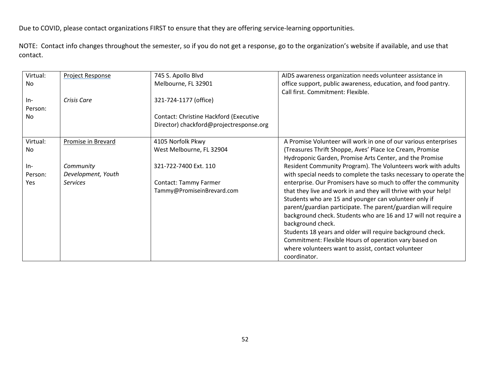| Virtual:<br><b>No</b> | <b>Project Response</b>         | 745 S. Apollo Blvd<br>Melbourne, FL 32901                                         | AIDS awareness organization needs volunteer assistance in<br>office support, public awareness, education, and food pantry.                                                                                                                                                                                                                                                                                                                                                                                                                      |
|-----------------------|---------------------------------|-----------------------------------------------------------------------------------|-------------------------------------------------------------------------------------------------------------------------------------------------------------------------------------------------------------------------------------------------------------------------------------------------------------------------------------------------------------------------------------------------------------------------------------------------------------------------------------------------------------------------------------------------|
| $In-$<br>Person:      | Crisis Care                     | 321-724-1177 (office)                                                             | Call first. Commitment: Flexible.                                                                                                                                                                                                                                                                                                                                                                                                                                                                                                               |
| <b>No</b>             |                                 | Contact: Christine Hackford (Executive<br>Director) chackford@projectresponse.org |                                                                                                                                                                                                                                                                                                                                                                                                                                                                                                                                                 |
| Virtual:<br><b>No</b> | Promise in Brevard              | 4105 Norfolk Pkwy<br>West Melbourne, FL 32904                                     | A Promise Volunteer will work in one of our various enterprises<br>(Treasures Thrift Shoppe, Aves' Place Ice Cream, Promise<br>Hydroponic Garden, Promise Arts Center, and the Promise                                                                                                                                                                                                                                                                                                                                                          |
| $In-$<br>Person:      | Community<br>Development, Youth | 321-722-7400 Ext. 110                                                             | Resident Community Program). The Volunteers work with adults<br>with special needs to complete the tasks necessary to operate the                                                                                                                                                                                                                                                                                                                                                                                                               |
| Yes                   | <b>Services</b>                 | Contact: Tammy Farmer<br>Tammy@PromiseinBrevard.com                               | enterprise. Our Promisers have so much to offer the community<br>that they live and work in and they will thrive with your help!<br>Students who are 15 and younger can volunteer only if<br>parent/guardian participate. The parent/guardian will require<br>background check. Students who are 16 and 17 will not require a<br>background check.<br>Students 18 years and older will require background check.<br>Commitment: Flexible Hours of operation vary based on<br>where volunteers want to assist, contact volunteer<br>coordinator. |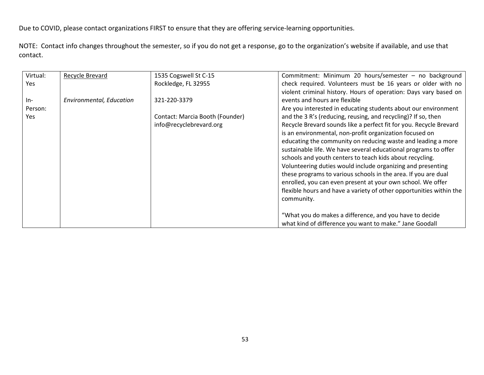| Virtual: | Recycle Brevard          | 1535 Cogswell St C-15           | Commitment: Minimum 20 hours/semester - no background               |
|----------|--------------------------|---------------------------------|---------------------------------------------------------------------|
| Yes      |                          | Rockledge, FL 32955             | check required. Volunteers must be 16 years or older with no        |
|          |                          |                                 | violent criminal history. Hours of operation: Days vary based on    |
| $In-$    | Environmental, Education | 321-220-3379                    | events and hours are flexible                                       |
| Person:  |                          |                                 | Are you interested in educating students about our environment      |
| Yes      |                          | Contact: Marcia Booth (Founder) | and the 3 R's (reducing, reusing, and recycling)? If so, then       |
|          |                          | info@recyclebrevard.org         | Recycle Brevard sounds like a perfect fit for you. Recycle Brevard  |
|          |                          |                                 | is an environmental, non-profit organization focused on             |
|          |                          |                                 | educating the community on reducing waste and leading a more        |
|          |                          |                                 | sustainable life. We have several educational programs to offer     |
|          |                          |                                 | schools and youth centers to teach kids about recycling.            |
|          |                          |                                 | Volunteering duties would include organizing and presenting         |
|          |                          |                                 | these programs to various schools in the area. If you are dual      |
|          |                          |                                 | enrolled, you can even present at your own school. We offer         |
|          |                          |                                 | flexible hours and have a variety of other opportunities within the |
|          |                          |                                 | community.                                                          |
|          |                          |                                 |                                                                     |
|          |                          |                                 | "What you do makes a difference, and you have to decide             |
|          |                          |                                 | what kind of difference you want to make." Jane Goodall             |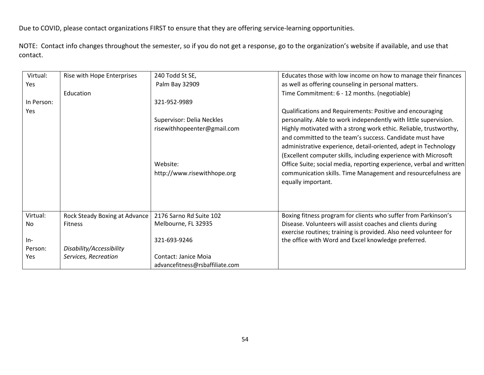| Virtual:   | Rise with Hope Enterprises    | 240 Todd St SE,                 | Educates those with low income on how to manage their finances       |
|------------|-------------------------------|---------------------------------|----------------------------------------------------------------------|
| <b>Yes</b> |                               | Palm Bay 32909                  | as well as offering counseling in personal matters.                  |
|            | Education                     |                                 | Time Commitment: 6 - 12 months. (negotiable)                         |
| In Person: |                               | 321-952-9989                    |                                                                      |
| <b>Yes</b> |                               |                                 | Qualifications and Requirements: Positive and encouraging            |
|            |                               | Supervisor: Delia Neckles       | personality. Able to work independently with little supervision.     |
|            |                               | risewithhopeenter@gmail.com     | Highly motivated with a strong work ethic. Reliable, trustworthy,    |
|            |                               |                                 | and committed to the team's success. Candidate must have             |
|            |                               |                                 | administrative experience, detail-oriented, adept in Technology      |
|            |                               |                                 | (Excellent computer skills, including experience with Microsoft      |
|            |                               | Website:                        | Office Suite; social media, reporting experience, verbal and written |
|            |                               | http://www.risewithhope.org     | communication skills. Time Management and resourcefulness are        |
|            |                               |                                 | equally important.                                                   |
|            |                               |                                 |                                                                      |
|            |                               |                                 |                                                                      |
|            |                               |                                 |                                                                      |
| Virtual:   | Rock Steady Boxing at Advance | 2176 Sarno Rd Suite 102         | Boxing fitness program for clients who suffer from Parkinson's       |
| No         | <b>Fitness</b>                | Melbourne, FL 32935             | Disease. Volunteers will assist coaches and clients during           |
|            |                               |                                 | exercise routines; training is provided. Also need volunteer for     |
| $In-$      |                               | 321-693-9246                    | the office with Word and Excel knowledge preferred.                  |
| Person:    | Disability/Accessibility      |                                 |                                                                      |
| Yes        | Services, Recreation          | Contact: Janice Moia            |                                                                      |
|            |                               | advancefitness@rsbaffiliate.com |                                                                      |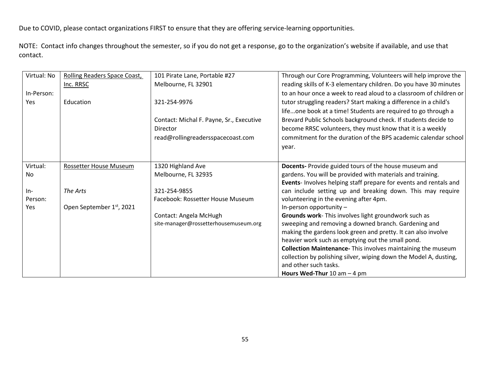| Virtual: No | Rolling Readers Space Coast, | 101 Pirate Lane, Portable #27            | Through our Core Programming, Volunteers will help improve the      |
|-------------|------------------------------|------------------------------------------|---------------------------------------------------------------------|
|             | Inc. RRSC                    | Melbourne, FL 32901                      | reading skills of K-3 elementary children. Do you have 30 minutes   |
| In-Person:  |                              |                                          | to an hour once a week to read aloud to a classroom of children or  |
| Yes         | Education                    | 321-254-9976                             | tutor struggling readers? Start making a difference in a child's    |
|             |                              |                                          | lifeone book at a time! Students are required to go through a       |
|             |                              | Contact: Michal F. Payne, Sr., Executive | Brevard Public Schools background check. If students decide to      |
|             |                              | Director                                 | become RRSC volunteers, they must know that it is a weekly          |
|             |                              | read@rollingreadersspacecoast.com        | commitment for the duration of the BPS academic calendar school     |
|             |                              |                                          | year.                                                               |
|             |                              |                                          |                                                                     |
| Virtual:    | Rossetter House Museum       | 1320 Highland Ave                        | <b>Docents-</b> Provide guided tours of the house museum and        |
| No          |                              | Melbourne, FL 32935                      | gardens. You will be provided with materials and training.          |
|             |                              |                                          | Events- Involves helping staff prepare for events and rentals and   |
| $In-$       | The Arts                     | 321-254-9855                             | can include setting up and breaking down. This may require          |
| Person:     |                              | Facebook: Rossetter House Museum         | volunteering in the evening after 4pm.                              |
| Yes         | Open September 1st, 2021     |                                          | In-person opportunity -                                             |
|             |                              | Contact: Angela McHugh                   | Grounds work- This involves light groundwork such as                |
|             |                              | site-manager@rossetterhousemuseum.org    | sweeping and removing a downed branch. Gardening and                |
|             |                              |                                          | making the gardens look green and pretty. It can also involve       |
|             |                              |                                          | heavier work such as emptying out the small pond.                   |
|             |                              |                                          | <b>Collection Maintenance-</b> This involves maintaining the museum |
|             |                              |                                          | collection by polishing silver, wiping down the Model A, dusting,   |
|             |                              |                                          | and other such tasks.                                               |
|             |                              |                                          | Hours Wed-Thur $10$ am $-4$ pm                                      |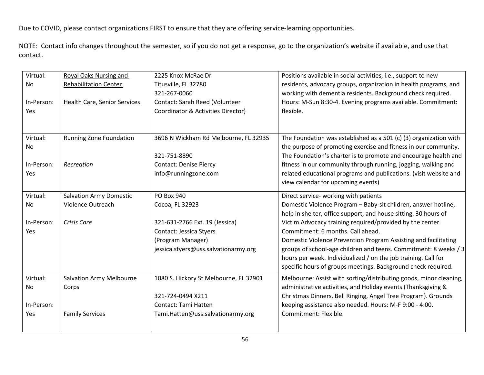| Royal Oaks Nursing and          | 2225 Knox McRae Dr                     | Positions available in social activities, i.e., support to new     |
|---------------------------------|----------------------------------------|--------------------------------------------------------------------|
| <b>Rehabilitation Center</b>    | Titusville, FL 32780                   | residents, advocacy groups, organization in health programs, and   |
|                                 | 321-267-0060                           | working with dementia residents. Background check required.        |
| Health Care, Senior Services    | Contact: Sarah Reed (Volunteer         | Hours: M-Sun 8:30-4. Evening programs available. Commitment:       |
|                                 | Coordinator & Activities Director)     | flexible.                                                          |
|                                 |                                        |                                                                    |
|                                 |                                        |                                                                    |
| Running Zone Foundation         | 3696 N Wickham Rd Melbourne, FL 32935  | The Foundation was established as a 501 (c) (3) organization with  |
|                                 |                                        | the purpose of promoting exercise and fitness in our community.    |
|                                 | 321-751-8890                           | The Foundation's charter is to promote and encourage health and    |
| Recreation                      | <b>Contact: Denise Piercy</b>          | fitness in our community through running, jogging, walking and     |
|                                 | info@runningzone.com                   | related educational programs and publications. (visit website and  |
|                                 |                                        | view calendar for upcoming events)                                 |
| <b>Salvation Army Domestic</b>  | PO Box 940                             | Direct service- working with patients                              |
| Violence Outreach               | Cocoa, FL 32923                        | Domestic Violence Program - Baby-sit children, answer hotline,     |
|                                 |                                        | help in shelter, office support, and house sitting. 30 hours of    |
| Crisis Care                     | 321-631-2766 Ext. 19 (Jessica)         | Victim Advocacy training required/provided by the center.          |
|                                 | <b>Contact: Jessica Styers</b>         | Commitment: 6 months. Call ahead.                                  |
|                                 | (Program Manager)                      | Domestic Violence Prevention Program Assisting and facilitating    |
|                                 | jessica.styers@uss.salvationarmy.org   | groups of school-age children and teens. Commitment: 8 weeks / 3   |
|                                 |                                        | hours per week. Individualized / on the job training. Call for     |
|                                 |                                        | specific hours of groups meetings. Background check required.      |
| <b>Salvation Army Melbourne</b> | 1080 S. Hickory St Melbourne, FL 32901 | Melbourne: Assist with sorting/distributing goods, minor cleaning, |
| Corps                           |                                        | administrative activities, and Holiday events (Thanksgiving &      |
|                                 | 321-724-0494 X211                      | Christmas Dinners, Bell Ringing, Angel Tree Program). Grounds      |
|                                 | Contact: Tami Hatten                   | keeping assistance also needed. Hours: M-F 9:00 - 4:00.            |
| <b>Family Services</b>          | Tami.Hatten@uss.salvationarmy.org      | Commitment: Flexible.                                              |
|                                 |                                        |                                                                    |
|                                 |                                        |                                                                    |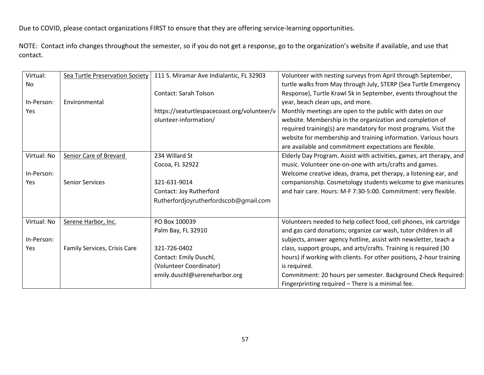| Virtual:    | Sea Turtle Preservation Society | 111 S. Miramar Ave Indialantic, FL 32903    | Volunteer with nesting surveys from April through September,         |
|-------------|---------------------------------|---------------------------------------------|----------------------------------------------------------------------|
| No          |                                 |                                             | turtle walks from May through July, STERP (Sea Turtle Emergency      |
|             |                                 | <b>Contact: Sarah Tolson</b>                | Response), Turtle Krawl 5k in September, events throughout the       |
| In-Person:  | Environmental                   |                                             | year, beach clean ups, and more.                                     |
| Yes         |                                 | https://seaturtlespacecoast.org/volunteer/v | Monthly meetings are open to the public with dates on our            |
|             |                                 | olunteer-information/                       | website. Membership in the organization and completion of            |
|             |                                 |                                             | required training(s) are mandatory for most programs. Visit the      |
|             |                                 |                                             | website for membership and training information. Various hours       |
|             |                                 |                                             | are available and commitment expectations are flexible.              |
| Virtual: No | <b>Senior Care of Brevard</b>   | 234 Willard St                              | Elderly Day Program. Assist with activities, games, art therapy, and |
|             |                                 | Cocoa, FL 32922                             | music. Volunteer one-on-one with arts/crafts and games.              |
| In-Person:  |                                 |                                             | Welcome creative ideas, drama, pet therapy, a listening ear, and     |
| Yes         | <b>Senior Services</b>          | 321-631-9014                                | companionship. Cosmetology students welcome to give manicures        |
|             |                                 | Contact: Joy Rutherford                     | and hair care. Hours: M-F 7:30-5:00. Commitment: very flexible.      |
|             |                                 | Rutherfordjoyrutherfordscob@gmail.com       |                                                                      |
|             |                                 |                                             |                                                                      |
| Virtual: No | Serene Harbor, Inc.             | PO Box 100039                               | Volunteers needed to help collect food, cell phones, ink cartridge   |
|             |                                 | Palm Bay, FL 32910                          | and gas card donations; organize car wash, tutor children in all     |
| In-Person:  |                                 |                                             | subjects, answer agency hotline, assist with newsletter, teach a     |
| Yes         | Family Services, Crisis Care    | 321-726-0402                                | class, support groups, and arts/crafts. Training is required (30     |
|             |                                 | Contact: Emily Duschl,                      | hours) if working with clients. For other positions, 2-hour training |
|             |                                 | (Volunteer Coordinator)                     | is required.                                                         |
|             |                                 | emily.duschl@sereneharbor.org               | Commitment: 20 hours per semester. Background Check Required:        |
|             |                                 |                                             | Fingerprinting required - There is a minimal fee.                    |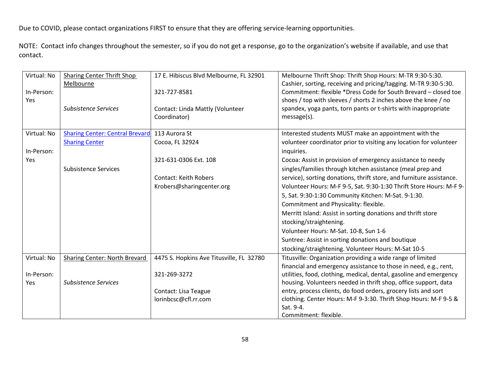| Virtual: No | <b>Sharing Center Thrift Shop</b>      | 17 E. Hibiscus Blvd Melbourne, FL 32901  | Melbourne Thrift Shop: Thrift Shop Hours: M-TR 9:30-5:30.            |
|-------------|----------------------------------------|------------------------------------------|----------------------------------------------------------------------|
|             | Melbourne                              |                                          | Cashier, sorting, receiving and pricing/tagging. M-TR 9:30-5:30.     |
| In-Person:  |                                        | 321-727-8581                             | Commitment: flexible *Dress Code for South Brevard - closed toe      |
| Yes         |                                        |                                          | shoes / top with sleeves / shorts 2 inches above the knee / no       |
|             | Subsistence Services                   | Contact: Linda Mattly (Volunteer         | spandex, yoga pants, torn pants or t-shirts with inappropriate       |
|             |                                        | Coordinator)                             | message(s).                                                          |
|             |                                        |                                          |                                                                      |
| Virtual: No | <b>Sharing Center: Central Brevard</b> | 113 Aurora St                            | Interested students MUST make an appointment with the                |
|             | <b>Sharing Center</b>                  | Cocoa, FL 32924                          | volunteer coordinator prior to visiting any location for volunteer   |
| In-Person:  |                                        |                                          | inquiries.                                                           |
| Yes         |                                        | 321-631-0306 Ext. 108                    | Cocoa: Assist in provision of emergency assistance to needy          |
|             | <b>Subsistence Services</b>            |                                          | singles/families through kitchen assistance (meal prep and           |
|             |                                        | <b>Contact: Keith Robers</b>             | service), sorting donations, thrift store, and furniture assistance. |
|             |                                        | Krobers@sharingcenter.org                | Volunteer Hours: M-F 9-5, Sat. 9:30-1:30 Thrift Store Hours: M-F 9-  |
|             |                                        |                                          | 5, Sat. 9:30-1:30 Community Kitchen: M-Sat. 9-1:30.                  |
|             |                                        |                                          | Commitment and Physicality: flexible.                                |
|             |                                        |                                          | Merritt Island: Assist in sorting donations and thrift store         |
|             |                                        |                                          | stocking/straightening.                                              |
|             |                                        |                                          | Volunteer Hours: M-Sat. 10-8, Sun 1-6                                |
|             |                                        |                                          | Suntree: Assist in sorting donations and boutique                    |
|             |                                        |                                          | stocking/straightening. Volunteer Hours: M-Sat 10-5                  |
| Virtual: No | Sharing Center: North Brevard          | 4475 S. Hopkins Ave Titusville, FL 32780 | Titusville: Organization providing a wide range of limited           |
|             |                                        |                                          | financial and emergency assistance to those in need, e.g., rent,     |
| In-Person:  |                                        | 321-269-3272                             | utilities, food, clothing, medical, dental, gasoline and emergency   |
| Yes         | Subsistence Services                   |                                          | housing. Volunteers needed in thrift shop, office support, data      |
|             |                                        | Contact: Lisa Teague                     | entry, process clients, do food orders, grocery lists and sort       |
|             |                                        | lorinbcsc@cfl.rr.com                     | clothing. Center Hours: M-F 9-3:30. Thrift Shop Hours: M-F 9-5 &     |
|             |                                        |                                          | Sat. 9-4.                                                            |
|             |                                        |                                          | Commitment: flexible.                                                |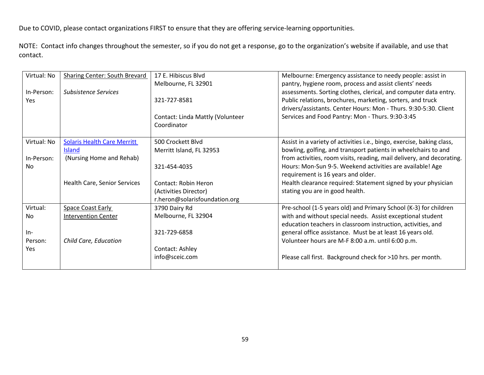| Virtual: No | <b>Sharing Center: South Brevard</b> | 17 E. Hibiscus Blvd              | Melbourne: Emergency assistance to needy people: assist in             |
|-------------|--------------------------------------|----------------------------------|------------------------------------------------------------------------|
|             |                                      | Melbourne, FL 32901              | pantry, hygiene room, process and assist clients' needs                |
| In-Person:  | Subsistence Services                 |                                  | assessments. Sorting clothes, clerical, and computer data entry.       |
| <b>Yes</b>  |                                      | 321-727-8581                     | Public relations, brochures, marketing, sorters, and truck             |
|             |                                      |                                  | drivers/assistants. Center Hours: Mon - Thurs. 9:30-5:30. Client       |
|             |                                      | Contact: Linda Mattly (Volunteer | Services and Food Pantry: Mon - Thurs. 9:30-3:45                       |
|             |                                      | Coordinator                      |                                                                        |
| Virtual: No | <b>Solaris Health Care Merritt</b>   | 500 Crockett Blvd                | Assist in a variety of activities i.e., bingo, exercise, baking class, |
|             | <b>Island</b>                        | Merritt Island, FL 32953         | bowling, golfing, and transport patients in wheelchairs to and         |
| In-Person:  | (Nursing Home and Rehab)             |                                  | from activities, room visits, reading, mail delivery, and decorating.  |
| <b>No</b>   |                                      | 321-454-4035                     | Hours: Mon-Sun 9-5. Weekend activities are available! Age              |
|             |                                      |                                  | requirement is 16 years and older.                                     |
|             | Health Care, Senior Services         | Contact: Robin Heron             | Health clearance required: Statement signed by your physician          |
|             |                                      | (Activities Director)            | stating you are in good health.                                        |
|             |                                      | r.heron@solarisfoundation.org    |                                                                        |
| Virtual:    | <b>Space Coast Early</b>             | 3790 Dairy Rd                    | Pre-school (1-5 years old) and Primary School (K-3) for children       |
| <b>No</b>   | <b>Intervention Center</b>           | Melbourne, FL 32904              | with and without special needs. Assist exceptional student             |
|             |                                      |                                  | education teachers in classroom instruction, activities, and           |
| $In-$       |                                      | 321-729-6858                     | general office assistance. Must be at least 16 years old.              |
| Person:     | Child Care, Education                |                                  | Volunteer hours are M-F 8:00 a.m. until 6:00 p.m.                      |
| Yes.        |                                      | Contact: Ashley                  |                                                                        |
|             |                                      | info@sceic.com                   | Please call first. Background check for >10 hrs. per month.            |
|             |                                      |                                  |                                                                        |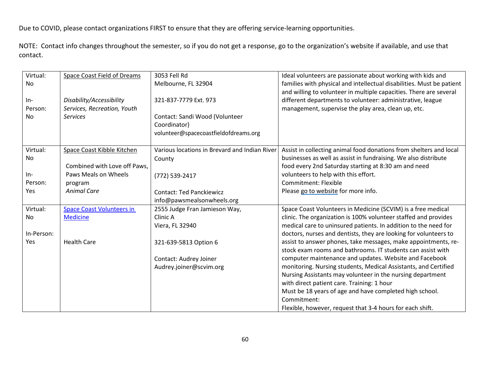| Virtual:   | Space Coast Field of Dreams      | 3053 Fell Rd                                  | Ideal volunteers are passionate about working with kids and           |
|------------|----------------------------------|-----------------------------------------------|-----------------------------------------------------------------------|
| No         |                                  | Melbourne, FL 32904                           | families with physical and intellectual disabilities. Must be patient |
|            |                                  |                                               | and willing to volunteer in multiple capacities. There are several    |
| $In-$      | Disability/Accessibility         | 321-837-7779 Ext. 973                         | different departments to volunteer: administrative, league            |
| Person:    | Services, Recreation, Youth      |                                               | management, supervise the play area, clean up, etc.                   |
| No.        | <b>Services</b>                  | Contact: Sandi Wood (Volunteer                |                                                                       |
|            |                                  | Coordinator)                                  |                                                                       |
|            |                                  | volunteer@spacecoastfieldofdreams.org         |                                                                       |
|            |                                  |                                               |                                                                       |
| Virtual:   | Space Coast Kibble Kitchen       | Various locations in Brevard and Indian River | Assist in collecting animal food donations from shelters and local    |
| No.        |                                  | County                                        | businesses as well as assist in fundraising. We also distribute       |
|            | Combined with Love off Paws,     |                                               | food every 2nd Saturday starting at 8:30 am and need                  |
| $In-$      | Paws Meals on Wheels             | (772) 539-2417                                | volunteers to help with this effort.                                  |
| Person:    | program                          |                                               | <b>Commitment: Flexible</b>                                           |
| Yes        | <b>Animal Care</b>               | <b>Contact: Ted Panckiewicz</b>               | Please go to website for more info.                                   |
|            |                                  | info@pawsmealsonwheels.org                    |                                                                       |
| Virtual:   | <b>Space Coast Volunteers in</b> | 2555 Judge Fran Jamieson Way,                 | Space Coast Volunteers in Medicine (SCVIM) is a free medical          |
| No.        | <b>Medicine</b>                  | Clinic A                                      | clinic. The organization is 100% volunteer staffed and provides       |
|            |                                  | Viera, FL 32940                               | medical care to uninsured patients. In addition to the need for       |
| In-Person: |                                  |                                               | doctors, nurses and dentists, they are looking for volunteers to      |
| Yes        | <b>Health Care</b>               | 321-639-5813 Option 6                         | assist to answer phones, take messages, make appointments, re-        |
|            |                                  |                                               | stock exam rooms and bathrooms. IT students can assist with           |
|            |                                  | Contact: Audrey Joiner                        | computer maintenance and updates. Website and Facebook                |
|            |                                  | Audrey.joiner@scvim.org                       | monitoring. Nursing students, Medical Assistants, and Certified       |
|            |                                  |                                               | Nursing Assistants may volunteer in the nursing department            |
|            |                                  |                                               | with direct patient care. Training: 1 hour                            |
|            |                                  |                                               | Must be 18 years of age and have completed high school.               |
|            |                                  |                                               | Commitment:                                                           |
|            |                                  |                                               | Flexible, however, request that 3-4 hours for each shift.             |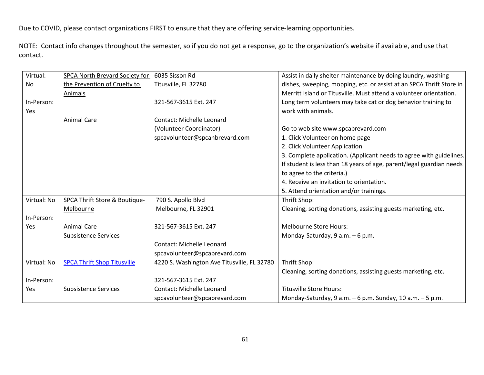| Virtual:    | SPCA North Brevard Society for     | 6035 Sisson Rd                              | Assist in daily shelter maintenance by doing laundry, washing        |
|-------------|------------------------------------|---------------------------------------------|----------------------------------------------------------------------|
| No          | the Prevention of Cruelty to       | Titusville, FL 32780                        | dishes, sweeping, mopping, etc. or assist at an SPCA Thrift Store in |
|             | Animals                            |                                             | Merritt Island or Titusville. Must attend a volunteer orientation.   |
| In-Person:  |                                    | 321-567-3615 Ext. 247                       | Long term volunteers may take cat or dog behavior training to        |
| Yes         |                                    |                                             | work with animals.                                                   |
|             | <b>Animal Care</b>                 | Contact: Michelle Leonard                   |                                                                      |
|             |                                    | (Volunteer Coordinator)                     | Go to web site www.spcabrevard.com                                   |
|             |                                    | spcavolunteer@spcanbrevard.com              | 1. Click Volunteer on home page                                      |
|             |                                    |                                             | 2. Click Volunteer Application                                       |
|             |                                    |                                             | 3. Complete application. (Applicant needs to agree with guidelines.) |
|             |                                    |                                             | If student is less than 18 years of age, parent/legal guardian needs |
|             |                                    |                                             | to agree to the criteria.)                                           |
|             |                                    |                                             | 4. Receive an invitation to orientation.                             |
|             |                                    |                                             | 5. Attend orientation and/or trainings.                              |
| Virtual: No | SPCA Thrift Store & Boutique-      | 790 S. Apollo Blvd                          | Thrift Shop:                                                         |
|             | Melbourne                          | Melbourne, FL 32901                         | Cleaning, sorting donations, assisting guests marketing, etc.        |
| In-Person:  |                                    |                                             |                                                                      |
| Yes         | <b>Animal Care</b>                 | 321-567-3615 Ext. 247                       | <b>Melbourne Store Hours:</b>                                        |
|             | <b>Subsistence Services</b>        |                                             | Monday-Saturday, 9 a.m. - 6 p.m.                                     |
|             |                                    | <b>Contact: Michelle Leonard</b>            |                                                                      |
|             |                                    | spcavolunteer@spcabrevard.com               |                                                                      |
| Virtual: No | <b>SPCA Thrift Shop Titusville</b> | 4220 S. Washington Ave Titusville, FL 32780 | Thrift Shop:                                                         |
|             |                                    |                                             | Cleaning, sorting donations, assisting guests marketing, etc.        |
| In-Person:  |                                    | 321-567-3615 Ext. 247                       |                                                                      |
| Yes         | <b>Subsistence Services</b>        | Contact: Michelle Leonard                   | <b>Titusville Store Hours:</b>                                       |
|             |                                    | spcavolunteer@spcabrevard.com               | Monday-Saturday, 9 a.m. - 6 p.m. Sunday, 10 a.m. - 5 p.m.            |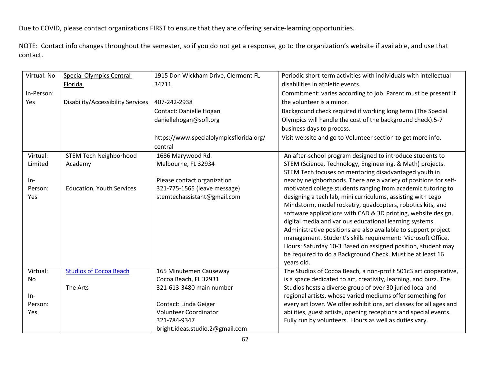| Virtual: No |                                   |                                         | Periodic short-term activities with individuals with intellectual   |
|-------------|-----------------------------------|-----------------------------------------|---------------------------------------------------------------------|
|             | <b>Special Olympics Central</b>   | 1915 Don Wickham Drive, Clermont FL     |                                                                     |
|             | Florida                           | 34711                                   | disabilities in athletic events.                                    |
| In-Person:  |                                   |                                         | Commitment: varies according to job. Parent must be present if      |
| Yes         | Disability/Accessibility Services | 407-242-2938                            | the volunteer is a minor.                                           |
|             |                                   | Contact: Danielle Hogan                 | Background check required if working long term (The Special         |
|             |                                   | daniellehogan@sofl.org                  | Olympics will handle the cost of the background check).5-7          |
|             |                                   |                                         | business days to process.                                           |
|             |                                   | https://www.specialolympicsflorida.org/ | Visit website and go to Volunteer section to get more info.         |
|             |                                   | central                                 |                                                                     |
| Virtual:    | <b>STEM Tech Neighborhood</b>     | 1686 Marywood Rd.                       | An after-school program designed to introduce students to           |
| Limited     | Academy                           | Melbourne, FL 32934                     | STEM (Science, Technology, Engineering, & Math) projects.           |
|             |                                   |                                         | STEM Tech focuses on mentoring disadvantaged youth in               |
| $In-$       |                                   | Please contact organization             | nearby neighborhoods. There are a variety of positions for self-    |
| Person:     | <b>Education, Youth Services</b>  | 321-775-1565 (leave message)            | motivated college students ranging from academic tutoring to        |
| Yes         |                                   | stemtechassistant@gmail.com             | designing a tech lab, mini curriculums, assisting with Lego         |
|             |                                   |                                         | Mindstorm, model rocketry, quadcopters, robotics kits, and          |
|             |                                   |                                         | software applications with CAD & 3D printing, website design,       |
|             |                                   |                                         | digital media and various educational learning systems.             |
|             |                                   |                                         | Administrative positions are also available to support project      |
|             |                                   |                                         | management. Student's skills requirement: Microsoft Office.         |
|             |                                   |                                         | Hours: Saturday 10-3 Based on assigned position, student may        |
|             |                                   |                                         | be required to do a Background Check. Must be at least 16           |
|             |                                   |                                         | years old.                                                          |
| Virtual:    | <b>Studios of Cocoa Beach</b>     | 165 Minutemen Causeway                  | The Studios of Cocoa Beach, a non-profit 501c3 art cooperative,     |
| No          |                                   | Cocoa Beach, FL 32931                   | is a space dedicated to art, creativity, learning, and buzz. The    |
|             | The Arts                          | 321-613-3480 main number                | Studios hosts a diverse group of over 30 juried local and           |
| $In-$       |                                   |                                         | regional artists, whose varied mediums offer something for          |
| Person:     |                                   | Contact: Linda Geiger                   | every art lover. We offer exhibitions, art classes for all ages and |
| Yes         |                                   | <b>Volunteer Coordinator</b>            | abilities, guest artists, opening receptions and special events.    |
|             |                                   | 321-784-9347                            | Fully run by volunteers. Hours as well as duties vary.              |
|             |                                   | bright.ideas.studio.2@gmail.com         |                                                                     |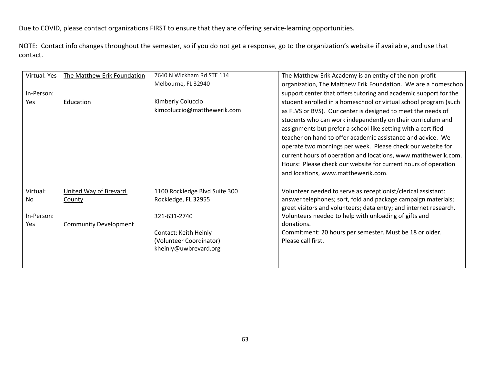| Virtual: Yes | The Matthew Erik Foundation  | 7640 N Wickham Rd STE 114     | The Matthew Erik Academy is an entity of the non-profit           |
|--------------|------------------------------|-------------------------------|-------------------------------------------------------------------|
|              |                              | Melbourne, FL 32940           | organization, The Matthew Erik Foundation. We are a homeschool    |
| In-Person:   |                              |                               | support center that offers tutoring and academic support for the  |
| Yes          | Education                    | Kimberly Coluccio             | student enrolled in a homeschool or virtual school program (such  |
|              |                              | kimcoluccio@matthewerik.com   | as FLVS or BVS). Our center is designed to meet the needs of      |
|              |                              |                               | students who can work independently on their curriculum and       |
|              |                              |                               | assignments but prefer a school-like setting with a certified     |
|              |                              |                               | teacher on hand to offer academic assistance and advice. We       |
|              |                              |                               | operate two mornings per week. Please check our website for       |
|              |                              |                               | current hours of operation and locations, www.matthewerik.com.    |
|              |                              |                               | Hours: Please check our website for current hours of operation    |
|              |                              |                               | and locations, www.matthewerik.com.                               |
|              |                              |                               |                                                                   |
| Virtual:     | United Way of Brevard        | 1100 Rockledge Blvd Suite 300 | Volunteer needed to serve as receptionist/clerical assistant:     |
| <b>No</b>    | County                       | Rockledge, FL 32955           | answer telephones; sort, fold and package campaign materials;     |
|              |                              |                               | greet visitors and volunteers; data entry; and internet research. |
| In-Person:   |                              | 321-631-2740                  | Volunteers needed to help with unloading of gifts and             |
| <b>Yes</b>   | <b>Community Development</b> |                               | donations.                                                        |
|              |                              | Contact: Keith Heinly         | Commitment: 20 hours per semester. Must be 18 or older.           |
|              |                              | (Volunteer Coordinator)       | Please call first.                                                |
|              |                              | kheinly@uwbrevard.org         |                                                                   |
|              |                              |                               |                                                                   |
|              |                              |                               |                                                                   |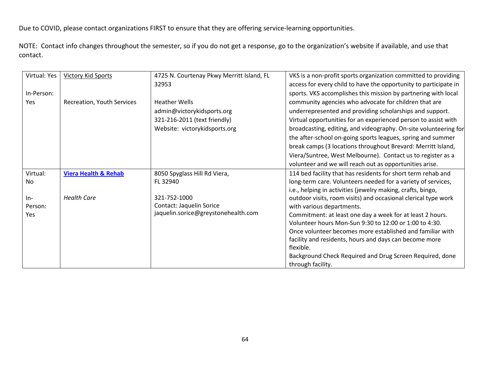| Virtual: Yes | <b>Victory Kid Sports</b>       | 4725 N. Courtenay Pkwy Merritt Island, FL | VKS is a non-profit sports organization committed to providing   |
|--------------|---------------------------------|-------------------------------------------|------------------------------------------------------------------|
|              |                                 | 32953                                     | access for every child to have the opportunity to participate in |
| In-Person:   |                                 |                                           | sports. VKS accomplishes this mission by partnering with local   |
| Yes          | Recreation, Youth Services      | <b>Heather Wells</b>                      | community agencies who advocate for children that are            |
|              |                                 | admin@victorykidsports.org                | underrepresented and providing scholarships and support.         |
|              |                                 | 321-216-2011 (text friendly)              | Virtual opportunities for an experienced person to assist with   |
|              |                                 | Website: victorykidsports.org             | broadcasting, editing, and videography. On-site volunteering for |
|              |                                 |                                           | the after-school on-going sports leagues, spring and summer      |
|              |                                 |                                           | break camps (3 locations throughout Brevard: Merritt Island,     |
|              |                                 |                                           | Viera/Suntree, West Melbourne). Contact us to register as a      |
|              |                                 |                                           | volunteer and we will reach out as opportunities arise.          |
| Virtual:     | <b>Viera Health &amp; Rehab</b> | 8050 Spyglass Hill Rd Viera,              | 114 bed facility that has residents for short term rehab and     |
| No           |                                 | FL 32940                                  | long-term care. Volunteers needed for a variety of services,     |
|              |                                 |                                           | i.e., helping in activities (jewelry making, crafts, bingo,      |
| $In-$        | <b>Health Care</b>              | 321-752-1000                              | outdoor visits, room visits) and occasional clerical type work   |
| Person:      |                                 | Contact: Jaquelin Sorice                  | with various departments.                                        |
| Yes          |                                 | jaquelin.sorice@greystonehealth.com       | Commitment: at least one day a week for at least 2 hours.        |
|              |                                 |                                           | Volunteer hours Mon-Sun 9:30 to 12:00 or 1:00 to 4:30.           |
|              |                                 |                                           | Once volunteer becomes more established and familiar with        |
|              |                                 |                                           | facility and residents, hours and days can become more           |
|              |                                 |                                           | flexible.                                                        |
|              |                                 |                                           | Background Check Required and Drug Screen Required, done         |
|              |                                 |                                           | through facility.                                                |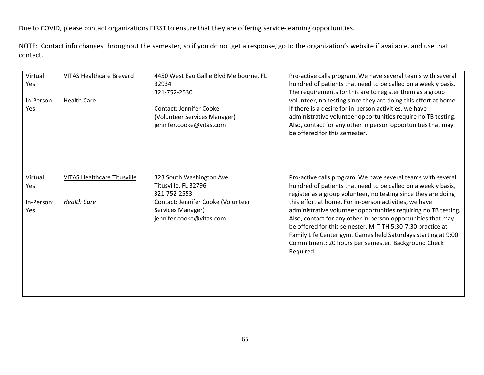| Virtual:<br>Yes<br>In-Person:<br><b>Yes</b> | <b>VITAS Healthcare Brevard</b><br><b>Health Care</b> | 4450 West Eau Gallie Blvd Melbourne, FL<br>32934<br>321-752-2530<br><b>Contact: Jennifer Cooke</b><br>(Volunteer Services Manager)<br>jennifer.cooke@vitas.com | Pro-active calls program. We have several teams with several<br>hundred of patients that need to be called on a weekly basis.<br>The requirements for this are to register them as a group<br>volunteer, no testing since they are doing this effort at home.<br>If there is a desire for in-person activities, we have<br>administrative volunteer opportunities require no TB testing.<br>Also, contact for any other in person opportunities that may<br>be offered for this semester. |
|---------------------------------------------|-------------------------------------------------------|----------------------------------------------------------------------------------------------------------------------------------------------------------------|-------------------------------------------------------------------------------------------------------------------------------------------------------------------------------------------------------------------------------------------------------------------------------------------------------------------------------------------------------------------------------------------------------------------------------------------------------------------------------------------|
| Virtual:<br>Yes                             | <b>VITAS Healthcare Titusville</b>                    | 323 South Washington Ave<br>Titusville, FL 32796<br>321-752-2553                                                                                               | Pro-active calls program. We have several teams with several<br>hundred of patients that need to be called on a weekly basis,<br>register as a group volunteer, no testing since they are doing                                                                                                                                                                                                                                                                                           |
| In-Person:<br>Yes                           | <b>Health Care</b>                                    | Contact: Jennifer Cooke (Volunteer<br>Services Manager)<br>jennifer.cooke@vitas.com                                                                            | this effort at home. For in-person activities, we have<br>administrative volunteer opportunities requiring no TB testing.<br>Also, contact for any other in-person opportunities that may<br>be offered for this semester. M-T-TH 5:30-7:30 practice at<br>Family Life Center gym. Games held Saturdays starting at 9:00.<br>Commitment: 20 hours per semester. Background Check<br>Required.                                                                                             |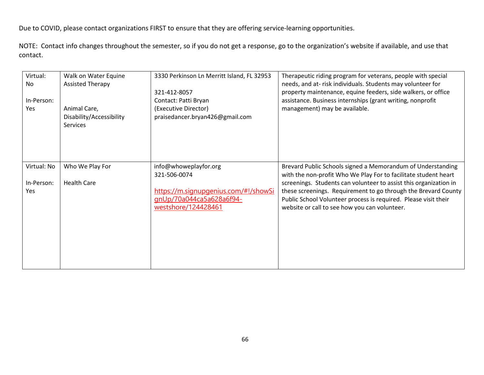| Virtual:<br>No<br>In-Person:<br>Yes     | Walk on Water Equine<br><b>Assisted Therapy</b><br>Animal Care,<br>Disability/Accessibility<br>Services | 3330 Perkinson Ln Merritt Island, FL 32953<br>321-412-8057<br>Contact: Patti Bryan<br>(Executive Director)<br>praisedancer.bryan426@gmail.com | Therapeutic riding program for veterans, people with special<br>needs, and at-risk individuals. Students may volunteer for<br>property maintenance, equine feeders, side walkers, or office<br>assistance. Business internships (grant writing, nonprofit<br>management) may be available.                                                                                                |
|-----------------------------------------|---------------------------------------------------------------------------------------------------------|-----------------------------------------------------------------------------------------------------------------------------------------------|-------------------------------------------------------------------------------------------------------------------------------------------------------------------------------------------------------------------------------------------------------------------------------------------------------------------------------------------------------------------------------------------|
| Virtual: No<br>In-Person:<br><b>Yes</b> | Who We Play For<br><b>Health Care</b>                                                                   | info@whoweplayfor.org<br>321-506-0074<br>https://m.signupgenius.com/#!/showSi<br>gnUp/70a044ca5a628a6f94-<br>westshore/124428461              | Brevard Public Schools signed a Memorandum of Understanding<br>with the non-profit Who We Play For to facilitate student heart<br>screenings. Students can volunteer to assist this organization in<br>these screenings. Requirement to go through the Brevard County<br>Public School Volunteer process is required. Please visit their<br>website or call to see how you can volunteer. |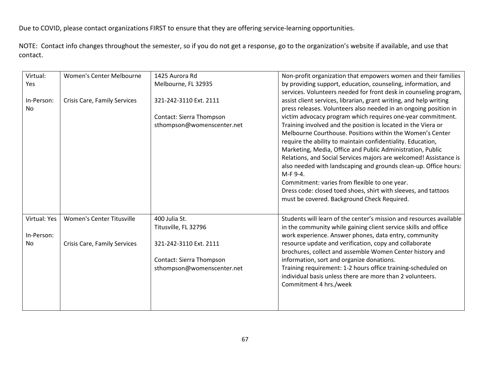| Virtual:                   | Women's Center Melbourne            | 1425 Aurora Rd                                                                   | Non-profit organization that empowers women and their families                                                                                                                                                                                                                                                                                                                                                                                                                                                                                                                                                                                                                                                                                                                                                                                               |
|----------------------------|-------------------------------------|----------------------------------------------------------------------------------|--------------------------------------------------------------------------------------------------------------------------------------------------------------------------------------------------------------------------------------------------------------------------------------------------------------------------------------------------------------------------------------------------------------------------------------------------------------------------------------------------------------------------------------------------------------------------------------------------------------------------------------------------------------------------------------------------------------------------------------------------------------------------------------------------------------------------------------------------------------|
| <b>Yes</b>                 |                                     | Melbourne, FL 32935                                                              | by providing support, education, counseling, information, and                                                                                                                                                                                                                                                                                                                                                                                                                                                                                                                                                                                                                                                                                                                                                                                                |
| In-Person:<br>No           | <b>Crisis Care, Family Services</b> | 321-242-3110 Ext. 2111<br>Contact: Sierra Thompson<br>sthompson@womenscenter.net | services. Volunteers needed for front desk in counseling program,<br>assist client services, librarian, grant writing, and help writing<br>press releases. Volunteers also needed in an ongoing position in<br>victim advocacy program which requires one-year commitment.<br>Training involved and the position is located in the Viera or<br>Melbourne Courthouse. Positions within the Women's Center<br>require the ability to maintain confidentiality. Education,<br>Marketing, Media, Office and Public Administration, Public<br>Relations, and Social Services majors are welcomed! Assistance is<br>also needed with landscaping and grounds clean-up. Office hours:<br>M-F 9-4.<br>Commitment: varies from flexible to one year.<br>Dress code: closed toed shoes, shirt with sleeves, and tattoos<br>must be covered. Background Check Required. |
| Virtual: Yes<br>In-Person: | Women's Center Titusville           | 400 Julia St.<br>Titusville, FL 32796                                            | Students will learn of the center's mission and resources available<br>in the community while gaining client service skills and office<br>work experience. Answer phones, data entry, community                                                                                                                                                                                                                                                                                                                                                                                                                                                                                                                                                                                                                                                              |
| <b>No</b>                  | <b>Crisis Care, Family Services</b> | 321-242-3110 Ext. 2111                                                           | resource update and verification, copy and collaborate<br>brochures, collect and assemble Women Center history and                                                                                                                                                                                                                                                                                                                                                                                                                                                                                                                                                                                                                                                                                                                                           |
|                            |                                     | Contact: Sierra Thompson                                                         | information, sort and organize donations.                                                                                                                                                                                                                                                                                                                                                                                                                                                                                                                                                                                                                                                                                                                                                                                                                    |
|                            |                                     | sthompson@womenscenter.net                                                       | Training requirement: 1-2 hours office training-scheduled on<br>individual basis unless there are more than 2 volunteers.<br>Commitment 4 hrs./week                                                                                                                                                                                                                                                                                                                                                                                                                                                                                                                                                                                                                                                                                                          |
|                            |                                     |                                                                                  |                                                                                                                                                                                                                                                                                                                                                                                                                                                                                                                                                                                                                                                                                                                                                                                                                                                              |